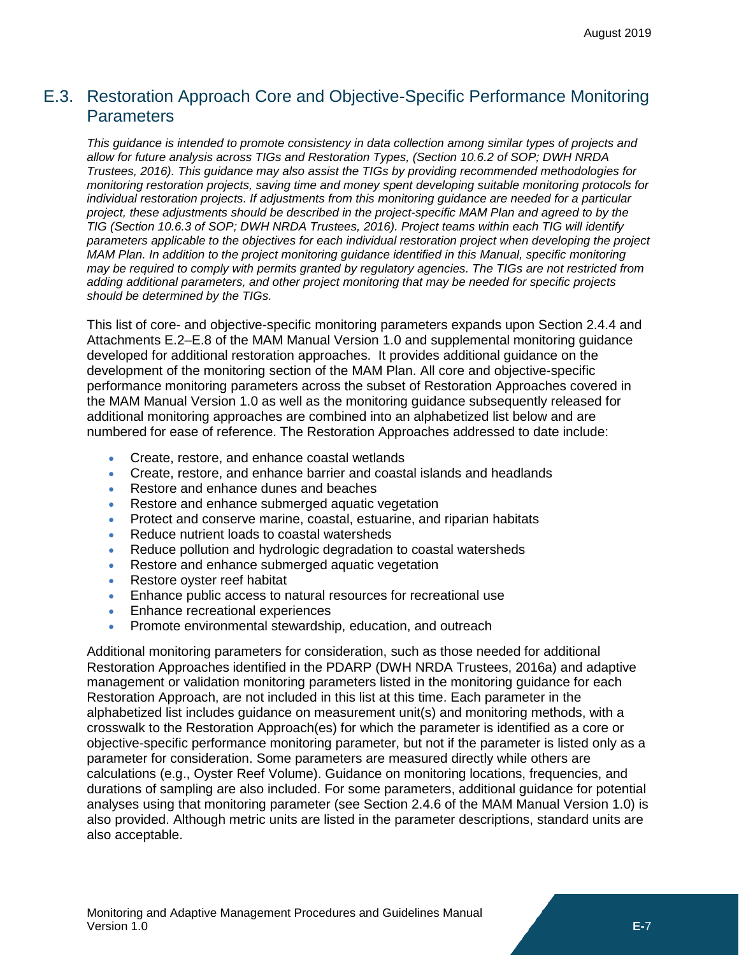# <span id="page-0-0"></span>E.3. Restoration Approach Core and Objective-Specific Performance Monitoring **Parameters**

*This guidance is intended to promote consistency in data collection among similar types of projects and allow for future analysis across TIGs and Restoration Types, (Section 10.6.2 of SOP; DWH NRDA Trustees, 2016). This guidance may also assist the TIGs by providing recommended methodologies for monitoring restoration projects, saving time and money spent developing suitable monitoring protocols for individual restoration projects. If adjustments from this monitoring guidance are needed for a particular project, these adjustments should be described in the project-specific MAM Plan and agreed to by the TIG (Section 10.6.3 of SOP; DWH NRDA Trustees, 2016). Project teams within each TIG will identify parameters applicable to the objectives for each individual restoration project when developing the project MAM Plan. In addition to the project monitoring guidance identified in this Manual, specific monitoring may be required to comply with permits granted by regulatory agencies. The TIGs are not restricted from adding additional parameters, and other project monitoring that may be needed for specific projects should be determined by the TIGs.*

This list of core- and objective-specific monitoring parameters expands upon Section 2.4.4 and Attachments E.2–E.8 of the MAM Manual Version 1.0 and supplemental monitoring guidance developed for additional restoration approaches. It provides additional guidance on the development of the monitoring section of the MAM Plan. All core and objective-specific performance monitoring parameters across the subset of Restoration Approaches covered in the MAM Manual Version 1.0 as well as the monitoring guidance subsequently released for additional monitoring approaches are combined into an alphabetized list below and are numbered for ease of reference. The Restoration Approaches addressed to date include:

- Create, restore, and enhance coastal wetlands
- Create, restore, and enhance barrier and coastal islands and headlands
- Restore and enhance dunes and beaches
- Restore and enhance submerged aquatic vegetation
- Protect and conserve marine, coastal, estuarine, and riparian habitats
- Reduce nutrient loads to coastal watersheds
- Reduce pollution and hydrologic degradation to coastal watersheds
- Restore and enhance submerged aquatic vegetation
- Restore oyster reef habitat
- Enhance public access to natural resources for recreational use
- Enhance recreational experiences
- Promote environmental stewardship, education, and outreach

Additional monitoring parameters for consideration, such as those needed for additional Restoration Approaches identified in the PDARP (DWH NRDA Trustees, 2016a) and adaptive management or validation monitoring parameters listed in the monitoring guidance for each Restoration Approach, are not included in this list at this time. Each parameter in the alphabetized list includes guidance on measurement unit(s) and monitoring methods, with a crosswalk to the Restoration Approach(es) for which the parameter is identified as a core or objective-specific performance monitoring parameter, but not if the parameter is listed only as a parameter for consideration. Some parameters are measured directly while others are calculations (e.g., Oyster Reef Volume). Guidance on monitoring locations, frequencies, and durations of sampling are also included. For some parameters, additional guidance for potential analyses using that monitoring parameter (see Section 2.4.6 of the MAM Manual Version 1.0) is also provided. Although metric units are listed in the parameter descriptions, standard units are also acceptable.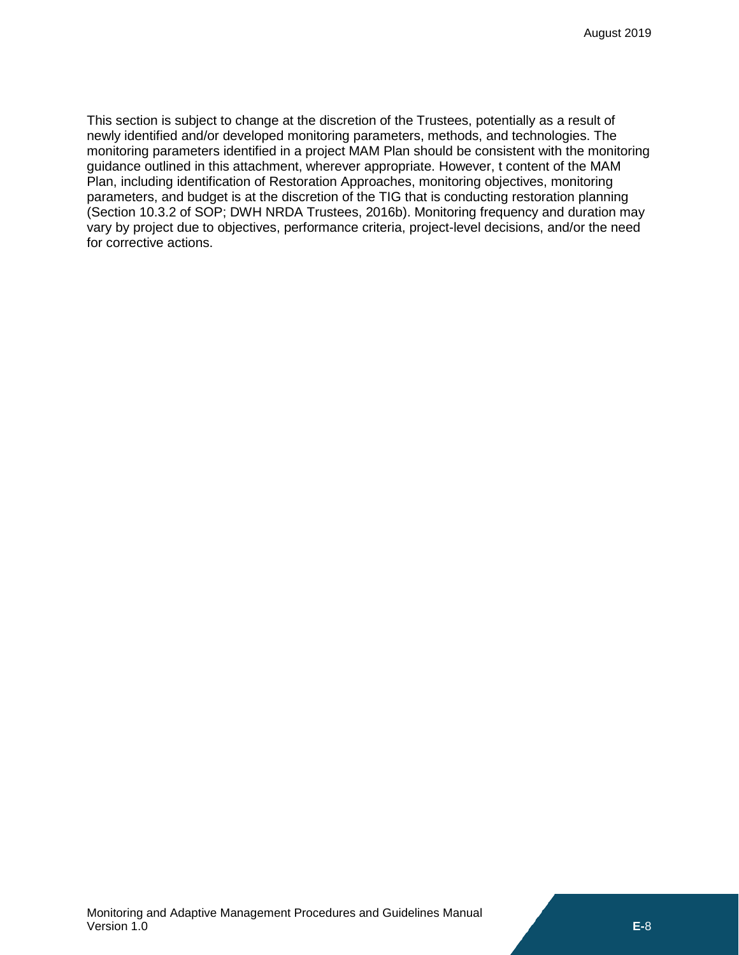This section is subject to change at the discretion of the Trustees, potentially as a result of newly identified and/or developed monitoring parameters, methods, and technologies. The monitoring parameters identified in a project MAM Plan should be consistent with the monitoring guidance outlined in this attachment, wherever appropriate. However, t content of the MAM Plan, including identification of Restoration Approaches, monitoring objectives, monitoring parameters, and budget is at the discretion of the TIG that is conducting restoration planning (Section 10.3.2 of SOP; DWH NRDA Trustees, 2016b). Monitoring frequency and duration may vary by project due to objectives, performance criteria, project-level decisions, and/or the need for corrective actions.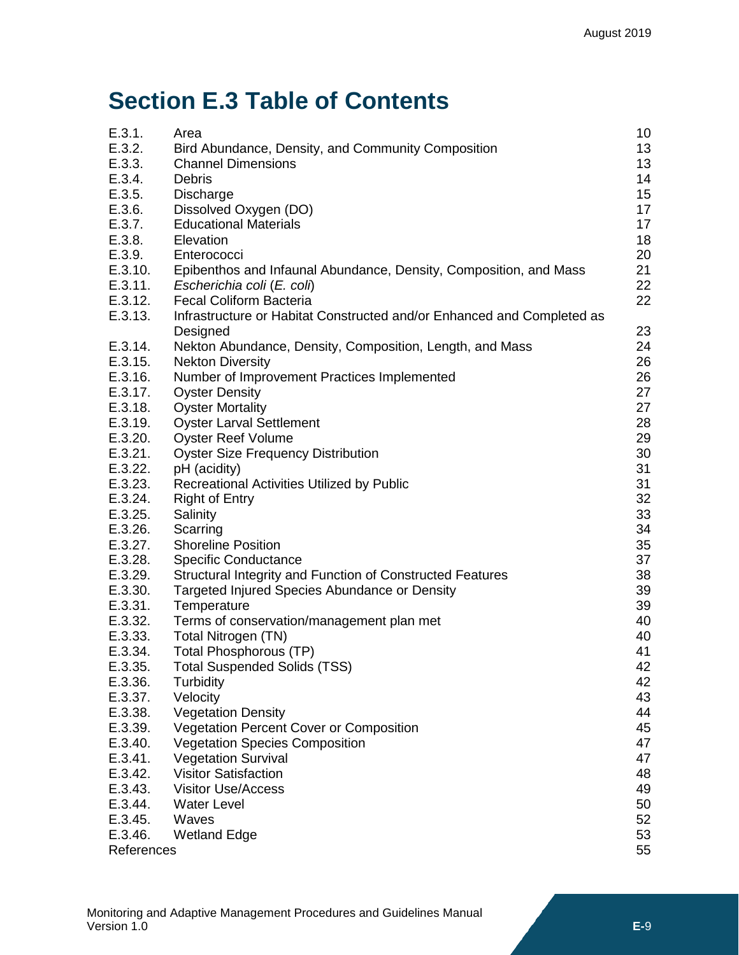# **Section [E.3](#page-0-0) Table of Contents**

| E.3.1.     | Area                                                                               | 10       |
|------------|------------------------------------------------------------------------------------|----------|
| E.3.2.     | Bird Abundance, Density, and Community Composition                                 | 13       |
| E.3.3.     | <b>Channel Dimensions</b>                                                          | 13       |
| E.3.4.     | <b>Debris</b>                                                                      | 14       |
| E.3.5.     | Discharge                                                                          | 15       |
| E.3.6.     | Dissolved Oxygen (DO)                                                              | 17       |
| E.3.7.     | <b>Educational Materials</b>                                                       | 17       |
| E.3.8.     | Elevation                                                                          | 18       |
| E.3.9.     | Enterococci                                                                        | 20       |
| E.3.10.    | Epibenthos and Infaunal Abundance, Density, Composition, and Mass                  | 21       |
| E.3.11.    | Escherichia coli (E. coli)                                                         | 22       |
| E.3.12.    | <b>Fecal Coliform Bacteria</b>                                                     | 22       |
| E.3.13.    | Infrastructure or Habitat Constructed and/or Enhanced and Completed as<br>Designed | 23       |
| E.3.14.    | Nekton Abundance, Density, Composition, Length, and Mass                           | 24       |
| E.3.15.    | <b>Nekton Diversity</b>                                                            | 26       |
| E.3.16.    | Number of Improvement Practices Implemented                                        | 26       |
| E.3.17.    | <b>Oyster Density</b>                                                              | 27       |
| E.3.18.    | <b>Oyster Mortality</b>                                                            | 27       |
| E.3.19.    | <b>Oyster Larval Settlement</b>                                                    | 28       |
| E.3.20.    | <b>Oyster Reef Volume</b>                                                          | 29       |
| E.3.21.    | <b>Oyster Size Frequency Distribution</b>                                          | 30       |
| E.3.22.    |                                                                                    |          |
|            | pH (acidity)                                                                       | 31<br>31 |
| E.3.23.    | Recreational Activities Utilized by Public                                         |          |
| E.3.24.    | <b>Right of Entry</b>                                                              | 32       |
| E.3.25.    | Salinity                                                                           | 33       |
| E.3.26.    | Scarring                                                                           | 34       |
| E.3.27.    | <b>Shoreline Position</b>                                                          | 35       |
| E.3.28.    | <b>Specific Conductance</b>                                                        | 37       |
| E.3.29.    | Structural Integrity and Function of Constructed Features                          | 38       |
| E.3.30.    | Targeted Injured Species Abundance or Density                                      | 39       |
| E.3.31.    | Temperature                                                                        | 39       |
| E.3.32.    | Terms of conservation/management plan met                                          | 40       |
| E.3.33.    | Total Nitrogen (TN)                                                                | 40       |
| E.3.34.    | <b>Total Phosphorous (TP)</b>                                                      | 41       |
| E.3.35.    | <b>Total Suspended Solids (TSS)</b>                                                | 42       |
| E.3.36.    | Turbidity                                                                          | 42       |
| E.3.37.    | Velocity                                                                           | 43       |
| E.3.38.    | <b>Vegetation Density</b>                                                          | 44       |
| E.3.39.    | Vegetation Percent Cover or Composition                                            | 45       |
| E.3.40.    | <b>Vegetation Species Composition</b>                                              | 47       |
| E.3.41.    | <b>Vegetation Survival</b>                                                         | 47       |
| E.3.42.    | Visitor Satisfaction                                                               | 48       |
| E.3.43.    | <b>Visitor Use/Access</b>                                                          | 49       |
| E.3.44.    | <b>Water Level</b>                                                                 | 50       |
| E.3.45.    | Waves                                                                              | 52       |
| E.3.46.    | <b>Wetland Edge</b>                                                                | 53       |
| References |                                                                                    | 55       |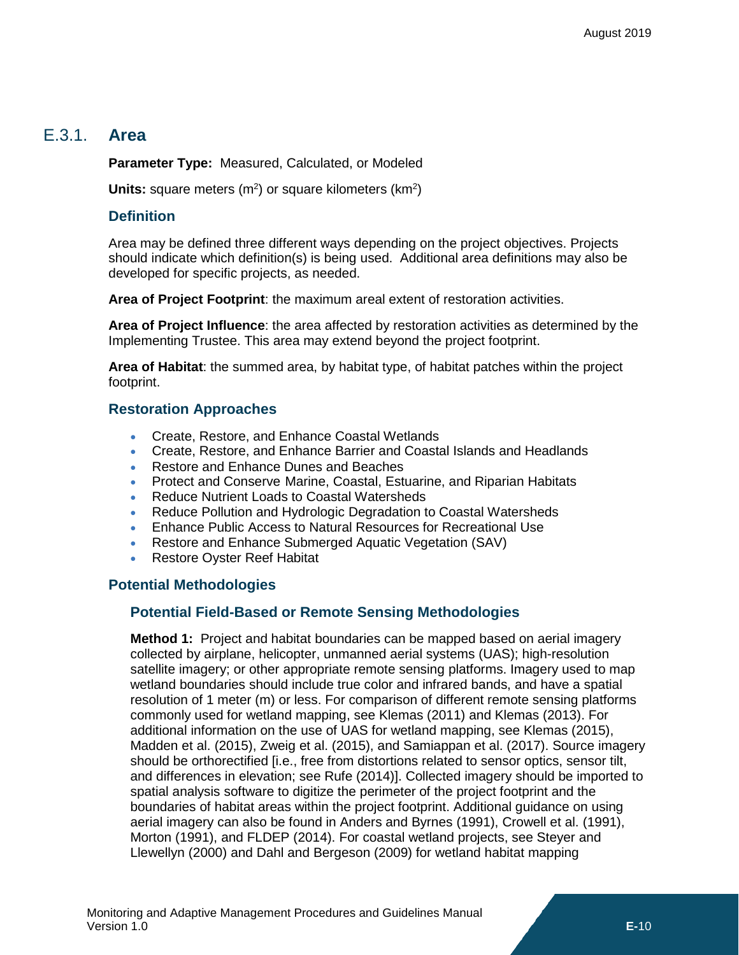# E.3.1. **Area**

<span id="page-3-0"></span>**Parameter Type:** Measured, Calculated, or Modeled

**Units:** square meters (m<sup>2</sup>) or square kilometers (km<sup>2</sup>)

### **Definition**

Area may be defined three different ways depending on the project objectives. Projects should indicate which definition(s) is being used. Additional area definitions may also be developed for specific projects, as needed.

**Area of Project Footprint**: the maximum areal extent of restoration activities.

**Area of Project Influence**: the area affected by restoration activities as determined by the Implementing Trustee. This area may extend beyond the project footprint.

**Area of Habitat**: the summed area, by habitat type, of habitat patches within the project footprint.

### **Restoration Approaches**

- Create, Restore, and Enhance Coastal Wetlands
- Create, Restore, and Enhance Barrier and Coastal Islands and Headlands
- Restore and Enhance Dunes and Beaches
- Protect and Conserve Marine, Coastal, Estuarine, and Riparian Habitats
- Reduce Nutrient Loads to Coastal Watersheds
- Reduce Pollution and Hydrologic Degradation to Coastal Watersheds
- Enhance Public Access to Natural Resources for Recreational Use
- Restore and Enhance Submerged Aquatic Vegetation (SAV)
- Restore Oyster Reef Habitat

### **Potential Methodologies**

### **Potential Field-Based or Remote Sensing Methodologies**

**Method 1:** Project and habitat boundaries can be mapped based on aerial imagery collected by airplane, helicopter, unmanned aerial systems (UAS); high-resolution satellite imagery; or other appropriate remote sensing platforms. Imagery used to map wetland boundaries should include true color and infrared bands, and have a spatial resolution of 1 meter (m) or less. For comparison of different remote sensing platforms commonly used for wetland mapping, see Klemas (2011) and Klemas (2013). For additional information on the use of UAS for wetland mapping, see Klemas (2015), Madden et al. (2015), Zweig et al. (2015), and Samiappan et al. (2017). Source imagery should be orthorectified [i.e., free from distortions related to sensor optics, sensor tilt, and differences in elevation; see Rufe (2014)]. Collected imagery should be imported to spatial analysis software to digitize the perimeter of the project footprint and the boundaries of habitat areas within the project footprint. Additional guidance on using aerial imagery can also be found in Anders and Byrnes (1991), Crowell et al. (1991), Morton (1991), and FLDEP (2014). For coastal wetland projects, see Steyer and Llewellyn (2000) and Dahl and Bergeson (2009) for wetland habitat mapping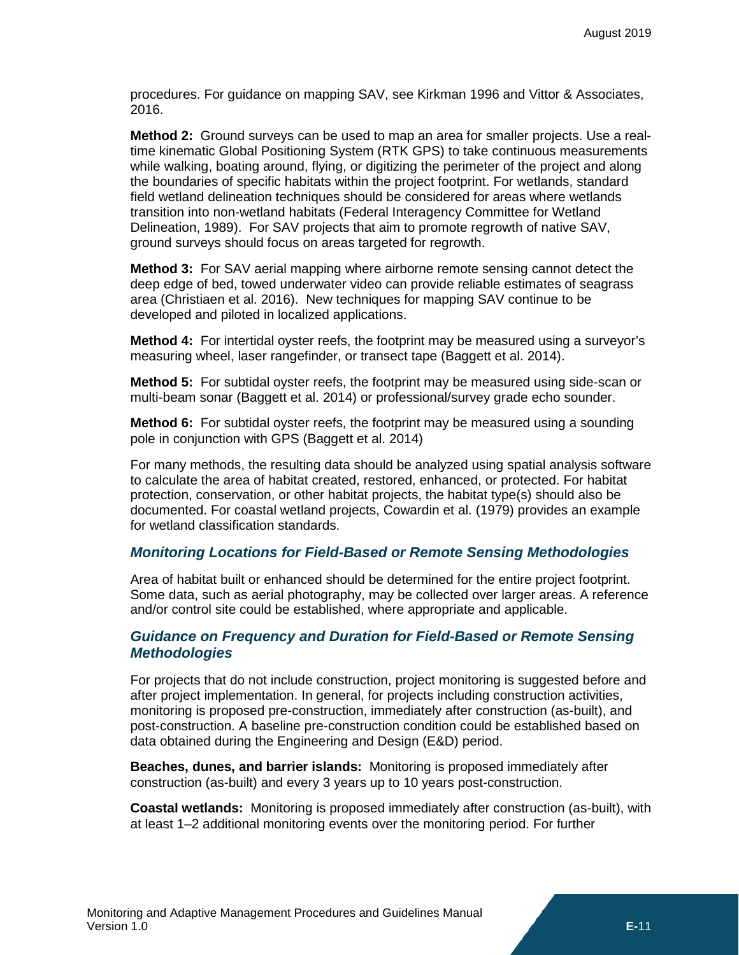procedures. For guidance on mapping SAV, see Kirkman 1996 and Vittor & Associates, 2016.

**Method 2:** Ground surveys can be used to map an area for smaller projects. Use a realtime kinematic Global Positioning System (RTK GPS) to take continuous measurements while walking, boating around, flying, or digitizing the perimeter of the project and along the boundaries of specific habitats within the project footprint. For wetlands, standard field wetland delineation techniques should be considered for areas where wetlands transition into non-wetland habitats (Federal Interagency Committee for Wetland Delineation, 1989). For SAV projects that aim to promote regrowth of native SAV, ground surveys should focus on areas targeted for regrowth.

**Method 3:** For SAV aerial mapping where airborne remote sensing cannot detect the deep edge of bed, towed underwater video can provide reliable estimates of seagrass area (Christiaen et al. 2016). New techniques for mapping SAV continue to be developed and piloted in localized applications.

**Method 4:** For intertidal oyster reefs, the footprint may be measured using a surveyor's measuring wheel, laser rangefinder, or transect tape (Baggett et al. 2014).

**Method 5:** For subtidal oyster reefs, the footprint may be measured using side-scan or multi-beam sonar (Baggett et al. 2014) or professional/survey grade echo sounder.

**Method 6:** For subtidal oyster reefs, the footprint may be measured using a sounding pole in conjunction with GPS (Baggett et al. 2014)

For many methods, the resulting data should be analyzed using spatial analysis software to calculate the area of habitat created, restored, enhanced, or protected. For habitat protection, conservation, or other habitat projects, the habitat type(s) should also be documented. For coastal wetland projects, Cowardin et al. (1979) provides an example for wetland classification standards.

### *Monitoring Locations for Field-Based or Remote Sensing Methodologies*

Area of habitat built or enhanced should be determined for the entire project footprint. Some data, such as aerial photography, may be collected over larger areas. A reference and/or control site could be established, where appropriate and applicable.

### *Guidance on Frequency and Duration for Field-Based or Remote Sensing Methodologies*

For projects that do not include construction, project monitoring is suggested before and after project implementation. In general, for projects including construction activities, monitoring is proposed pre-construction, immediately after construction (as-built), and post-construction. A baseline pre-construction condition could be established based on data obtained during the Engineering and Design (E&D) period.

**Beaches, dunes, and barrier islands:** Monitoring is proposed immediately after construction (as-built) and every 3 years up to 10 years post-construction.

**Coastal wetlands:** Monitoring is proposed immediately after construction (as-built), with at least 1–2 additional monitoring events over the monitoring period. For further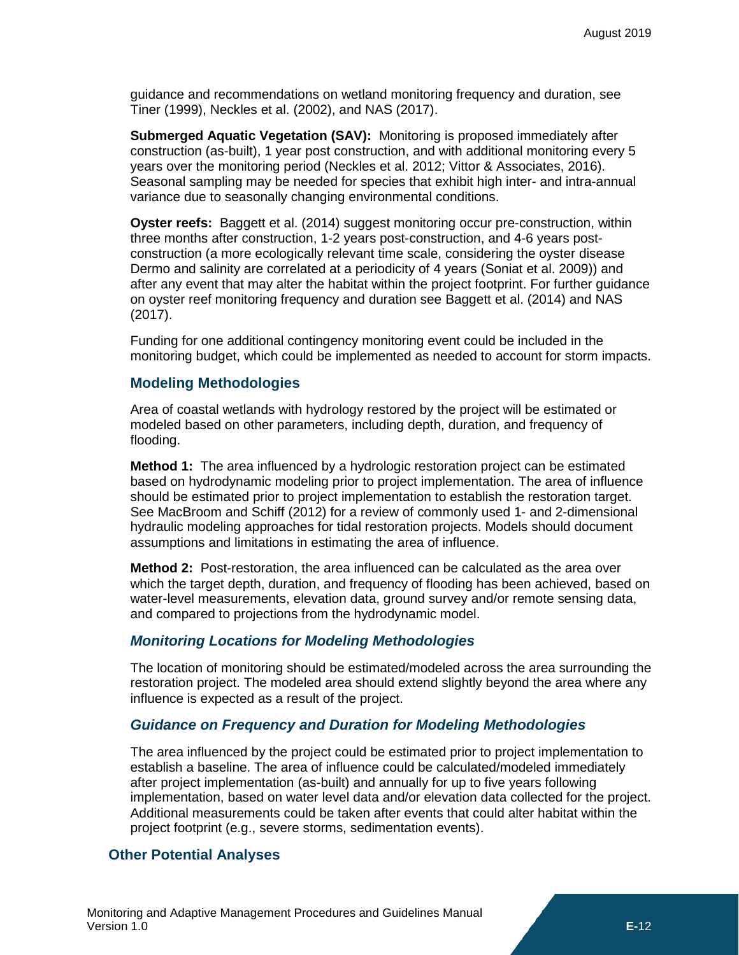guidance and recommendations on wetland monitoring frequency and duration, see Tiner (1999), Neckles et al. (2002), and NAS (2017).

**Submerged Aquatic Vegetation (SAV):** Monitoring is proposed immediately after construction (as-built), 1 year post construction, and with additional monitoring every 5 years over the monitoring period (Neckles et al. 2012; Vittor & Associates, 2016). Seasonal sampling may be needed for species that exhibit high inter- and intra-annual variance due to seasonally changing environmental conditions.

**Oyster reefs:** Baggett et al. (2014) suggest monitoring occur pre-construction, within three months after construction, 1-2 years post-construction, and 4-6 years postconstruction (a more ecologically relevant time scale, considering the oyster disease Dermo and salinity are correlated at a periodicity of 4 years (Soniat et al. 2009)) and after any event that may alter the habitat within the project footprint. For further guidance on oyster reef monitoring frequency and duration see Baggett et al. (2014) and NAS (2017).

Funding for one additional contingency monitoring event could be included in the monitoring budget, which could be implemented as needed to account for storm impacts.

### **Modeling Methodologies**

Area of coastal wetlands with hydrology restored by the project will be estimated or modeled based on other parameters, including depth, duration, and frequency of flooding.

**Method 1:** The area influenced by a hydrologic restoration project can be estimated based on hydrodynamic modeling prior to project implementation. The area of influence should be estimated prior to project implementation to establish the restoration target. See MacBroom and Schiff (2012) for a review of commonly used 1- and 2-dimensional hydraulic modeling approaches for tidal restoration projects. Models should document assumptions and limitations in estimating the area of influence.

**Method 2:** Post-restoration, the area influenced can be calculated as the area over which the target depth, duration, and frequency of flooding has been achieved, based on water-level measurements, elevation data, ground survey and/or remote sensing data, and compared to projections from the hydrodynamic model.

#### *Monitoring Locations for Modeling Methodologies*

The location of monitoring should be estimated/modeled across the area surrounding the restoration project. The modeled area should extend slightly beyond the area where any influence is expected as a result of the project.

### *Guidance on Frequency and Duration for Modeling Methodologies*

The area influenced by the project could be estimated prior to project implementation to establish a baseline. The area of influence could be calculated/modeled immediately after project implementation (as-built) and annually for up to five years following implementation, based on water level data and/or elevation data collected for the project. Additional measurements could be taken after events that could alter habitat within the project footprint (e.g., severe storms, sedimentation events).

### **Other Potential Analyses**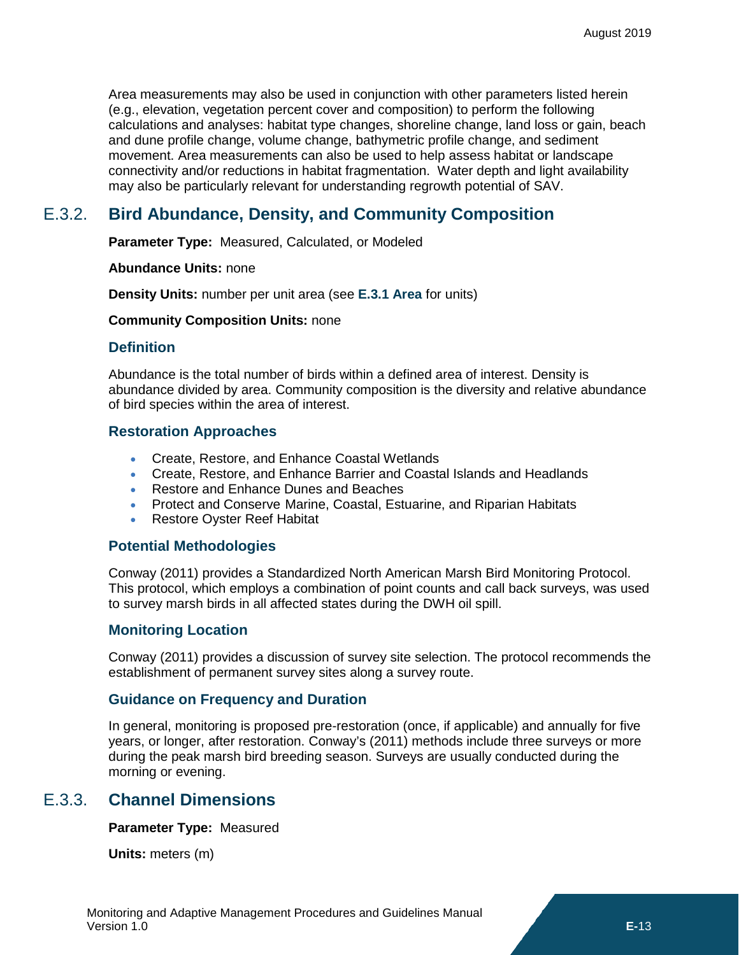Area measurements may also be used in conjunction with other parameters listed herein (e.g., elevation, vegetation percent cover and composition) to perform the following calculations and analyses: habitat type changes, shoreline change, land loss or gain, beach and dune profile change, volume change, bathymetric profile change, and sediment movement. Area measurements can also be used to help assess habitat or landscape connectivity and/or reductions in habitat fragmentation. Water depth and light availability may also be particularly relevant for understanding regrowth potential of SAV.

# E.3.2. **Bird Abundance, Density, and Community Composition**

<span id="page-6-0"></span>**Parameter Type:** Measured, Calculated, or Modeled

**Abundance Units:** none

**Density Units:** number per unit area (see **[E.3.1](#page-3-0) [Area](#page-3-0)** for units)

#### **Community Composition Units:** none

### **Definition**

Abundance is the total number of birds within a defined area of interest. Density is abundance divided by area. Community composition is the diversity and relative abundance of bird species within the area of interest.

### **Restoration Approaches**

- Create, Restore, and Enhance Coastal Wetlands
- Create, Restore, and Enhance Barrier and Coastal Islands and Headlands
- Restore and Enhance Dunes and Beaches
- Protect and Conserve Marine, Coastal, Estuarine, and Riparian Habitats
- Restore Oyster Reef Habitat

### **Potential Methodologies**

Conway (2011) provides a Standardized North American Marsh Bird Monitoring Protocol. This protocol, which employs a combination of point counts and call back surveys, was used to survey marsh birds in all affected states during the DWH oil spill.

### **Monitoring Location**

Conway (2011) provides a discussion of survey site selection. The protocol recommends the establishment of permanent survey sites along a survey route.

### **Guidance on Frequency and Duration**

In general, monitoring is proposed pre-restoration (once, if applicable) and annually for five years, or longer, after restoration. Conway's (2011) methods include three surveys or more during the peak marsh bird breeding season. Surveys are usually conducted during the morning or evening.

# E.3.3. **Channel Dimensions**

<span id="page-6-1"></span>**Parameter Type:** Measured

**Units:** meters (m)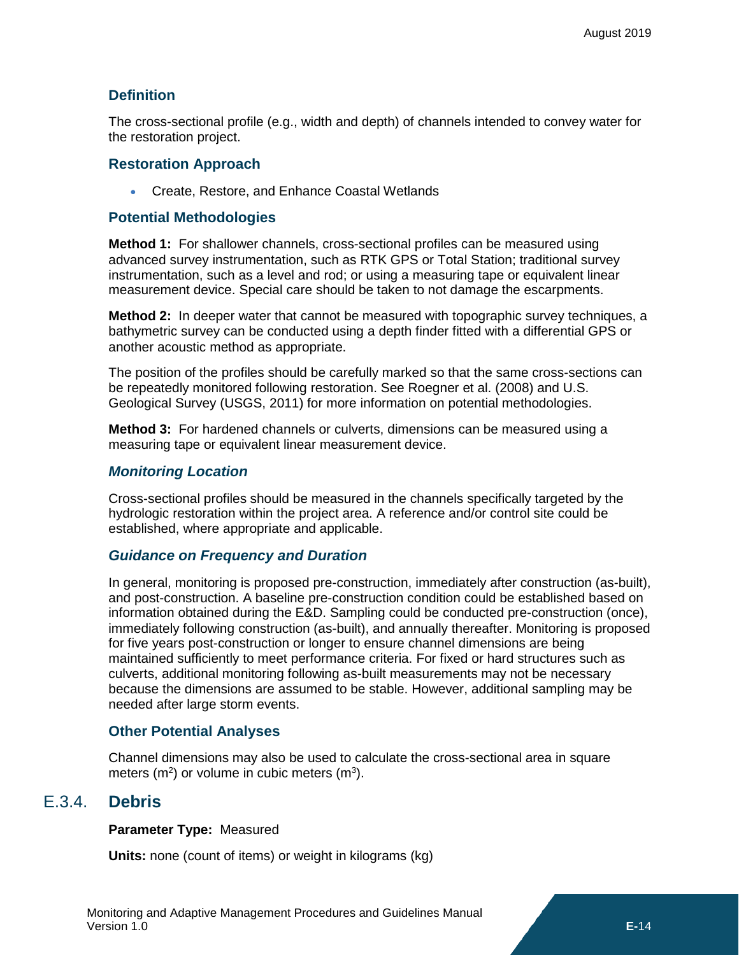### **Definition**

The cross-sectional profile (e.g., width and depth) of channels intended to convey water for the restoration project.

### **Restoration Approach**

• Create, Restore, and Enhance Coastal Wetlands

### **Potential Methodologies**

**Method 1:** For shallower channels, cross-sectional profiles can be measured using advanced survey instrumentation, such as RTK GPS or Total Station; traditional survey instrumentation, such as a level and rod; or using a measuring tape or equivalent linear measurement device. Special care should be taken to not damage the escarpments.

**Method 2:** In deeper water that cannot be measured with topographic survey techniques, a bathymetric survey can be conducted using a depth finder fitted with a differential GPS or another acoustic method as appropriate.

The position of the profiles should be carefully marked so that the same cross-sections can be repeatedly monitored following restoration. See Roegner et al. (2008) and U.S. Geological Survey (USGS, 2011) for more information on potential methodologies.

**Method 3:** For hardened channels or culverts, dimensions can be measured using a measuring tape or equivalent linear measurement device.

### *Monitoring Location*

Cross-sectional profiles should be measured in the channels specifically targeted by the hydrologic restoration within the project area. A reference and/or control site could be established, where appropriate and applicable.

### *Guidance on Frequency and Duration*

In general, monitoring is proposed pre-construction, immediately after construction (as-built), and post-construction. A baseline pre-construction condition could be established based on information obtained during the E&D. Sampling could be conducted pre-construction (once), immediately following construction (as-built), and annually thereafter. Monitoring is proposed for five years post-construction or longer to ensure channel dimensions are being maintained sufficiently to meet performance criteria. For fixed or hard structures such as culverts, additional monitoring following as-built measurements may not be necessary because the dimensions are assumed to be stable. However, additional sampling may be needed after large storm events.

### **Other Potential Analyses**

Channel dimensions may also be used to calculate the cross-sectional area in square meters (m<sup>2</sup>) or volume in cubic meters (m<sup>3</sup>).

# E.3.4. **Debris**

<span id="page-7-0"></span>**Parameter Type:** Measured

**Units:** none (count of items) or weight in kilograms (kg)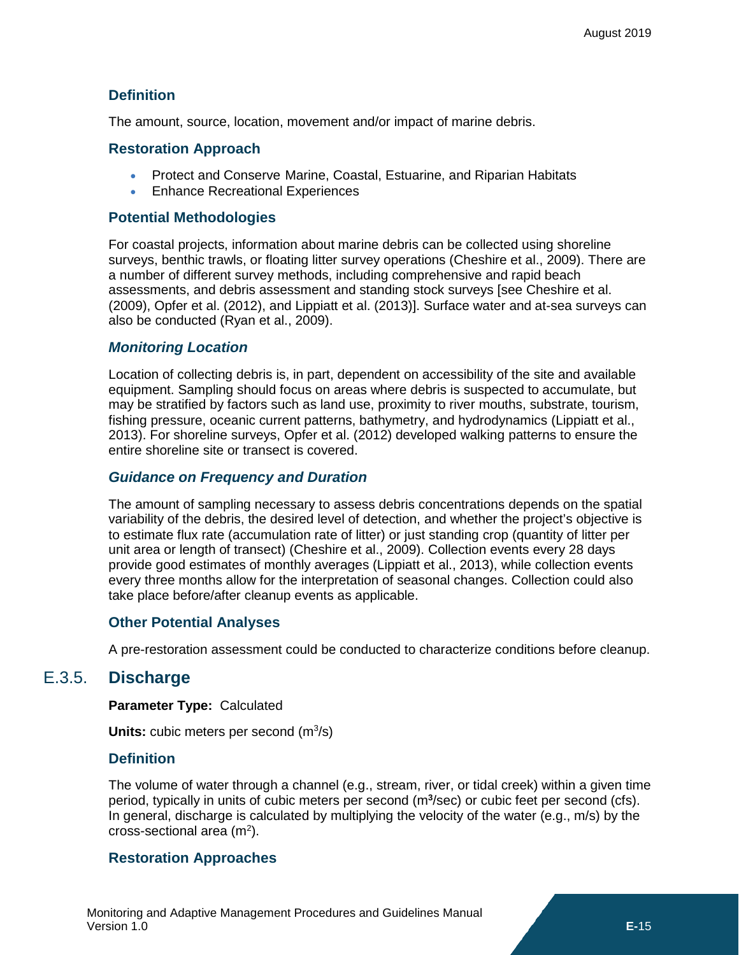### **Definition**

The amount, source, location, movement and/or impact of marine debris.

### **Restoration Approach**

- Protect and Conserve Marine, Coastal, Estuarine, and Riparian Habitats
- Enhance Recreational Experiences

### **Potential Methodologies**

For coastal projects, information about marine debris can be collected using shoreline surveys, benthic trawls, or floating litter survey operations (Cheshire et al., 2009). There are a number of different survey methods, including comprehensive and rapid beach assessments, and debris assessment and standing stock surveys [see Cheshire et al. (2009), Opfer et al. (2012), and Lippiatt et al. (2013)]. Surface water and at-sea surveys can also be conducted (Ryan et al., 2009).

### *Monitoring Location*

Location of collecting debris is, in part, dependent on accessibility of the site and available equipment. Sampling should focus on areas where debris is suspected to accumulate, but may be stratified by factors such as land use, proximity to river mouths, substrate, tourism, fishing pressure, oceanic current patterns, bathymetry, and hydrodynamics (Lippiatt et al., 2013). For shoreline surveys, Opfer et al. (2012) developed walking patterns to ensure the entire shoreline site or transect is covered.

### *Guidance on Frequency and Duration*

The amount of sampling necessary to assess debris concentrations depends on the spatial variability of the debris, the desired level of detection, and whether the project's objective is to estimate flux rate (accumulation rate of litter) or just standing crop (quantity of litter per unit area or length of transect) (Cheshire et al., 2009). Collection events every 28 days provide good estimates of monthly averages (Lippiatt et al., 2013), while collection events every three months allow for the interpretation of seasonal changes. Collection could also take place before/after cleanup events as applicable.

### **Other Potential Analyses**

<span id="page-8-0"></span>A pre-restoration assessment could be conducted to characterize conditions before cleanup.

### E.3.5. **Discharge**

**Parameter Type:** Calculated

Units: cubic meters per second (m<sup>3</sup>/s)

### **Definition**

The volume of water through a channel (e.g., stream, river, or tidal creek) within a given time period, typically in units of cubic meters per second (m<sup>3</sup>/sec) or cubic feet per second (cfs). In general, discharge is calculated by multiplying the velocity of the water (e.g., m/s) by the  $cross-sectional area (m<sup>2</sup>).$ 

### **Restoration Approaches**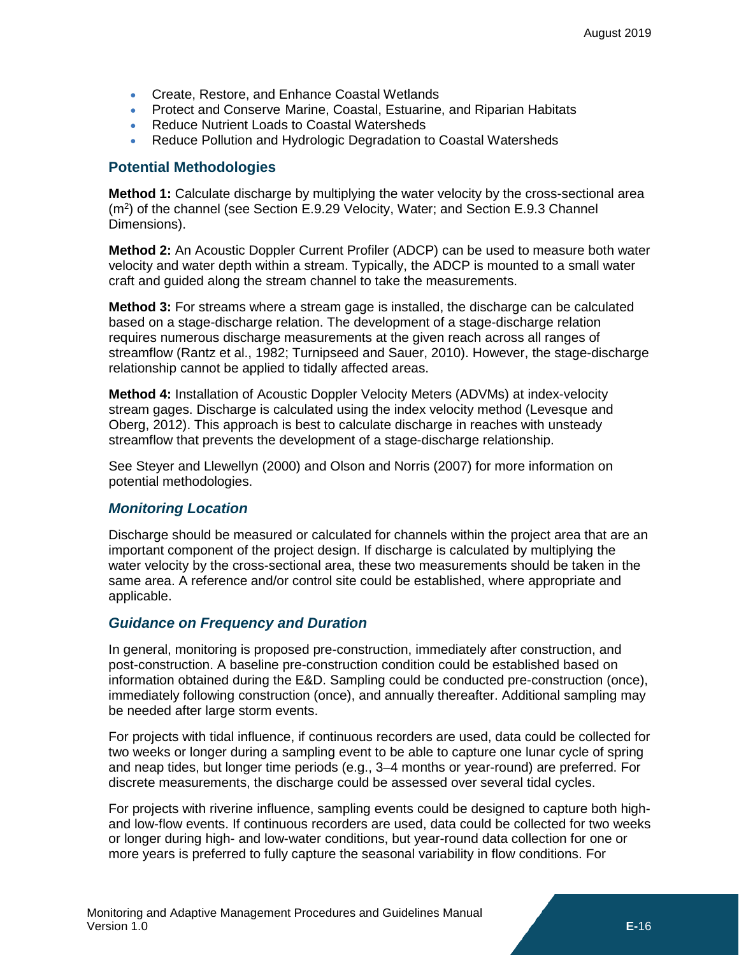- Create, Restore, and Enhance Coastal Wetlands
- Protect and Conserve Marine, Coastal, Estuarine, and Riparian Habitats
- Reduce Nutrient Loads to Coastal Watersheds
- Reduce Pollution and Hydrologic Degradation to Coastal Watersheds

### **Potential Methodologies**

**Method 1:** Calculate discharge by multiplying the water velocity by the cross-sectional area  $(m<sup>2</sup>)$  of the channel (see Section E.9.29 Velocity, Water; and Section E.9.3 Channel Dimensions).

**Method 2:** An Acoustic Doppler Current Profiler (ADCP) can be used to measure both water velocity and water depth within a stream. Typically, the ADCP is mounted to a small water craft and guided along the stream channel to take the measurements.

**Method 3:** For streams where a stream gage is installed, the discharge can be calculated based on a stage-discharge relation. The development of a stage-discharge relation requires numerous discharge measurements at the given reach across all ranges of streamflow (Rantz et al., 1982; Turnipseed and Sauer, 2010). However, the stage-discharge relationship cannot be applied to tidally affected areas.

**Method 4:** Installation of Acoustic Doppler Velocity Meters (ADVMs) at index-velocity stream gages. Discharge is calculated using the index velocity method (Levesque and Oberg, 2012). This approach is best to calculate discharge in reaches with unsteady streamflow that prevents the development of a stage-discharge relationship.

See Steyer and Llewellyn (2000) and Olson and Norris (2007) for more information on potential methodologies.

### *Monitoring Location*

Discharge should be measured or calculated for channels within the project area that are an important component of the project design. If discharge is calculated by multiplying the water velocity by the cross-sectional area, these two measurements should be taken in the same area. A reference and/or control site could be established, where appropriate and applicable.

### *Guidance on Frequency and Duration*

In general, monitoring is proposed pre-construction, immediately after construction, and post-construction. A baseline pre-construction condition could be established based on information obtained during the E&D. Sampling could be conducted pre-construction (once), immediately following construction (once), and annually thereafter. Additional sampling may be needed after large storm events.

For projects with tidal influence, if continuous recorders are used, data could be collected for two weeks or longer during a sampling event to be able to capture one lunar cycle of spring and neap tides, but longer time periods (e.g., 3–4 months or year-round) are preferred. For discrete measurements, the discharge could be assessed over several tidal cycles.

For projects with riverine influence, sampling events could be designed to capture both highand low-flow events. If continuous recorders are used, data could be collected for two weeks or longer during high- and low-water conditions, but year-round data collection for one or more years is preferred to fully capture the seasonal variability in flow conditions. For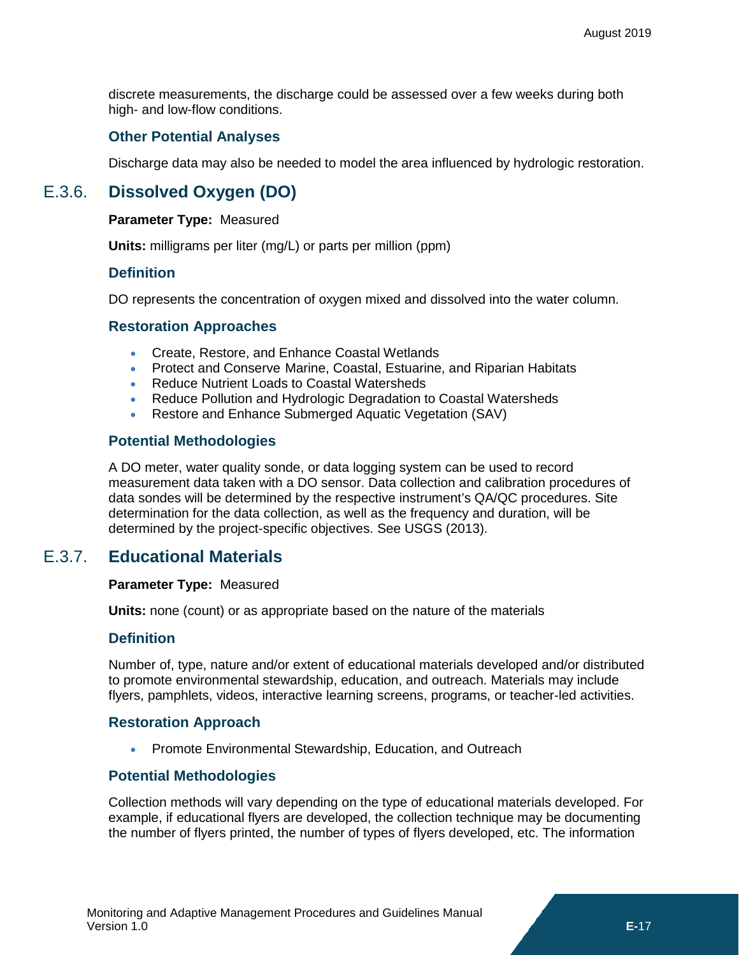discrete measurements, the discharge could be assessed over a few weeks during both high- and low-flow conditions.

### **Other Potential Analyses**

<span id="page-10-0"></span>Discharge data may also be needed to model the area influenced by hydrologic restoration.

# E.3.6. **Dissolved Oxygen (DO)**

#### **Parameter Type:** Measured

**Units:** milligrams per liter (mg/L) or parts per million (ppm)

### **Definition**

DO represents the concentration of oxygen mixed and dissolved into the water column.

### **Restoration Approaches**

- Create, Restore, and Enhance Coastal Wetlands
- Protect and Conserve Marine, Coastal, Estuarine, and Riparian Habitats
- Reduce Nutrient Loads to Coastal Watersheds
- Reduce Pollution and Hydrologic Degradation to Coastal Watersheds
- Restore and Enhance Submerged Aquatic Vegetation (SAV)

### **Potential Methodologies**

A DO meter, water quality sonde, or data logging system can be used to record measurement data taken with a DO sensor. Data collection and calibration procedures of data sondes will be determined by the respective instrument's QA/QC procedures. Site determination for the data collection, as well as the frequency and duration, will be determined by the project-specific objectives. See USGS (2013).

### E.3.7. **Educational Materials**

#### <span id="page-10-1"></span>**Parameter Type:** Measured

**Units:** none (count) or as appropriate based on the nature of the materials

#### **Definition**

Number of, type, nature and/or extent of educational materials developed and/or distributed to promote environmental stewardship, education, and outreach. Materials may include flyers, pamphlets, videos, interactive learning screens, programs, or teacher-led activities.

### **Restoration Approach**

• Promote Environmental Stewardship, Education, and Outreach

### **Potential Methodologies**

Collection methods will vary depending on the type of educational materials developed. For example, if educational flyers are developed, the collection technique may be documenting the number of flyers printed, the number of types of flyers developed, etc. The information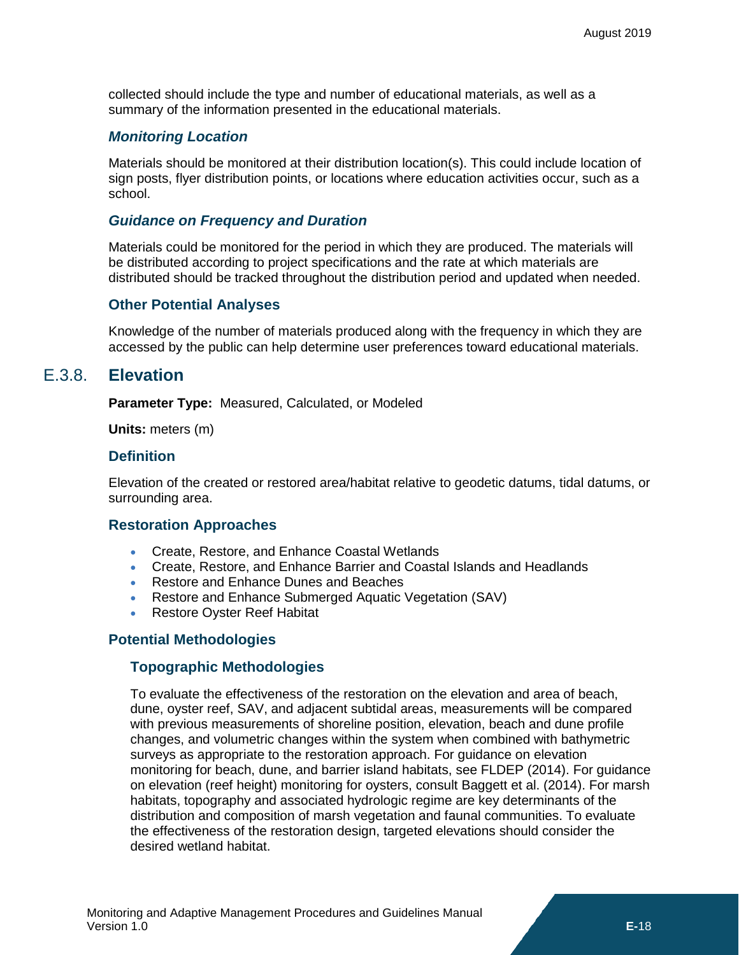collected should include the type and number of educational materials, as well as a summary of the information presented in the educational materials.

### *Monitoring Location*

Materials should be monitored at their distribution location(s). This could include location of sign posts, flyer distribution points, or locations where education activities occur, such as a school.

### *Guidance on Frequency and Duration*

Materials could be monitored for the period in which they are produced. The materials will be distributed according to project specifications and the rate at which materials are distributed should be tracked throughout the distribution period and updated when needed.

### **Other Potential Analyses**

Knowledge of the number of materials produced along with the frequency in which they are accessed by the public can help determine user preferences toward educational materials.

### E.3.8. **Elevation**

<span id="page-11-0"></span>**Parameter Type:** Measured, Calculated, or Modeled

**Units:** meters (m)

### **Definition**

Elevation of the created or restored area/habitat relative to geodetic datums, tidal datums, or surrounding area.

### **Restoration Approaches**

- Create, Restore, and Enhance Coastal Wetlands
- Create, Restore, and Enhance Barrier and Coastal Islands and Headlands
- Restore and Enhance Dunes and Beaches
- Restore and Enhance Submerged Aquatic Vegetation (SAV)
- Restore Oyster Reef Habitat

### **Potential Methodologies**

### **Topographic Methodologies**

To evaluate the effectiveness of the restoration on the elevation and area of beach, dune, oyster reef, SAV, and adjacent subtidal areas, measurements will be compared with previous measurements of shoreline position, elevation, beach and dune profile changes, and volumetric changes within the system when combined with bathymetric surveys as appropriate to the restoration approach. For guidance on elevation monitoring for beach, dune, and barrier island habitats, see FLDEP (2014). For guidance on elevation (reef height) monitoring for oysters, consult Baggett et al. (2014). For marsh habitats, topography and associated hydrologic regime are key determinants of the distribution and composition of marsh vegetation and faunal communities. To evaluate the effectiveness of the restoration design, targeted elevations should consider the desired wetland habitat.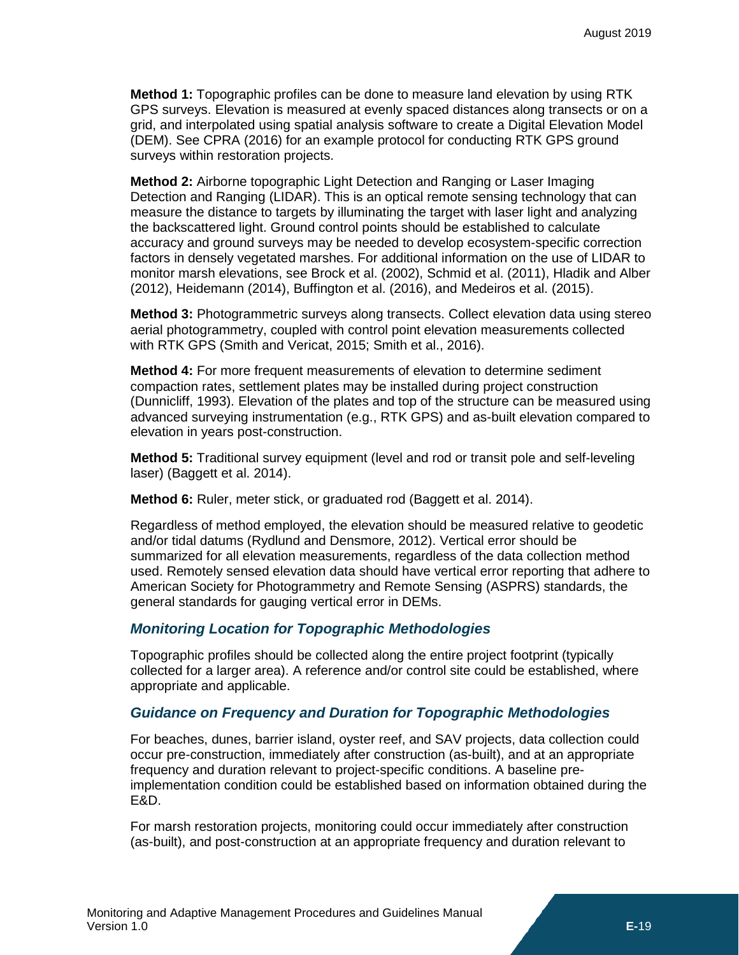**Method 1:** Topographic profiles can be done to measure land elevation by using RTK GPS surveys. Elevation is measured at evenly spaced distances along transects or on a grid, and interpolated using spatial analysis software to create a Digital Elevation Model (DEM). See CPRA (2016) for an example protocol for conducting RTK GPS ground surveys within restoration projects.

**Method 2:** Airborne topographic Light Detection and Ranging or Laser Imaging Detection and Ranging (LIDAR). This is an optical remote sensing technology that can measure the distance to targets by illuminating the target with laser light and analyzing the backscattered light. Ground control points should be established to calculate accuracy and ground surveys may be needed to develop ecosystem-specific correction factors in densely vegetated marshes. For additional information on the use of LIDAR to monitor marsh elevations, see Brock et al. (2002), Schmid et al. (2011), Hladik and Alber (2012), Heidemann (2014), Buffington et al. (2016), and Medeiros et al. (2015).

**Method 3:** Photogrammetric surveys along transects. Collect elevation data using stereo aerial photogrammetry, coupled with control point elevation measurements collected with RTK GPS (Smith and Vericat, 2015; Smith et al., 2016).

**Method 4:** For more frequent measurements of elevation to determine sediment compaction rates, settlement plates may be installed during project construction (Dunnicliff, 1993). Elevation of the plates and top of the structure can be measured using advanced surveying instrumentation (e.g., RTK GPS) and as-built elevation compared to elevation in years post-construction.

**Method 5:** Traditional survey equipment (level and rod or transit pole and self-leveling laser) (Baggett et al. 2014).

**Method 6:** Ruler, meter stick, or graduated rod (Baggett et al. 2014).

Regardless of method employed, the elevation should be measured relative to geodetic and/or tidal datums (Rydlund and Densmore, 2012). Vertical error should be summarized for all elevation measurements, regardless of the data collection method used. Remotely sensed elevation data should have vertical error reporting that adhere to American Society for Photogrammetry and Remote Sensing (ASPRS) standards, the general standards for gauging vertical error in DEMs.

### *Monitoring Location for Topographic Methodologies*

Topographic profiles should be collected along the entire project footprint (typically collected for a larger area). A reference and/or control site could be established, where appropriate and applicable.

### *Guidance on Frequency and Duration for Topographic Methodologies*

For beaches, dunes, barrier island, oyster reef, and SAV projects, data collection could occur pre-construction, immediately after construction (as-built), and at an appropriate frequency and duration relevant to project-specific conditions. A baseline preimplementation condition could be established based on information obtained during the E&D.

For marsh restoration projects, monitoring could occur immediately after construction (as-built), and post-construction at an appropriate frequency and duration relevant to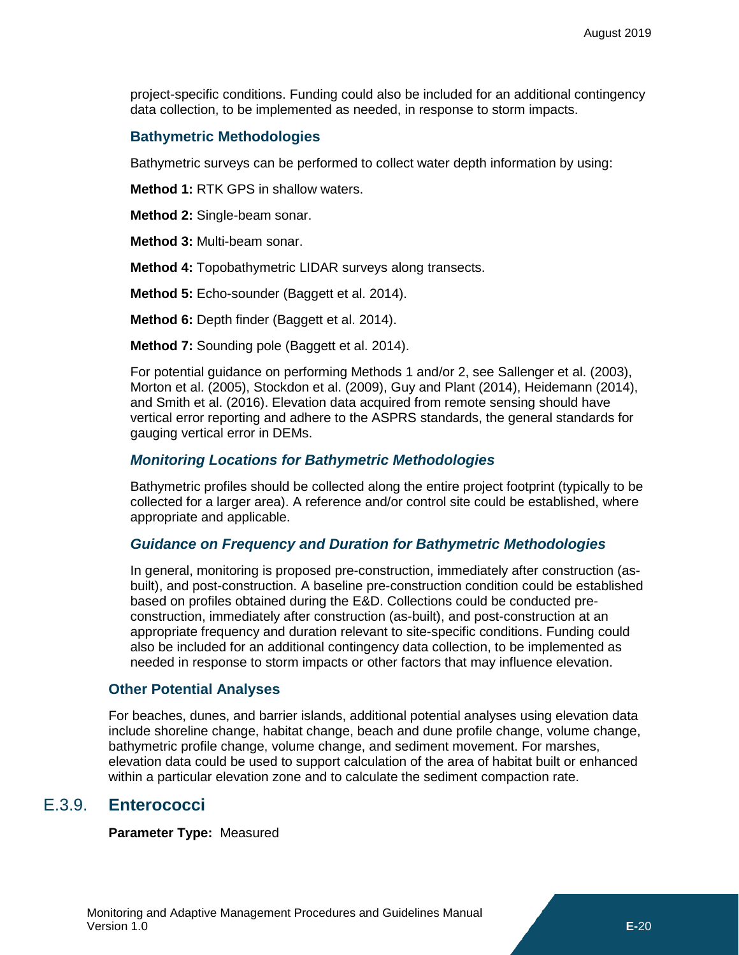project-specific conditions. Funding could also be included for an additional contingency data collection, to be implemented as needed, in response to storm impacts.

### **Bathymetric Methodologies**

Bathymetric surveys can be performed to collect water depth information by using:

**Method 1:** RTK GPS in shallow waters.

**Method 2:** Single-beam sonar.

**Method 3:** Multi-beam sonar.

**Method 4:** Topobathymetric LIDAR surveys along transects.

**Method 5:** Echo-sounder (Baggett et al. 2014).

**Method 6:** Depth finder (Baggett et al. 2014).

**Method 7:** Sounding pole (Baggett et al. 2014).

For potential guidance on performing Methods 1 and/or 2, see Sallenger et al. (2003), Morton et al. (2005), Stockdon et al. (2009), Guy and Plant (2014), Heidemann (2014), and Smith et al. (2016). Elevation data acquired from remote sensing should have vertical error reporting and adhere to the ASPRS standards, the general standards for gauging vertical error in DEMs.

### *Monitoring Locations for Bathymetric Methodologies*

Bathymetric profiles should be collected along the entire project footprint (typically to be collected for a larger area). A reference and/or control site could be established, where appropriate and applicable.

### *Guidance on Frequency and Duration for Bathymetric Methodologies*

In general, monitoring is proposed pre-construction, immediately after construction (asbuilt), and post-construction. A baseline pre-construction condition could be established based on profiles obtained during the E&D. Collections could be conducted preconstruction, immediately after construction (as-built), and post-construction at an appropriate frequency and duration relevant to site-specific conditions. Funding could also be included for an additional contingency data collection, to be implemented as needed in response to storm impacts or other factors that may influence elevation.

### **Other Potential Analyses**

For beaches, dunes, and barrier islands, additional potential analyses using elevation data include shoreline change, habitat change, beach and dune profile change, volume change, bathymetric profile change, volume change, and sediment movement. For marshes, elevation data could be used to support calculation of the area of habitat built or enhanced within a particular elevation zone and to calculate the sediment compaction rate.

### E.3.9. **Enterococci**

<span id="page-13-0"></span>**Parameter Type:** Measured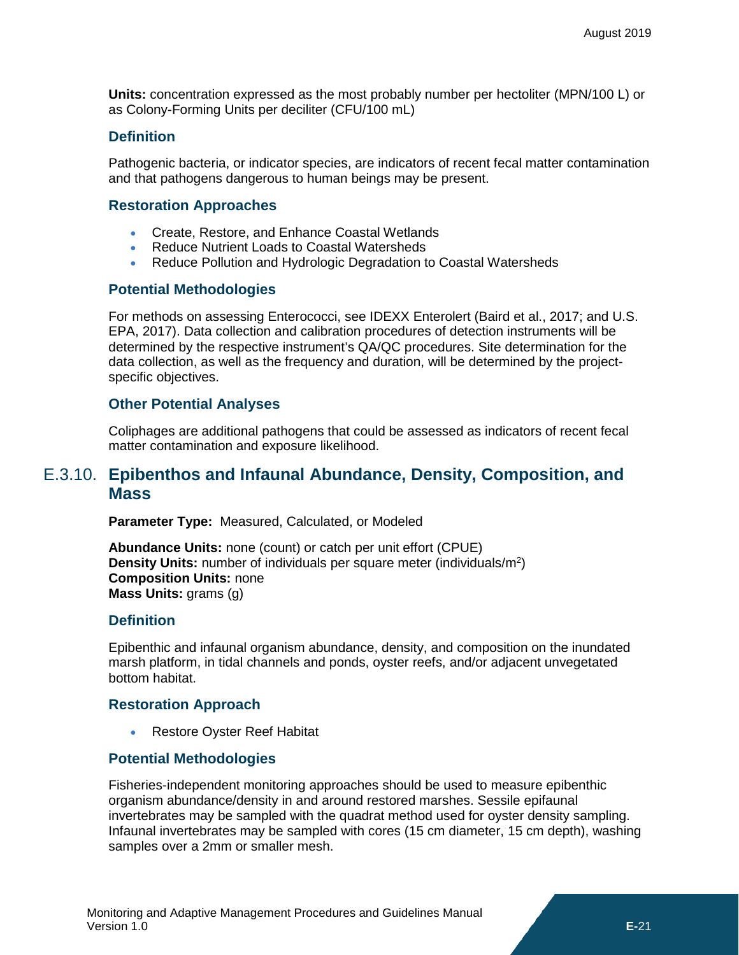**Units:** concentration expressed as the most probably number per hectoliter (MPN/100 L) or as Colony-Forming Units per deciliter (CFU/100 mL)

### **Definition**

Pathogenic bacteria, or indicator species, are indicators of recent fecal matter contamination and that pathogens dangerous to human beings may be present.

### **Restoration Approaches**

- Create, Restore, and Enhance Coastal Wetlands
- Reduce Nutrient Loads to Coastal Watersheds
- Reduce Pollution and Hydrologic Degradation to Coastal Watersheds

### **Potential Methodologies**

For methods on assessing Enterococci, see IDEXX Enterolert (Baird et al., 2017; and U.S. EPA, 2017). Data collection and calibration procedures of detection instruments will be determined by the respective instrument's QA/QC procedures. Site determination for the data collection, as well as the frequency and duration, will be determined by the projectspecific objectives.

### **Other Potential Analyses**

Coliphages are additional pathogens that could be assessed as indicators of recent fecal matter contamination and exposure likelihood.

# <span id="page-14-0"></span>E.3.10. **Epibenthos and Infaunal Abundance, Density, Composition, and Mass**

**Parameter Type:** Measured, Calculated, or Modeled

**Abundance Units:** none (count) or catch per unit effort (CPUE) **Density Units:** number of individuals per square meter (individuals/m<sup>2</sup>) **Composition Units:** none **Mass Units:** grams (g)

### **Definition**

Epibenthic and infaunal organism abundance, density, and composition on the inundated marsh platform, in tidal channels and ponds, oyster reefs, and/or adjacent unvegetated bottom habitat.

### **Restoration Approach**

• Restore Oyster Reef Habitat

### **Potential Methodologies**

Fisheries-independent monitoring approaches should be used to measure epibenthic organism abundance/density in and around restored marshes. Sessile epifaunal invertebrates may be sampled with the quadrat method used for oyster density sampling. Infaunal invertebrates may be sampled with cores (15 cm diameter, 15 cm depth), washing samples over a 2mm or smaller mesh.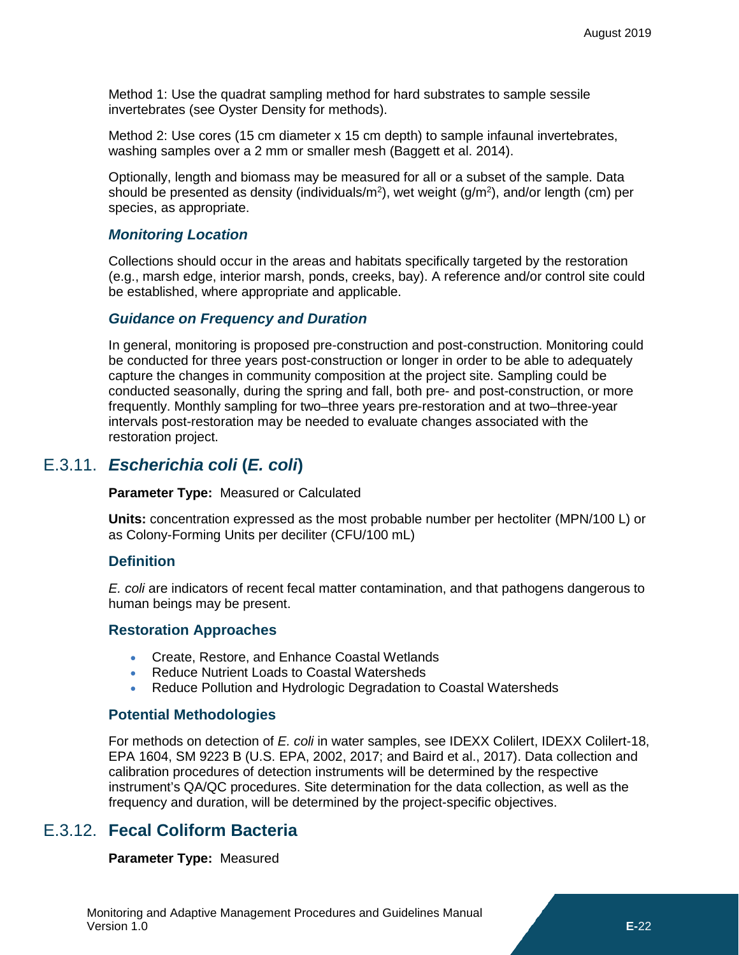Method 1: Use the quadrat sampling method for hard substrates to sample sessile invertebrates (see Oyster Density for methods).

Method 2: Use cores (15 cm diameter x 15 cm depth) to sample infaunal invertebrates, washing samples over a 2 mm or smaller mesh (Baggett et al. 2014).

Optionally, length and biomass may be measured for all or a subset of the sample. Data should be presented as density (individuals/m<sup>2</sup>), wet weight (g/m<sup>2</sup>), and/or length (cm) per species, as appropriate.

### *Monitoring Location*

Collections should occur in the areas and habitats specifically targeted by the restoration (e.g., marsh edge, interior marsh, ponds, creeks, bay). A reference and/or control site could be established, where appropriate and applicable.

### *Guidance on Frequency and Duration*

In general, monitoring is proposed pre-construction and post-construction. Monitoring could be conducted for three years post-construction or longer in order to be able to adequately capture the changes in community composition at the project site. Sampling could be conducted seasonally, during the spring and fall, both pre- and post-construction, or more frequently. Monthly sampling for two–three years pre-restoration and at two–three-year intervals post-restoration may be needed to evaluate changes associated with the restoration project.

### E.3.11. *Escherichia coli* **(***E. coli***)**

<span id="page-15-0"></span>**Parameter Type:** Measured or Calculated

**Units:** concentration expressed as the most probable number per hectoliter (MPN/100 L) or as Colony-Forming Units per deciliter (CFU/100 mL)

### **Definition**

*E. coli* are indicators of recent fecal matter contamination, and that pathogens dangerous to human beings may be present.

### **Restoration Approaches**

- Create, Restore, and Enhance Coastal Wetlands
- Reduce Nutrient Loads to Coastal Watersheds
- Reduce Pollution and Hydrologic Degradation to Coastal Watersheds

### **Potential Methodologies**

For methods on detection of *E. coli* in water samples, see IDEXX Colilert, IDEXX Colilert-18, EPA 1604, SM 9223 B (U.S. EPA, 2002, 2017; and Baird et al., 2017). Data collection and calibration procedures of detection instruments will be determined by the respective instrument's QA/QC procedures. Site determination for the data collection, as well as the frequency and duration, will be determined by the project-specific objectives.

# E.3.12. **Fecal Coliform Bacteria**

### <span id="page-15-1"></span>**Parameter Type:** Measured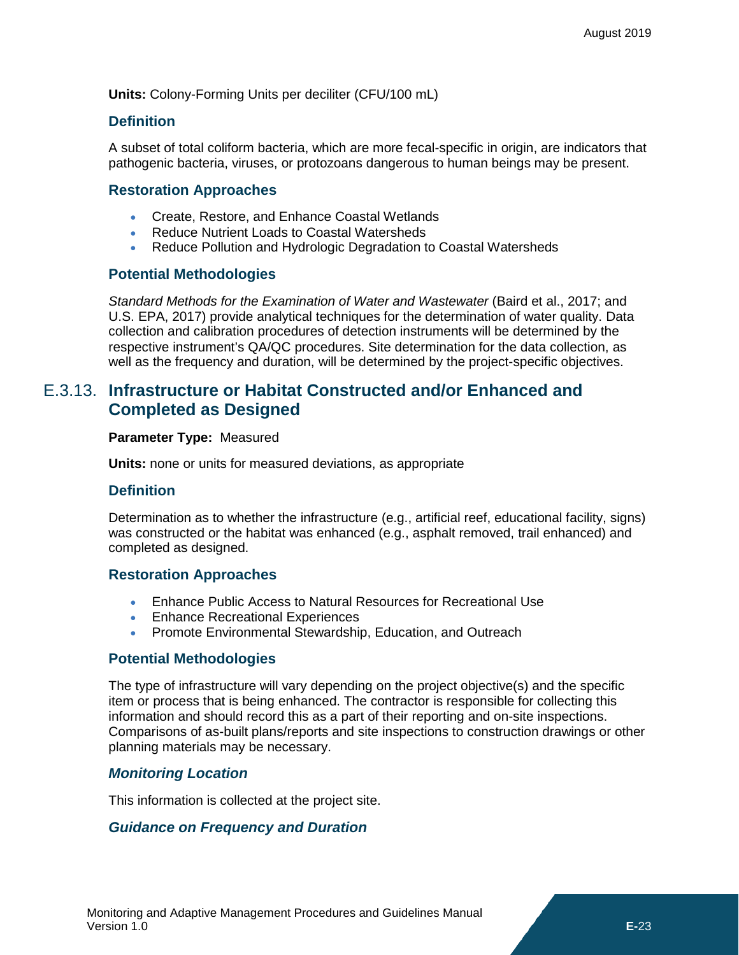**Units:** Colony-Forming Units per deciliter (CFU/100 mL)

### **Definition**

A subset of total coliform bacteria, which are more fecal-specific in origin, are indicators that pathogenic bacteria, viruses, or protozoans dangerous to human beings may be present.

### **Restoration Approaches**

- Create, Restore, and Enhance Coastal Wetlands
- Reduce Nutrient Loads to Coastal Watersheds
- Reduce Pollution and Hydrologic Degradation to Coastal Watersheds

### **Potential Methodologies**

*Standard Methods for the Examination of Water and Wastewater* (Baird et al., 2017; and U.S. EPA, 2017) provide analytical techniques for the determination of water quality. Data collection and calibration procedures of detection instruments will be determined by the respective instrument's QA/QC procedures. Site determination for the data collection, as well as the frequency and duration, will be determined by the project-specific objectives.

# <span id="page-16-0"></span>E.3.13. **Infrastructure or Habitat Constructed and/or Enhanced and Completed as Designed**

### **Parameter Type:** Measured

**Units:** none or units for measured deviations, as appropriate

### **Definition**

Determination as to whether the infrastructure (e.g., artificial reef, educational facility, signs) was constructed or the habitat was enhanced (e.g., asphalt removed, trail enhanced) and completed as designed.

### **Restoration Approaches**

- Enhance Public Access to Natural Resources for Recreational Use
- Enhance Recreational Experiences
- Promote Environmental Stewardship, Education, and Outreach

### **Potential Methodologies**

The type of infrastructure will vary depending on the project objective(s) and the specific item or process that is being enhanced. The contractor is responsible for collecting this information and should record this as a part of their reporting and on-site inspections. Comparisons of as-built plans/reports and site inspections to construction drawings or other planning materials may be necessary.

### *Monitoring Location*

This information is collected at the project site.

### *Guidance on Frequency and Duration*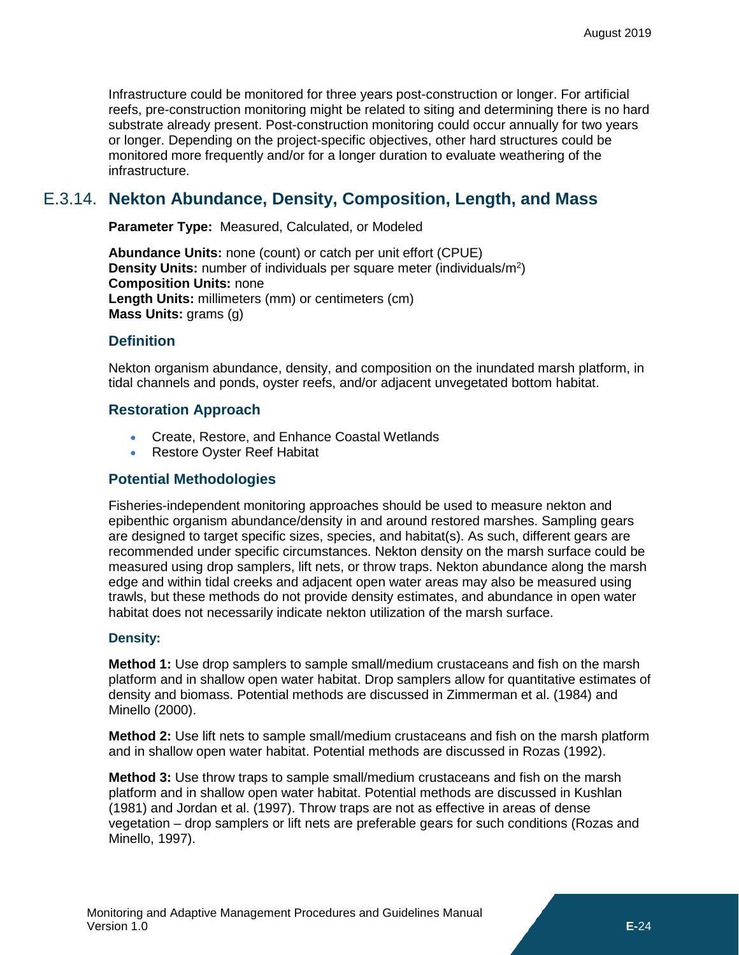Infrastructure could be monitored for three years post-construction or longer. For artificial reefs, pre-construction monitoring might be related to siting and determining there is no hard substrate already present. Post-construction monitoring could occur annually for two years or longer. Depending on the project-specific objectives, other hard structures could be monitored more frequently and/or for a longer duration to evaluate weathering of the infrastructure.

# E.3.14. **Nekton Abundance, Density, Composition, Length, and Mass**

<span id="page-17-0"></span>**Parameter Type:** Measured, Calculated, or Modeled

**Abundance Units:** none (count) or catch per unit effort (CPUE) **Density Units:** number of individuals per square meter (individuals/m<sup>2</sup>) **Composition Units:** none **Length Units:** millimeters (mm) or centimeters (cm) **Mass Units:** grams (g)

### **Definition**

Nekton organism abundance, density, and composition on the inundated marsh platform, in tidal channels and ponds, oyster reefs, and/or adjacent unvegetated bottom habitat.

### **Restoration Approach**

- Create, Restore, and Enhance Coastal Wetlands
- Restore Oyster Reef Habitat

### **Potential Methodologies**

Fisheries-independent monitoring approaches should be used to measure nekton and epibenthic organism abundance/density in and around restored marshes. Sampling gears are designed to target specific sizes, species, and habitat(s). As such, different gears are recommended under specific circumstances. Nekton density on the marsh surface could be measured using drop samplers, lift nets, or throw traps. Nekton abundance along the marsh edge and within tidal creeks and adjacent open water areas may also be measured using trawls, but these methods do not provide density estimates, and abundance in open water habitat does not necessarily indicate nekton utilization of the marsh surface.

### **Density:**

**Method 1:** Use drop samplers to sample small/medium crustaceans and fish on the marsh platform and in shallow open water habitat. Drop samplers allow for quantitative estimates of density and biomass. Potential methods are discussed in Zimmerman et al. (1984) and Minello (2000).

**Method 2:** Use lift nets to sample small/medium crustaceans and fish on the marsh platform and in shallow open water habitat. Potential methods are discussed in Rozas (1992).

**Method 3:** Use throw traps to sample small/medium crustaceans and fish on the marsh platform and in shallow open water habitat. Potential methods are discussed in Kushlan (1981) and Jordan et al. (1997). Throw traps are not as effective in areas of dense vegetation – drop samplers or lift nets are preferable gears for such conditions (Rozas and Minello, 1997).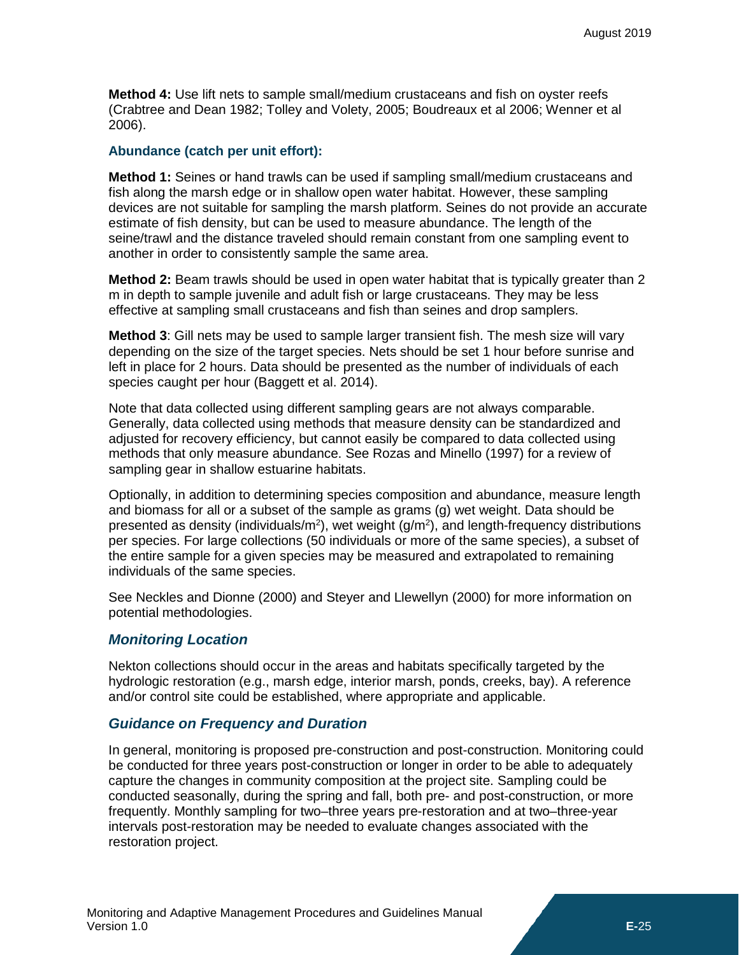**Method 4:** Use lift nets to sample small/medium crustaceans and fish on oyster reefs (Crabtree and Dean 1982; Tolley and Volety, 2005; Boudreaux et al 2006; Wenner et al 2006).

#### **Abundance (catch per unit effort):**

**Method 1:** Seines or hand trawls can be used if sampling small/medium crustaceans and fish along the marsh edge or in shallow open water habitat. However, these sampling devices are not suitable for sampling the marsh platform. Seines do not provide an accurate estimate of fish density, but can be used to measure abundance. The length of the seine/trawl and the distance traveled should remain constant from one sampling event to another in order to consistently sample the same area.

**Method 2:** Beam trawls should be used in open water habitat that is typically greater than 2 m in depth to sample juvenile and adult fish or large crustaceans. They may be less effective at sampling small crustaceans and fish than seines and drop samplers.

**Method 3**: Gill nets may be used to sample larger transient fish. The mesh size will vary depending on the size of the target species. Nets should be set 1 hour before sunrise and left in place for 2 hours. Data should be presented as the number of individuals of each species caught per hour (Baggett et al. 2014).

Note that data collected using different sampling gears are not always comparable. Generally, data collected using methods that measure density can be standardized and adjusted for recovery efficiency, but cannot easily be compared to data collected using methods that only measure abundance. See Rozas and Minello (1997) for a review of sampling gear in shallow estuarine habitats.

Optionally, in addition to determining species composition and abundance, measure length and biomass for all or a subset of the sample as grams (g) wet weight. Data should be presented as density (individuals/m<sup>2</sup>), wet weight (g/m<sup>2</sup>), and length-frequency distributions per species. For large collections (50 individuals or more of the same species), a subset of the entire sample for a given species may be measured and extrapolated to remaining individuals of the same species.

See Neckles and Dionne (2000) and Steyer and Llewellyn (2000) for more information on potential methodologies.

### *Monitoring Location*

Nekton collections should occur in the areas and habitats specifically targeted by the hydrologic restoration (e.g., marsh edge, interior marsh, ponds, creeks, bay). A reference and/or control site could be established, where appropriate and applicable.

### *Guidance on Frequency and Duration*

In general, monitoring is proposed pre-construction and post-construction. Monitoring could be conducted for three years post-construction or longer in order to be able to adequately capture the changes in community composition at the project site. Sampling could be conducted seasonally, during the spring and fall, both pre- and post-construction, or more frequently. Monthly sampling for two–three years pre-restoration and at two–three-year intervals post-restoration may be needed to evaluate changes associated with the restoration project.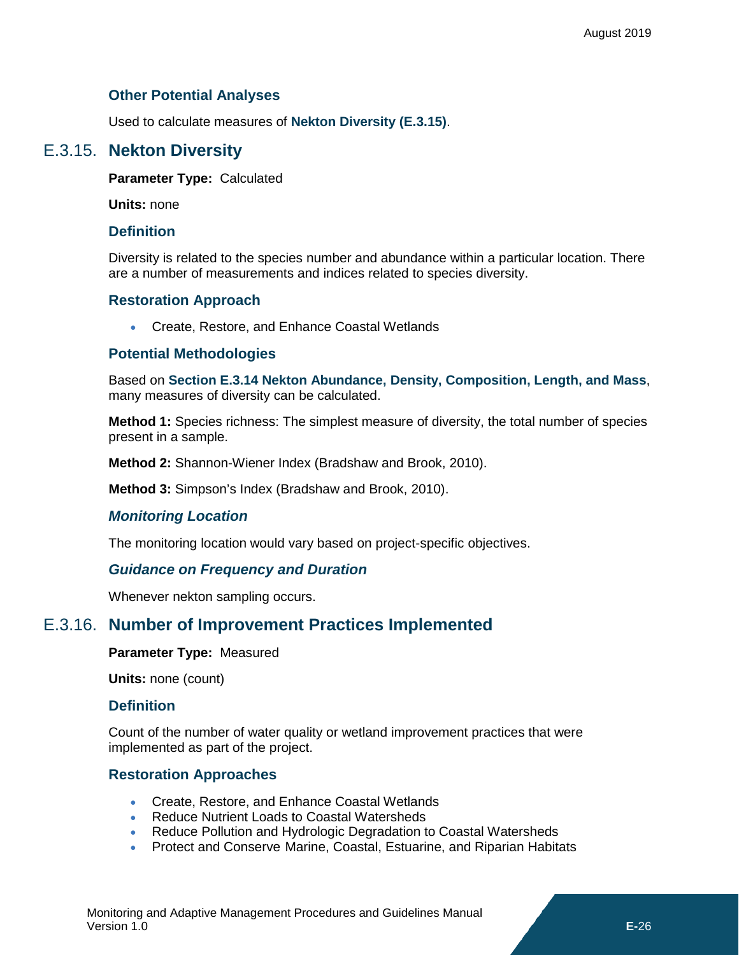### **Other Potential Analyses**

<span id="page-19-0"></span>Used to calculate measures of **[Nekton Diversity](#page-19-0) [\(E.3.15\)](#page-19-0)**.

# E.3.15. **Nekton Diversity**

**Parameter Type:** Calculated

**Units:** none

### **Definition**

Diversity is related to the species number and abundance within a particular location. There are a number of measurements and indices related to species diversity.

### **Restoration Approach**

• Create, Restore, and Enhance Coastal Wetlands

### **Potential Methodologies**

Based on **Section [E.3.14](#page-17-0) [Nekton Abundance, Density, Composition, Length, and Mass](#page-17-0)**, many measures of diversity can be calculated.

**Method 1:** Species richness: The simplest measure of diversity, the total number of species present in a sample.

**Method 2:** Shannon-Wiener Index (Bradshaw and Brook, 2010).

**Method 3:** Simpson's Index (Bradshaw and Brook, 2010).

### *Monitoring Location*

The monitoring location would vary based on project-specific objectives.

### *Guidance on Frequency and Duration*

<span id="page-19-1"></span>Whenever nekton sampling occurs.

# E.3.16. **Number of Improvement Practices Implemented**

### **Parameter Type:** Measured

**Units:** none (count)

### **Definition**

Count of the number of water quality or wetland improvement practices that were implemented as part of the project.

### **Restoration Approaches**

- Create, Restore, and Enhance Coastal Wetlands
- Reduce Nutrient Loads to Coastal Watersheds
- Reduce Pollution and Hydrologic Degradation to Coastal Watersheds
- Protect and Conserve Marine, Coastal, Estuarine, and Riparian Habitats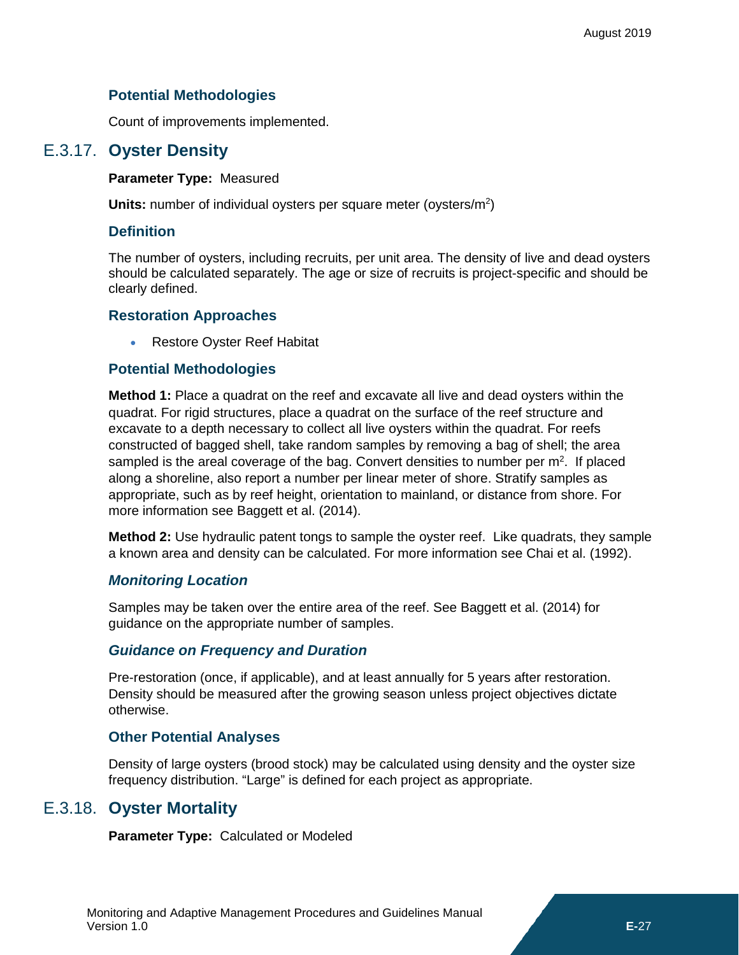### **Potential Methodologies**

<span id="page-20-0"></span>Count of improvements implemented.

# E.3.17. **Oyster Density**

### **Parameter Type:** Measured

Units: number of individual oysters per square meter (oysters/m<sup>2</sup>)

### **Definition**

The number of oysters, including recruits, per unit area. The density of live and dead oysters should be calculated separately. The age or size of recruits is project-specific and should be clearly defined.

### **Restoration Approaches**

• Restore Oyster Reef Habitat

### **Potential Methodologies**

**Method 1:** Place a quadrat on the reef and excavate all live and dead oysters within the quadrat. For rigid structures, place a quadrat on the surface of the reef structure and excavate to a depth necessary to collect all live oysters within the quadrat. For reefs constructed of bagged shell, take random samples by removing a bag of shell; the area sampled is the areal coverage of the bag. Convert densities to number per  $m^2$ . If placed along a shoreline, also report a number per linear meter of shore. Stratify samples as appropriate, such as by reef height, orientation to mainland, or distance from shore. For more information see Baggett et al. (2014).

**Method 2:** Use hydraulic patent tongs to sample the oyster reef. Like quadrats, they sample a known area and density can be calculated. For more information see Chai et al. (1992).

### *Monitoring Location*

Samples may be taken over the entire area of the reef. See Baggett et al. (2014) for guidance on the appropriate number of samples.

### *Guidance on Frequency and Duration*

Pre-restoration (once, if applicable), and at least annually for 5 years after restoration. Density should be measured after the growing season unless project objectives dictate otherwise.

### **Other Potential Analyses**

Density of large oysters (brood stock) may be calculated using density and the oyster size frequency distribution. "Large" is defined for each project as appropriate.

### E.3.18. **Oyster Mortality**

<span id="page-20-1"></span>**Parameter Type:** Calculated or Modeled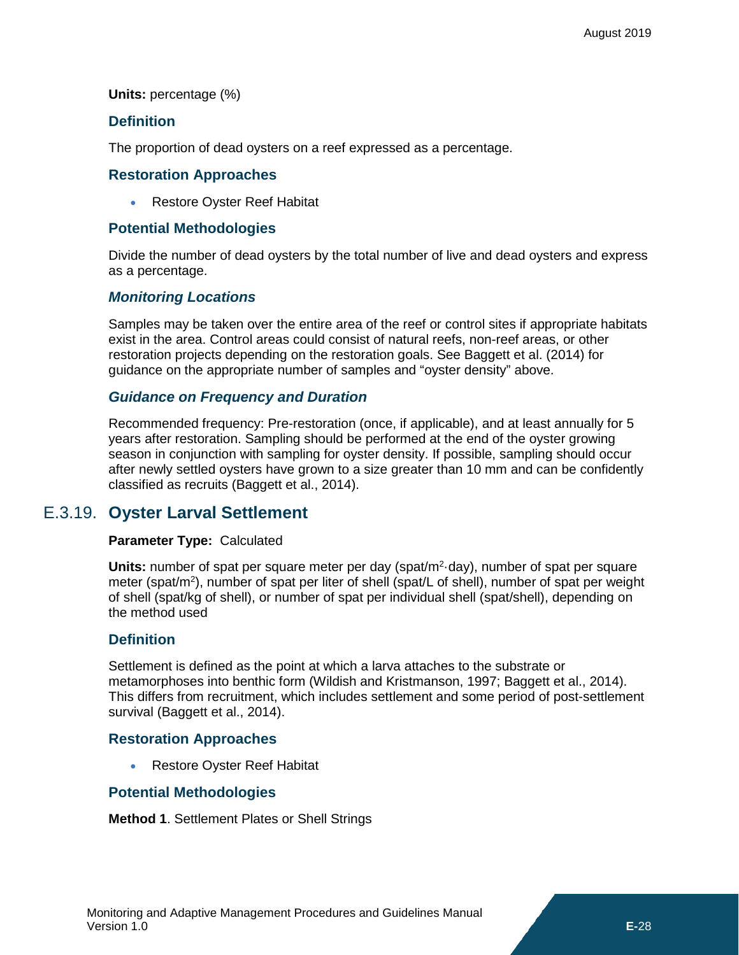**Units:** percentage (%)

### **Definition**

The proportion of dead oysters on a reef expressed as a percentage.

### **Restoration Approaches**

• Restore Oyster Reef Habitat

### **Potential Methodologies**

Divide the number of dead oysters by the total number of live and dead oysters and express as a percentage.

### *Monitoring Locations*

Samples may be taken over the entire area of the reef or control sites if appropriate habitats exist in the area. Control areas could consist of natural reefs, non-reef areas, or other restoration projects depending on the restoration goals. See Baggett et al. (2014) for guidance on the appropriate number of samples and "oyster density" above.

### *Guidance on Frequency and Duration*

Recommended frequency: Pre-restoration (once, if applicable), and at least annually for 5 years after restoration. Sampling should be performed at the end of the oyster growing season in conjunction with sampling for oyster density. If possible, sampling should occur after newly settled oysters have grown to a size greater than 10 mm and can be confidently classified as recruits (Baggett et al., 2014).

# E.3.19. **Oyster Larval Settlement**

### <span id="page-21-0"></span>**Parameter Type:** Calculated

Units: number of spat per square meter per day (spat/m<sup>2</sup>·day), number of spat per square meter (spat/m<sup>2</sup>), number of spat per liter of shell (spat/L of shell), number of spat per weight of shell (spat/kg of shell), or number of spat per individual shell (spat/shell), depending on the method used

### **Definition**

Settlement is defined as the point at which a larva attaches to the substrate or metamorphoses into benthic form (Wildish and Kristmanson, 1997; Baggett et al., 2014). This differs from recruitment, which includes settlement and some period of post-settlement survival (Baggett et al., 2014).

### **Restoration Approaches**

• Restore Oyster Reef Habitat

### **Potential Methodologies**

**Method 1**. Settlement Plates or Shell Strings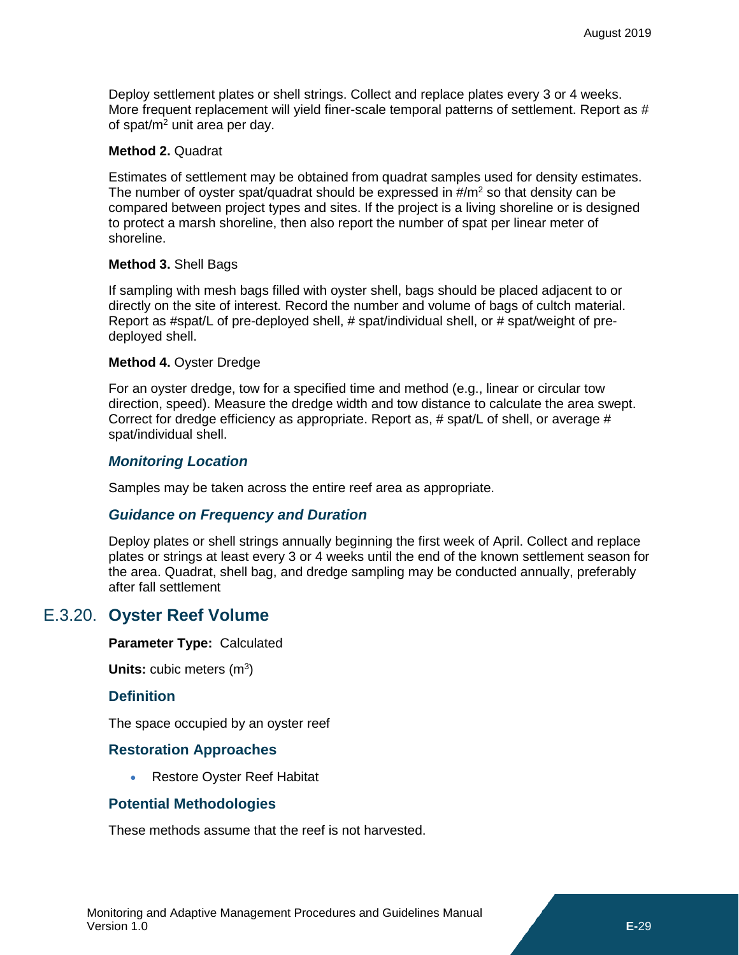Deploy settlement plates or shell strings. Collect and replace plates every 3 or 4 weeks. More frequent replacement will yield finer-scale temporal patterns of settlement. Report as # of spat/ $m<sup>2</sup>$  unit area per day.

#### **Method 2.** Quadrat

Estimates of settlement may be obtained from quadrat samples used for density estimates. The number of oyster spat/quadrat should be expressed in  $\#/m^2$  so that density can be compared between project types and sites. If the project is a living shoreline or is designed to protect a marsh shoreline, then also report the number of spat per linear meter of shoreline.

#### **Method 3.** Shell Bags

If sampling with mesh bags filled with oyster shell, bags should be placed adjacent to or directly on the site of interest. Record the number and volume of bags of cultch material. Report as #spat/L of pre-deployed shell, # spat/individual shell, or # spat/weight of predeployed shell.

#### **Method 4.** Oyster Dredge

For an oyster dredge, tow for a specified time and method (e.g., linear or circular tow direction, speed). Measure the dredge width and tow distance to calculate the area swept. Correct for dredge efficiency as appropriate. Report as, # spat/L of shell, or average # spat/individual shell.

### *Monitoring Location*

Samples may be taken across the entire reef area as appropriate.

### *Guidance on Frequency and Duration*

Deploy plates or shell strings annually beginning the first week of April. Collect and replace plates or strings at least every 3 or 4 weeks until the end of the known settlement season for the area. Quadrat, shell bag, and dredge sampling may be conducted annually, preferably after fall settlement

### E.3.20. **Oyster Reef Volume**

<span id="page-22-0"></span>**Parameter Type:** Calculated

**Units:** cubic meters (m<sup>3</sup>)

### **Definition**

The space occupied by an oyster reef

### **Restoration Approaches**

• Restore Oyster Reef Habitat

### **Potential Methodologies**

These methods assume that the reef is not harvested.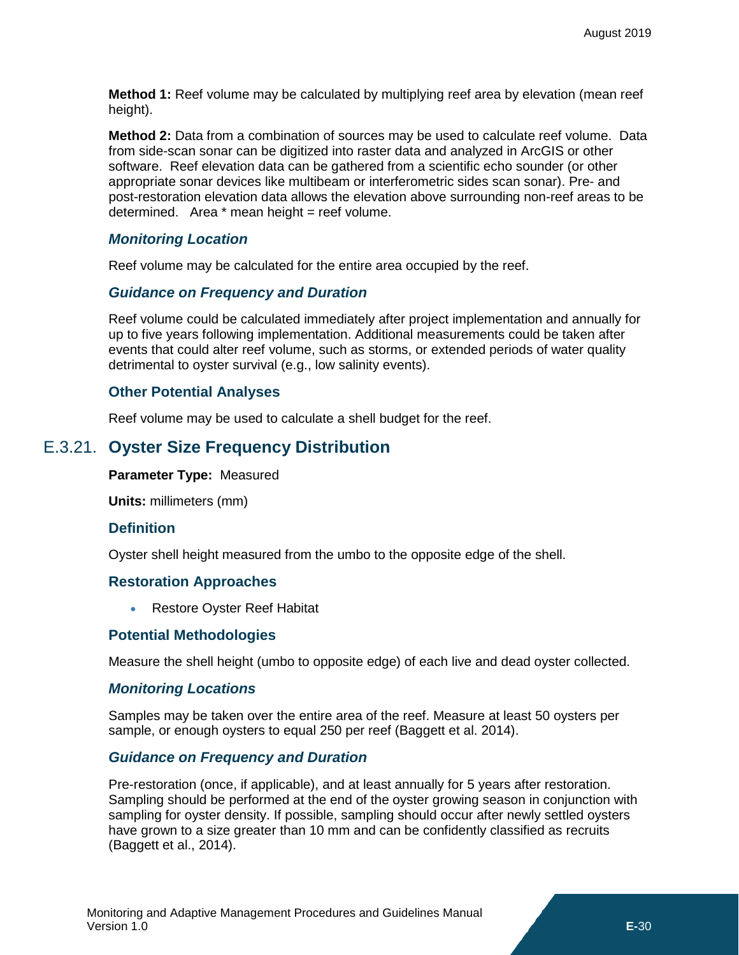**Method 1:** Reef volume may be calculated by multiplying reef area by elevation (mean reef height).

**Method 2:** Data from a combination of sources may be used to calculate reef volume. Data from side-scan sonar can be digitized into raster data and analyzed in ArcGIS or other software. Reef elevation data can be gathered from a scientific echo sounder (or other appropriate sonar devices like multibeam or interferometric sides scan sonar). Pre- and post-restoration elevation data allows the elevation above surrounding non-reef areas to be determined. Area  $*$  mean height = reef volume.

### *Monitoring Location*

Reef volume may be calculated for the entire area occupied by the reef.

### *Guidance on Frequency and Duration*

Reef volume could be calculated immediately after project implementation and annually for up to five years following implementation. Additional measurements could be taken after events that could alter reef volume, such as storms, or extended periods of water quality detrimental to oyster survival (e.g., low salinity events).

### **Other Potential Analyses**

<span id="page-23-0"></span>Reef volume may be used to calculate a shell budget for the reef.

### E.3.21. **Oyster Size Frequency Distribution**

**Parameter Type:** Measured

**Units:** millimeters (mm)

### **Definition**

Oyster shell height measured from the umbo to the opposite edge of the shell.

### **Restoration Approaches**

• Restore Oyster Reef Habitat

### **Potential Methodologies**

Measure the shell height (umbo to opposite edge) of each live and dead oyster collected.

### *Monitoring Locations*

Samples may be taken over the entire area of the reef. Measure at least 50 oysters per sample, or enough oysters to equal 250 per reef (Baggett et al. 2014).

### *Guidance on Frequency and Duration*

Pre-restoration (once, if applicable), and at least annually for 5 years after restoration. Sampling should be performed at the end of the oyster growing season in conjunction with sampling for oyster density. If possible, sampling should occur after newly settled oysters have grown to a size greater than 10 mm and can be confidently classified as recruits (Baggett et al., 2014).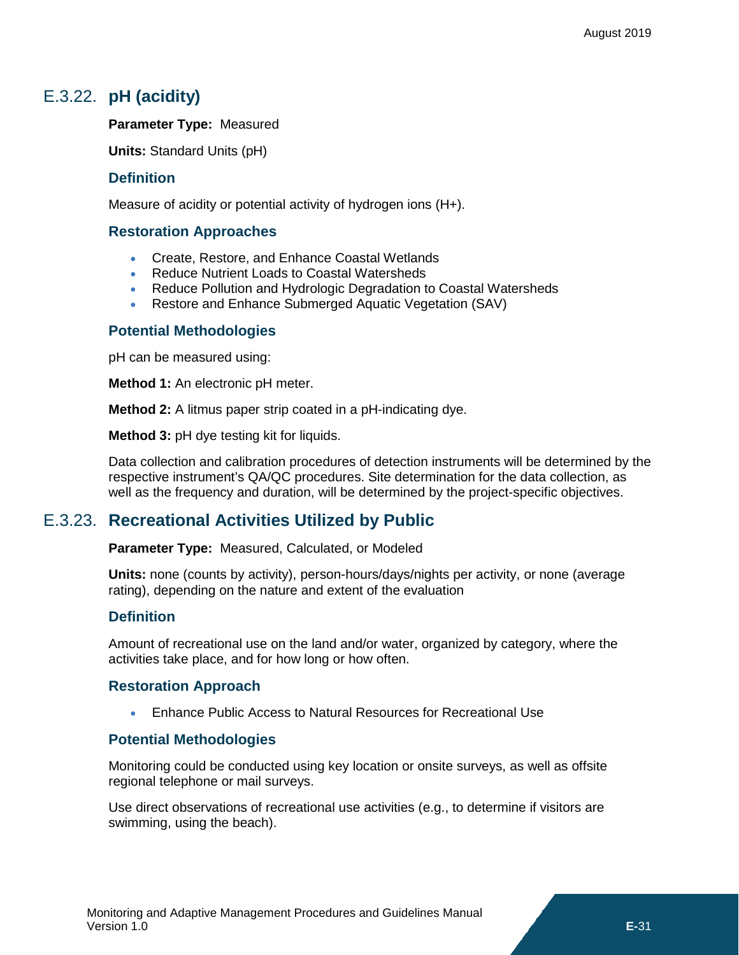# E.3.22. **pH (acidity)**

### <span id="page-24-0"></span>**Parameter Type:** Measured

**Units:** Standard Units (pH)

### **Definition**

Measure of acidity or potential activity of hydrogen ions (H+).

### **Restoration Approaches**

- Create, Restore, and Enhance Coastal Wetlands
- Reduce Nutrient Loads to Coastal Watersheds
- Reduce Pollution and Hydrologic Degradation to Coastal Watersheds
- Restore and Enhance Submerged Aquatic Vegetation (SAV)

### **Potential Methodologies**

pH can be measured using:

**Method 1:** An electronic pH meter.

**Method 2:** A litmus paper strip coated in a pH-indicating dye.

**Method 3:** pH dye testing kit for liquids.

Data collection and calibration procedures of detection instruments will be determined by the respective instrument's QA/QC procedures. Site determination for the data collection, as well as the frequency and duration, will be determined by the project-specific objectives.

### E.3.23. **Recreational Activities Utilized by Public**

<span id="page-24-1"></span>**Parameter Type:** Measured, Calculated, or Modeled

**Units:** none (counts by activity), person-hours/days/nights per activity, or none (average rating), depending on the nature and extent of the evaluation

### **Definition**

Amount of recreational use on the land and/or water, organized by category, where the activities take place, and for how long or how often.

### **Restoration Approach**

• Enhance Public Access to Natural Resources for Recreational Use

### **Potential Methodologies**

Monitoring could be conducted using key location or onsite surveys, as well as offsite regional telephone or mail surveys.

Use direct observations of recreational use activities (e.g., to determine if visitors are swimming, using the beach).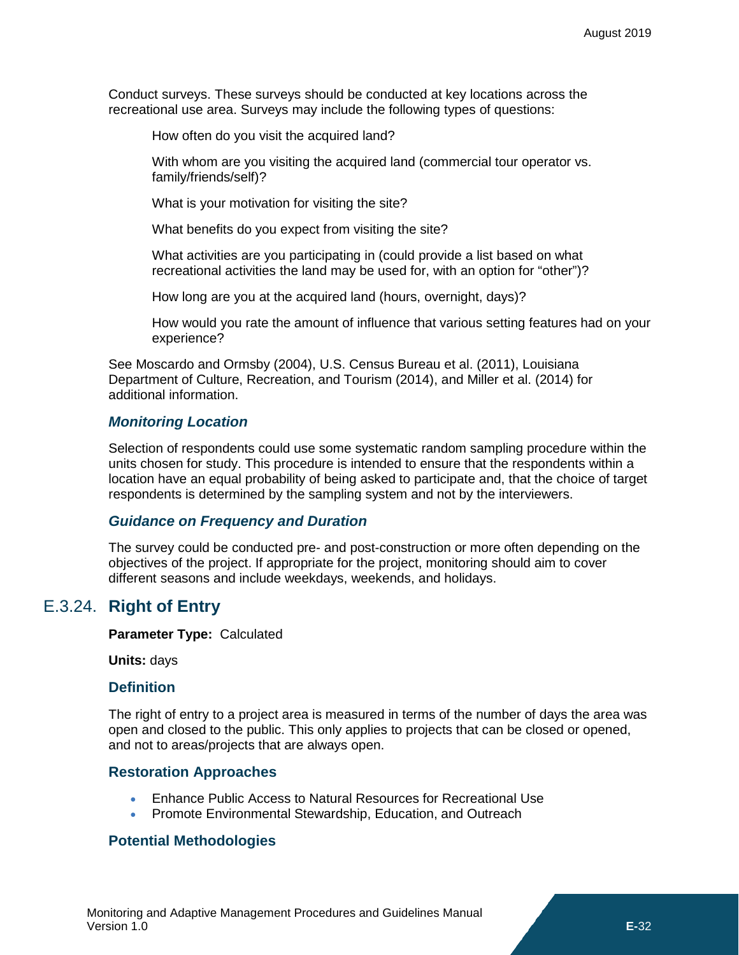Conduct surveys. These surveys should be conducted at key locations across the recreational use area. Surveys may include the following types of questions:

How often do you visit the acquired land?

With whom are you visiting the acquired land (commercial tour operator vs. family/friends/self)?

What is your motivation for visiting the site?

What benefits do you expect from visiting the site?

What activities are you participating in (could provide a list based on what recreational activities the land may be used for, with an option for "other")?

How long are you at the acquired land (hours, overnight, days)?

How would you rate the amount of influence that various setting features had on your experience?

See Moscardo and Ormsby (2004), U.S. Census Bureau et al. (2011), Louisiana Department of Culture, Recreation, and Tourism (2014), and Miller et al. (2014) for additional information.

#### *Monitoring Location*

Selection of respondents could use some systematic random sampling procedure within the units chosen for study. This procedure is intended to ensure that the respondents within a location have an equal probability of being asked to participate and, that the choice of target respondents is determined by the sampling system and not by the interviewers.

#### *Guidance on Frequency and Duration*

The survey could be conducted pre- and post-construction or more often depending on the objectives of the project. If appropriate for the project, monitoring should aim to cover different seasons and include weekdays, weekends, and holidays.

### <span id="page-25-0"></span>E.3.24. **Right of Entry**

**Parameter Type:** Calculated

**Units:** days

#### **Definition**

The right of entry to a project area is measured in terms of the number of days the area was open and closed to the public. This only applies to projects that can be closed or opened, and not to areas/projects that are always open.

### **Restoration Approaches**

- Enhance Public Access to Natural Resources for Recreational Use
- Promote Environmental Stewardship, Education, and Outreach

### **Potential Methodologies**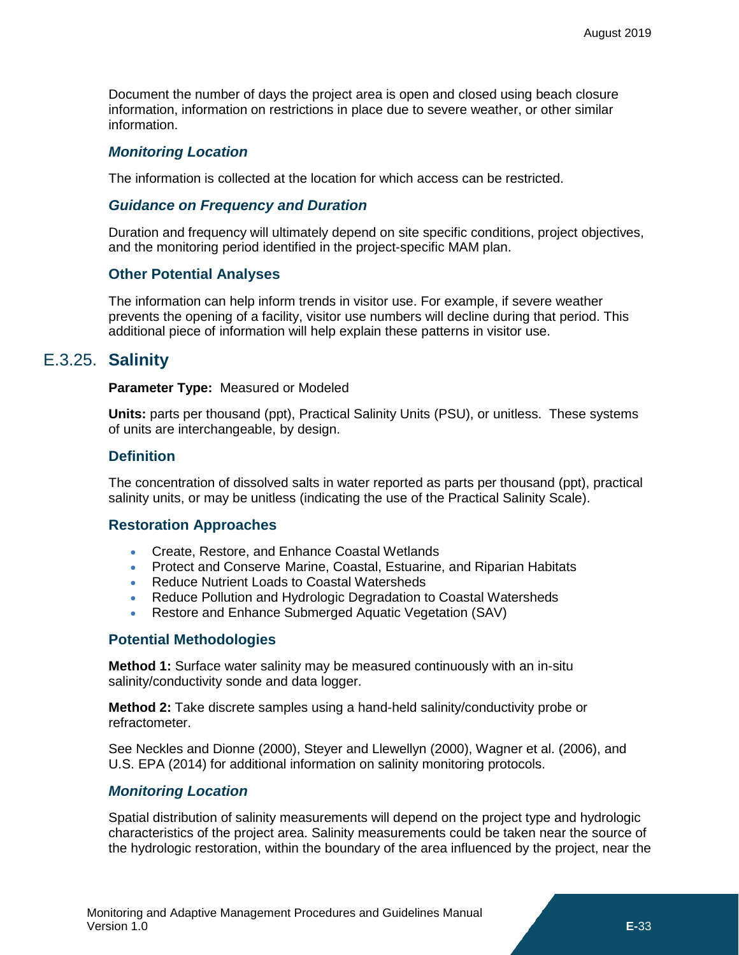Document the number of days the project area is open and closed using beach closure information, information on restrictions in place due to severe weather, or other similar information.

### *Monitoring Location*

The information is collected at the location for which access can be restricted.

### *Guidance on Frequency and Duration*

Duration and frequency will ultimately depend on site specific conditions, project objectives, and the monitoring period identified in the project-specific MAM plan.

### **Other Potential Analyses**

The information can help inform trends in visitor use. For example, if severe weather prevents the opening of a facility, visitor use numbers will decline during that period. This additional piece of information will help explain these patterns in visitor use.

### <span id="page-26-0"></span>E.3.25. **Salinity**

#### **Parameter Type:** Measured or Modeled

**Units:** parts per thousand (ppt), Practical Salinity Units (PSU), or unitless. These systems of units are interchangeable, by design.

### **Definition**

The concentration of dissolved salts in water reported as parts per thousand (ppt), practical salinity units, or may be unitless (indicating the use of the Practical Salinity Scale).

### **Restoration Approaches**

- Create, Restore, and Enhance Coastal Wetlands
- Protect and Conserve Marine, Coastal, Estuarine, and Riparian Habitats
- Reduce Nutrient Loads to Coastal Watersheds
- Reduce Pollution and Hydrologic Degradation to Coastal Watersheds
- Restore and Enhance Submerged Aquatic Vegetation (SAV)

### **Potential Methodologies**

**Method 1:** Surface water salinity may be measured continuously with an in-situ salinity/conductivity sonde and data logger.

**Method 2:** Take discrete samples using a hand-held salinity/conductivity probe or refractometer.

See Neckles and Dionne (2000), Steyer and Llewellyn (2000), Wagner et al. (2006), and U.S. EPA (2014) for additional information on salinity monitoring protocols.

### *Monitoring Location*

Spatial distribution of salinity measurements will depend on the project type and hydrologic characteristics of the project area. Salinity measurements could be taken near the source of the hydrologic restoration, within the boundary of the area influenced by the project, near the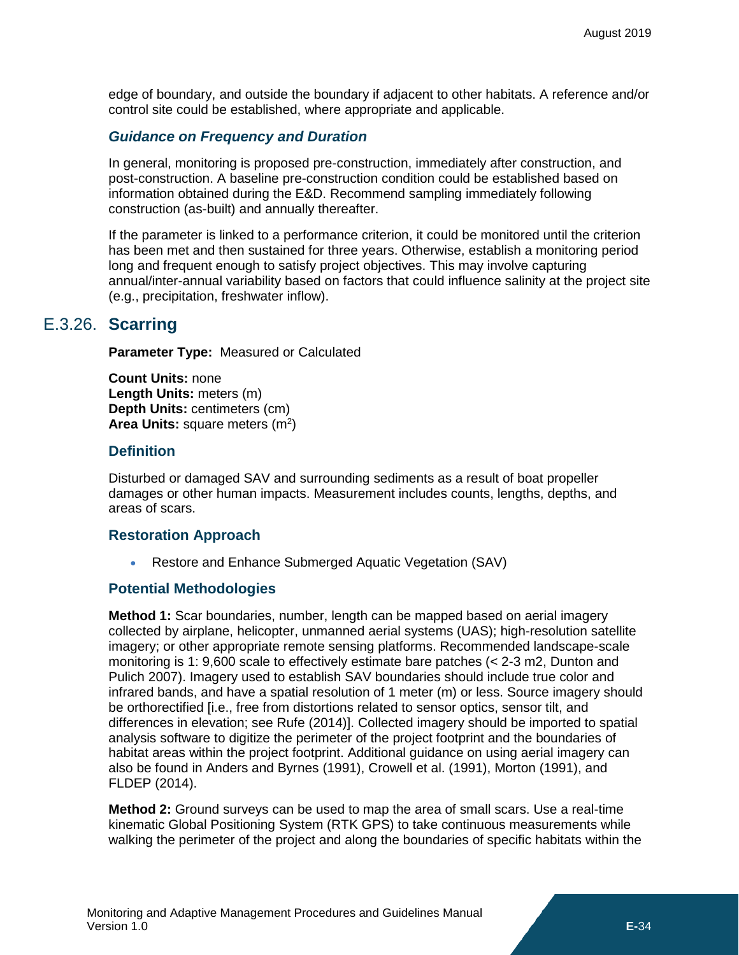edge of boundary, and outside the boundary if adjacent to other habitats. A reference and/or control site could be established, where appropriate and applicable.

### *Guidance on Frequency and Duration*

In general, monitoring is proposed pre-construction, immediately after construction, and post-construction. A baseline pre-construction condition could be established based on information obtained during the E&D. Recommend sampling immediately following construction (as-built) and annually thereafter.

If the parameter is linked to a performance criterion, it could be monitored until the criterion has been met and then sustained for three years. Otherwise, establish a monitoring period long and frequent enough to satisfy project objectives. This may involve capturing annual/inter-annual variability based on factors that could influence salinity at the project site (e.g., precipitation, freshwater inflow).

### E.3.26. **Scarring**

<span id="page-27-0"></span>**Parameter Type:** Measured or Calculated

**Count Units:** none **Length Units:** meters (m) **Depth Units:** centimeters (cm) Area Units: square meters (m<sup>2</sup>)

### **Definition**

Disturbed or damaged SAV and surrounding sediments as a result of boat propeller damages or other human impacts. Measurement includes counts, lengths, depths, and areas of scars.

### **Restoration Approach**

• Restore and Enhance Submerged Aquatic Vegetation (SAV)

### **Potential Methodologies**

**Method 1:** Scar boundaries, number, length can be mapped based on aerial imagery collected by airplane, helicopter, unmanned aerial systems (UAS); high-resolution satellite imagery; or other appropriate remote sensing platforms. Recommended landscape-scale monitoring is 1: 9,600 scale to effectively estimate bare patches (< 2-3 m2, Dunton and Pulich 2007). Imagery used to establish SAV boundaries should include true color and infrared bands, and have a spatial resolution of 1 meter (m) or less. Source imagery should be orthorectified [i.e., free from distortions related to sensor optics, sensor tilt, and differences in elevation; see Rufe (2014)]. Collected imagery should be imported to spatial analysis software to digitize the perimeter of the project footprint and the boundaries of habitat areas within the project footprint. Additional guidance on using aerial imagery can also be found in Anders and Byrnes (1991), Crowell et al. (1991), Morton (1991), and FLDEP (2014).

**Method 2:** Ground surveys can be used to map the area of small scars. Use a real-time kinematic Global Positioning System (RTK GPS) to take continuous measurements while walking the perimeter of the project and along the boundaries of specific habitats within the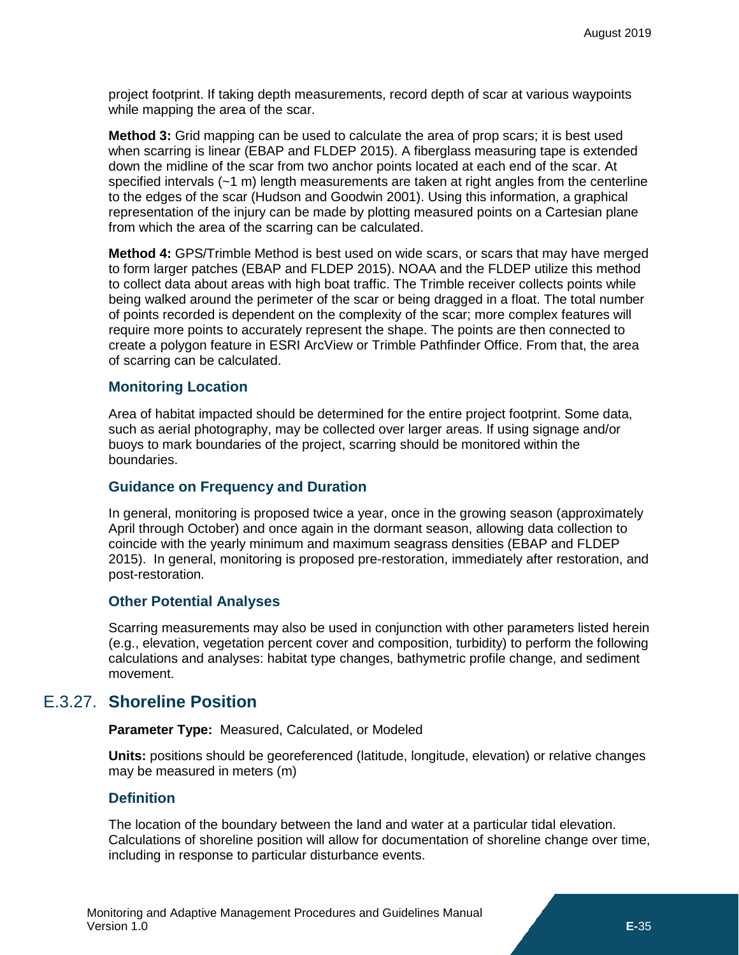project footprint. If taking depth measurements, record depth of scar at various waypoints while mapping the area of the scar.

**Method 3:** Grid mapping can be used to calculate the area of prop scars; it is best used when scarring is linear (EBAP and FLDEP 2015). A fiberglass measuring tape is extended down the midline of the scar from two anchor points located at each end of the scar. At specified intervals (~1 m) length measurements are taken at right angles from the centerline to the edges of the scar (Hudson and Goodwin 2001). Using this information, a graphical representation of the injury can be made by plotting measured points on a Cartesian plane from which the area of the scarring can be calculated.

**Method 4:** GPS/Trimble Method is best used on wide scars, or scars that may have merged to form larger patches (EBAP and FLDEP 2015). NOAA and the FLDEP utilize this method to collect data about areas with high boat traffic. The Trimble receiver collects points while being walked around the perimeter of the scar or being dragged in a float. The total number of points recorded is dependent on the complexity of the scar; more complex features will require more points to accurately represent the shape. The points are then connected to create a polygon feature in ESRI ArcView or Trimble Pathfinder Office. From that, the area of scarring can be calculated.

### **Monitoring Location**

Area of habitat impacted should be determined for the entire project footprint. Some data, such as aerial photography, may be collected over larger areas. If using signage and/or buoys to mark boundaries of the project, scarring should be monitored within the boundaries.

### **Guidance on Frequency and Duration**

In general, monitoring is proposed twice a year, once in the growing season (approximately April through October) and once again in the dormant season, allowing data collection to coincide with the yearly minimum and maximum seagrass densities (EBAP and FLDEP 2015). In general, monitoring is proposed pre-restoration, immediately after restoration, and post-restoration.

### **Other Potential Analyses**

Scarring measurements may also be used in conjunction with other parameters listed herein (e.g., elevation, vegetation percent cover and composition, turbidity) to perform the following calculations and analyses: habitat type changes, bathymetric profile change, and sediment movement.

### <span id="page-28-0"></span>E.3.27. **Shoreline Position**

**Parameter Type:** Measured, Calculated, or Modeled

**Units:** positions should be georeferenced (latitude, longitude, elevation) or relative changes may be measured in meters (m)

### **Definition**

The location of the boundary between the land and water at a particular tidal elevation. Calculations of shoreline position will allow for documentation of shoreline change over time, including in response to particular disturbance events.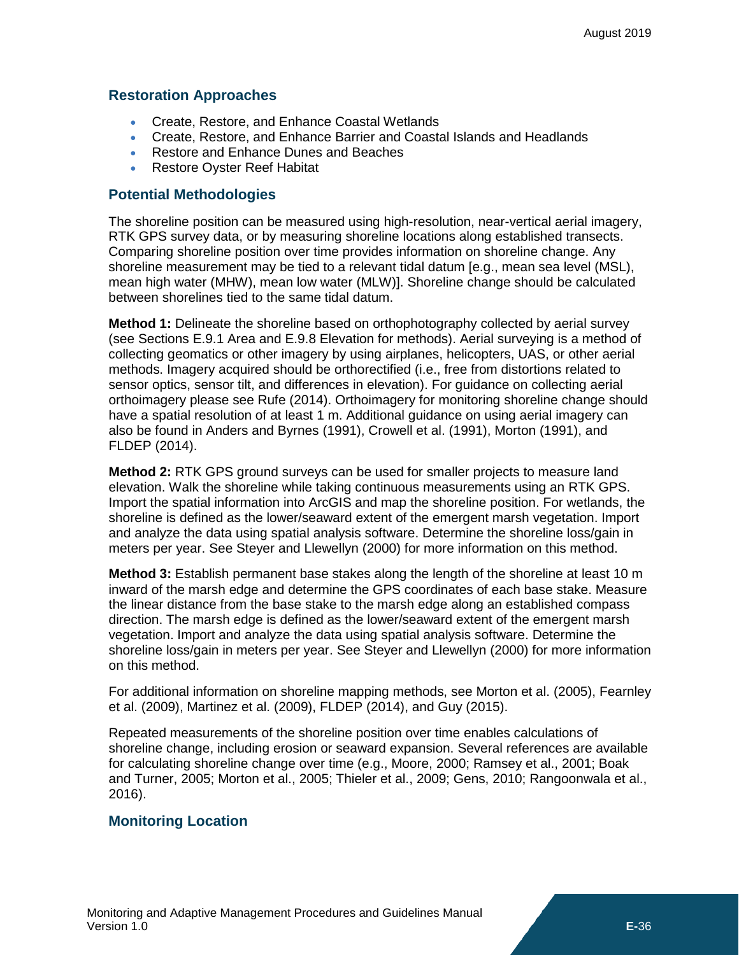### **Restoration Approaches**

- Create, Restore, and Enhance Coastal Wetlands
- Create, Restore, and Enhance Barrier and Coastal Islands and Headlands
- Restore and Enhance Dunes and Beaches
- Restore Oyster Reef Habitat

### **Potential Methodologies**

The shoreline position can be measured using high-resolution, near-vertical aerial imagery, RTK GPS survey data, or by measuring shoreline locations along established transects. Comparing shoreline position over time provides information on shoreline change. Any shoreline measurement may be tied to a relevant tidal datum [e.g., mean sea level (MSL), mean high water (MHW), mean low water (MLW)]. Shoreline change should be calculated between shorelines tied to the same tidal datum.

**Method 1:** Delineate the shoreline based on orthophotography collected by aerial survey (see Sections E.9.1 Area and E.9.8 Elevation for methods). Aerial surveying is a method of collecting geomatics or other imagery by using airplanes, helicopters, UAS, or other aerial methods. Imagery acquired should be orthorectified (i.e., free from distortions related to sensor optics, sensor tilt, and differences in elevation). For guidance on collecting aerial orthoimagery please see Rufe (2014). Orthoimagery for monitoring shoreline change should have a spatial resolution of at least 1 m. Additional guidance on using aerial imagery can also be found in Anders and Byrnes (1991), Crowell et al. (1991), Morton (1991), and FLDEP (2014).

**Method 2:** RTK GPS ground surveys can be used for smaller projects to measure land elevation. Walk the shoreline while taking continuous measurements using an RTK GPS. Import the spatial information into ArcGIS and map the shoreline position. For wetlands, the shoreline is defined as the lower/seaward extent of the emergent marsh vegetation. Import and analyze the data using spatial analysis software. Determine the shoreline loss/gain in meters per year. See Steyer and Llewellyn (2000) for more information on this method.

**Method 3:** Establish permanent base stakes along the length of the shoreline at least 10 m inward of the marsh edge and determine the GPS coordinates of each base stake. Measure the linear distance from the base stake to the marsh edge along an established compass direction. The marsh edge is defined as the lower/seaward extent of the emergent marsh vegetation. Import and analyze the data using spatial analysis software. Determine the shoreline loss/gain in meters per year. See Steyer and Llewellyn (2000) for more information on this method.

For additional information on shoreline mapping methods, see Morton et al. (2005), Fearnley et al. (2009), Martinez et al. (2009), FLDEP (2014), and Guy (2015).

Repeated measurements of the shoreline position over time enables calculations of shoreline change, including erosion or seaward expansion. Several references are available for calculating shoreline change over time (e.g., Moore, 2000; Ramsey et al., 2001; Boak and Turner, 2005; Morton et al., 2005; Thieler et al., 2009; Gens, 2010; Rangoonwala et al., 2016).

### **Monitoring Location**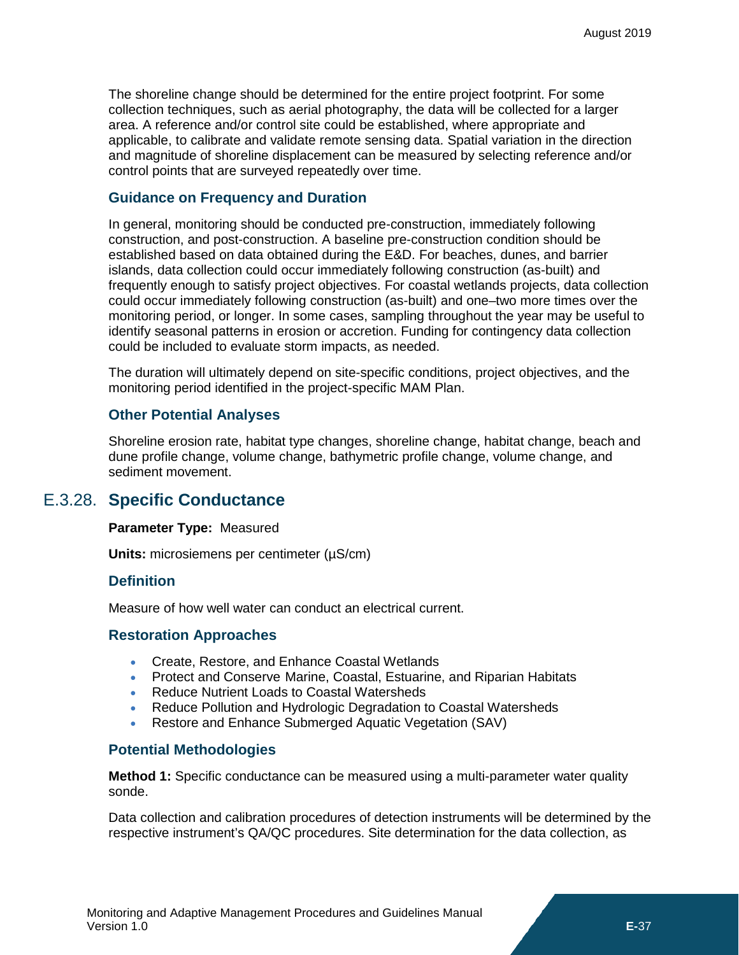The shoreline change should be determined for the entire project footprint. For some collection techniques, such as aerial photography, the data will be collected for a larger area. A reference and/or control site could be established, where appropriate and applicable, to calibrate and validate remote sensing data. Spatial variation in the direction and magnitude of shoreline displacement can be measured by selecting reference and/or control points that are surveyed repeatedly over time.

### **Guidance on Frequency and Duration**

In general, monitoring should be conducted pre-construction, immediately following construction, and post-construction. A baseline pre-construction condition should be established based on data obtained during the E&D. For beaches, dunes, and barrier islands, data collection could occur immediately following construction (as-built) and frequently enough to satisfy project objectives. For coastal wetlands projects, data collection could occur immediately following construction (as-built) and one–two more times over the monitoring period, or longer. In some cases, sampling throughout the year may be useful to identify seasonal patterns in erosion or accretion. Funding for contingency data collection could be included to evaluate storm impacts, as needed.

The duration will ultimately depend on site-specific conditions, project objectives, and the monitoring period identified in the project-specific MAM Plan.

### **Other Potential Analyses**

Shoreline erosion rate, habitat type changes, shoreline change, habitat change, beach and dune profile change, volume change, bathymetric profile change, volume change, and sediment movement.

### E.3.28. **Specific Conductance**

#### <span id="page-30-0"></span>**Parameter Type:** Measured

**Units:** microsiemens per centimeter (µS/cm)

### **Definition**

Measure of how well water can conduct an electrical current.

### **Restoration Approaches**

- Create, Restore, and Enhance Coastal Wetlands
- Protect and Conserve Marine, Coastal, Estuarine, and Riparian Habitats
- Reduce Nutrient Loads to Coastal Watersheds
- Reduce Pollution and Hydrologic Degradation to Coastal Watersheds
- Restore and Enhance Submerged Aquatic Vegetation (SAV)

### **Potential Methodologies**

**Method 1:** Specific conductance can be measured using a multi-parameter water quality sonde.

Data collection and calibration procedures of detection instruments will be determined by the respective instrument's QA/QC procedures. Site determination for the data collection, as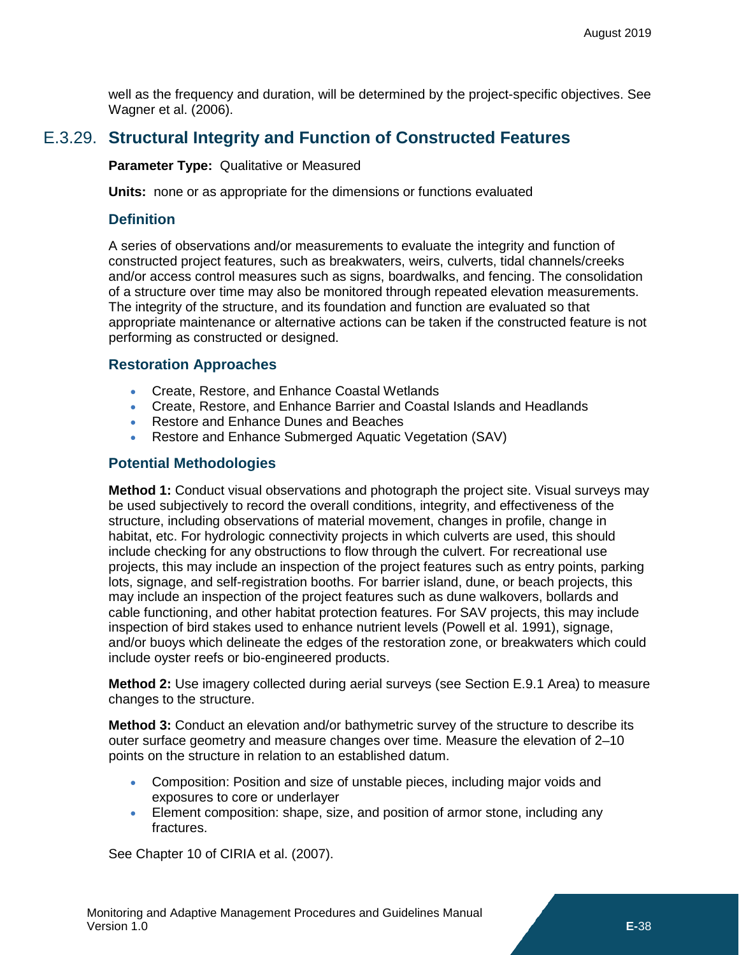well as the frequency and duration, will be determined by the project-specific objectives. See Wagner et al. (2006).

# E.3.29. **Structural Integrity and Function of Constructed Features**

<span id="page-31-0"></span>**Parameter Type:** Qualitative or Measured

**Units:** none or as appropriate for the dimensions or functions evaluated

### **Definition**

A series of observations and/or measurements to evaluate the integrity and function of constructed project features, such as breakwaters, weirs, culverts, tidal channels/creeks and/or access control measures such as signs, boardwalks, and fencing. The consolidation of a structure over time may also be monitored through repeated elevation measurements. The integrity of the structure, and its foundation and function are evaluated so that appropriate maintenance or alternative actions can be taken if the constructed feature is not performing as constructed or designed.

### **Restoration Approaches**

- Create, Restore, and Enhance Coastal Wetlands
- Create, Restore, and Enhance Barrier and Coastal Islands and Headlands
- Restore and Enhance Dunes and Beaches
- Restore and Enhance Submerged Aquatic Vegetation (SAV)

### **Potential Methodologies**

**Method 1:** Conduct visual observations and photograph the project site. Visual surveys may be used subjectively to record the overall conditions, integrity, and effectiveness of the structure, including observations of material movement, changes in profile, change in habitat, etc. For hydrologic connectivity projects in which culverts are used, this should include checking for any obstructions to flow through the culvert. For recreational use projects, this may include an inspection of the project features such as entry points, parking lots, signage, and self-registration booths. For barrier island, dune, or beach projects, this may include an inspection of the project features such as dune walkovers, bollards and cable functioning, and other habitat protection features. For SAV projects, this may include inspection of bird stakes used to enhance nutrient levels (Powell et al. 1991), signage, and/or buoys which delineate the edges of the restoration zone, or breakwaters which could include oyster reefs or bio-engineered products.

**Method 2:** Use imagery collected during aerial surveys (see Section E.9.1 Area) to measure changes to the structure.

**Method 3:** Conduct an elevation and/or bathymetric survey of the structure to describe its outer surface geometry and measure changes over time. Measure the elevation of 2–10 points on the structure in relation to an established datum.

- Composition: Position and size of unstable pieces, including major voids and exposures to core or underlayer
- Element composition: shape, size, and position of armor stone, including any fractures.

See Chapter 10 of CIRIA et al. (2007).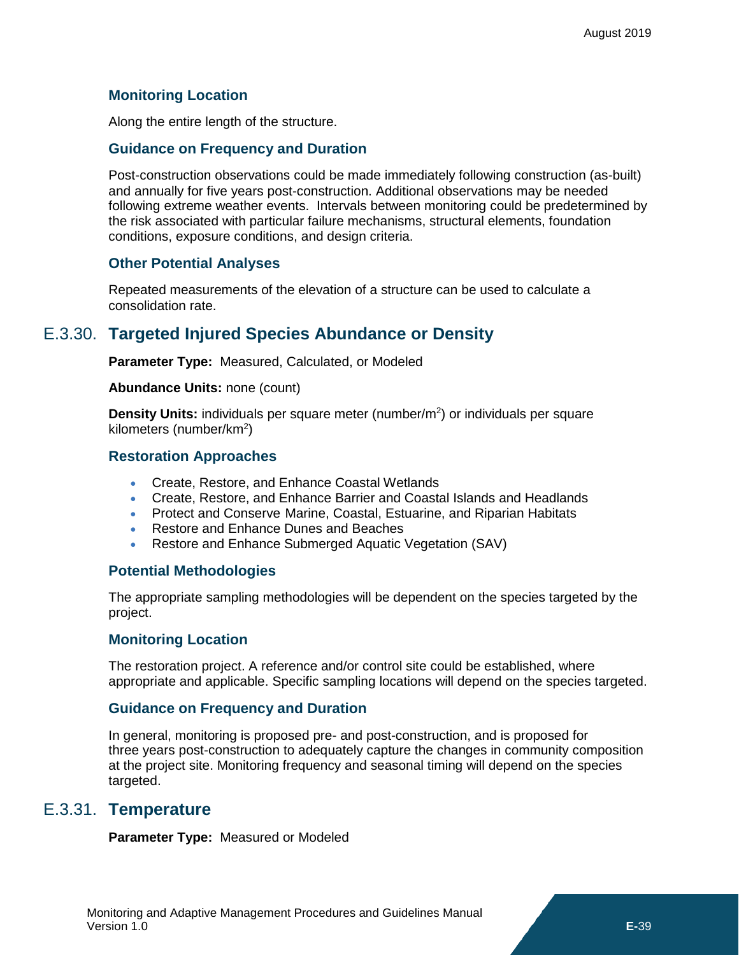### **Monitoring Location**

Along the entire length of the structure.

### **Guidance on Frequency and Duration**

Post-construction observations could be made immediately following construction (as-built) and annually for five years post-construction. Additional observations may be needed following extreme weather events. Intervals between monitoring could be predetermined by the risk associated with particular failure mechanisms, structural elements, foundation conditions, exposure conditions, and design criteria.

### **Other Potential Analyses**

Repeated measurements of the elevation of a structure can be used to calculate a consolidation rate.

# E.3.30. **Targeted Injured Species Abundance or Density**

<span id="page-32-0"></span>**Parameter Type:** Measured, Calculated, or Modeled

#### **Abundance Units:** none (count)

Density Units: individuals per square meter (number/m<sup>2</sup>) or individuals per square kilometers (number/km<sup>2</sup>)

### **Restoration Approaches**

- Create, Restore, and Enhance Coastal Wetlands
- Create, Restore, and Enhance Barrier and Coastal Islands and Headlands
- Protect and Conserve Marine, Coastal, Estuarine, and Riparian Habitats
- Restore and Enhance Dunes and Beaches
- Restore and Enhance Submerged Aquatic Vegetation (SAV)

### **Potential Methodologies**

The appropriate sampling methodologies will be dependent on the species targeted by the project.

### **Monitoring Location**

The restoration project. A reference and/or control site could be established, where appropriate and applicable. Specific sampling locations will depend on the species targeted.

### **Guidance on Frequency and Duration**

In general, monitoring is proposed pre- and post-construction, and is proposed for three years post-construction to adequately capture the changes in community composition at the project site. Monitoring frequency and seasonal timing will depend on the species targeted.

### E.3.31. **Temperature**

<span id="page-32-1"></span>**Parameter Type:** Measured or Modeled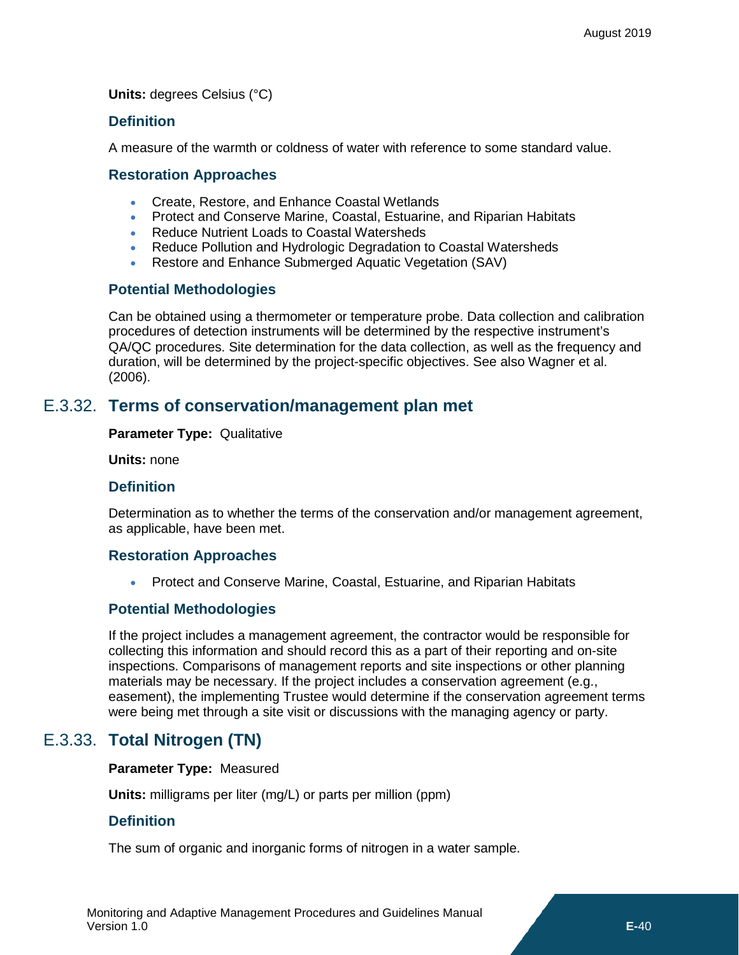**Units:** degrees Celsius (°C)

### **Definition**

A measure of the warmth or coldness of water with reference to some standard value.

### **Restoration Approaches**

- Create, Restore, and Enhance Coastal Wetlands
- Protect and Conserve Marine, Coastal, Estuarine, and Riparian Habitats
- Reduce Nutrient Loads to Coastal Watersheds
- Reduce Pollution and Hydrologic Degradation to Coastal Watersheds
- Restore and Enhance Submerged Aquatic Vegetation (SAV)

### **Potential Methodologies**

Can be obtained using a thermometer or temperature probe. Data collection and calibration procedures of detection instruments will be determined by the respective instrument's QA/QC procedures. Site determination for the data collection, as well as the frequency and duration, will be determined by the project-specific objectives. See also Wagner et al. (2006).

### E.3.32. **Terms of conservation/management plan met**

#### <span id="page-33-0"></span>**Parameter Type:** Qualitative

**Units:** none

### **Definition**

Determination as to whether the terms of the conservation and/or management agreement, as applicable, have been met.

### **Restoration Approaches**

• Protect and Conserve Marine, Coastal, Estuarine, and Riparian Habitats

### **Potential Methodologies**

If the project includes a management agreement, the contractor would be responsible for collecting this information and should record this as a part of their reporting and on-site inspections. Comparisons of management reports and site inspections or other planning materials may be necessary. If the project includes a conservation agreement (e.g., easement), the implementing Trustee would determine if the conservation agreement terms were being met through a site visit or discussions with the managing agency or party.

# E.3.33. **Total Nitrogen (TN)**

### <span id="page-33-1"></span>**Parameter Type:** Measured

**Units:** milligrams per liter (mg/L) or parts per million (ppm)

### **Definition**

The sum of organic and inorganic forms of nitrogen in a water sample.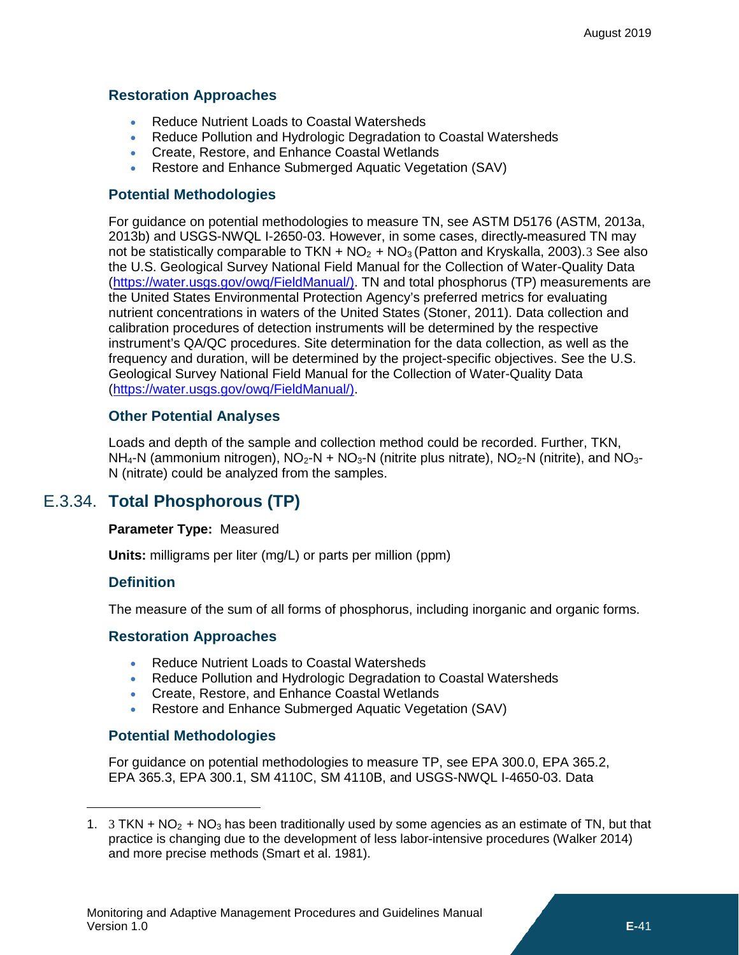### **Restoration Approaches**

- Reduce Nutrient Loads to Coastal Watersheds
- Reduce Pollution and Hydrologic Degradation to Coastal Watersheds
- Create, Restore, and Enhance Coastal Wetlands
- Restore and Enhance Submerged Aquatic Vegetation (SAV)

### **Potential Methodologies**

For guidance on potential methodologies to measure TN, see ASTM D5176 (ASTM, 2013a, 2013b) and USGS-NWQL I-2650-03. However, in some cases, directly measured TN may not be statistically comparable to TKN +  $NO<sub>2</sub>$  +  $NO<sub>3</sub>$  $NO<sub>3</sub>$  $NO<sub>3</sub>$  (Patton and Kryskalla, 2003). 3 See also the U.S. Geological Survey National Field Manual for the Collection of Water-Quality Data [\(https://water.usgs.gov/owq/FieldManual/\)](https://water.usgs.gov/owq/FieldManual/). TN and total phosphorus (TP) measurements are the United States Environmental Protection Agency's preferred metrics for evaluating nutrient concentrations in waters of the United States (Stoner, 2011). Data collection and calibration procedures of detection instruments will be determined by the respective instrument's QA/QC procedures. Site determination for the data collection, as well as the frequency and duration, will be determined by the project-specific objectives. See the U.S. Geological Survey National Field Manual for the Collection of Water-Quality Data [\(https://water.usgs.gov/owq/FieldManual/\)](https://water.usgs.gov/owq/FieldManual/).

### **Other Potential Analyses**

Loads and depth of the sample and collection method could be recorded. Further, TKN,  $NH_4$ -N (ammonium nitrogen),  $NO_2-N + NO_3-N$  (nitrite plus nitrate),  $NO_2-N$  (nitrite), and  $NO_3-$ N (nitrate) could be analyzed from the samples.

# E.3.34. **Total Phosphorous (TP)**

### <span id="page-34-0"></span>**Parameter Type:** Measured

**Units:** milligrams per liter (mg/L) or parts per million (ppm)

### **Definition**

 $\overline{a}$ 

The measure of the sum of all forms of phosphorus, including inorganic and organic forms.

### **Restoration Approaches**

- Reduce Nutrient Loads to Coastal Watersheds
- Reduce Pollution and Hydrologic Degradation to Coastal Watersheds
- Create, Restore, and Enhance Coastal Wetlands
- Restore and Enhance Submerged Aquatic Vegetation (SAV)

### **Potential Methodologies**

For guidance on potential methodologies to measure TP, see EPA 300.0, EPA 365.2, EPA 365.3, EPA 300.1, SM 4110C, SM 4110B, and USGS-NWQL I-4650-03. Data

<span id="page-34-1"></span><sup>1. 3</sup> TKN + NO<sub>2</sub> + NO<sub>3</sub> has been traditionally used by some agencies as an estimate of TN, but that practice is changing due to the development of less labor-intensive procedures (Walker 2014) and more precise methods (Smart et al. 1981).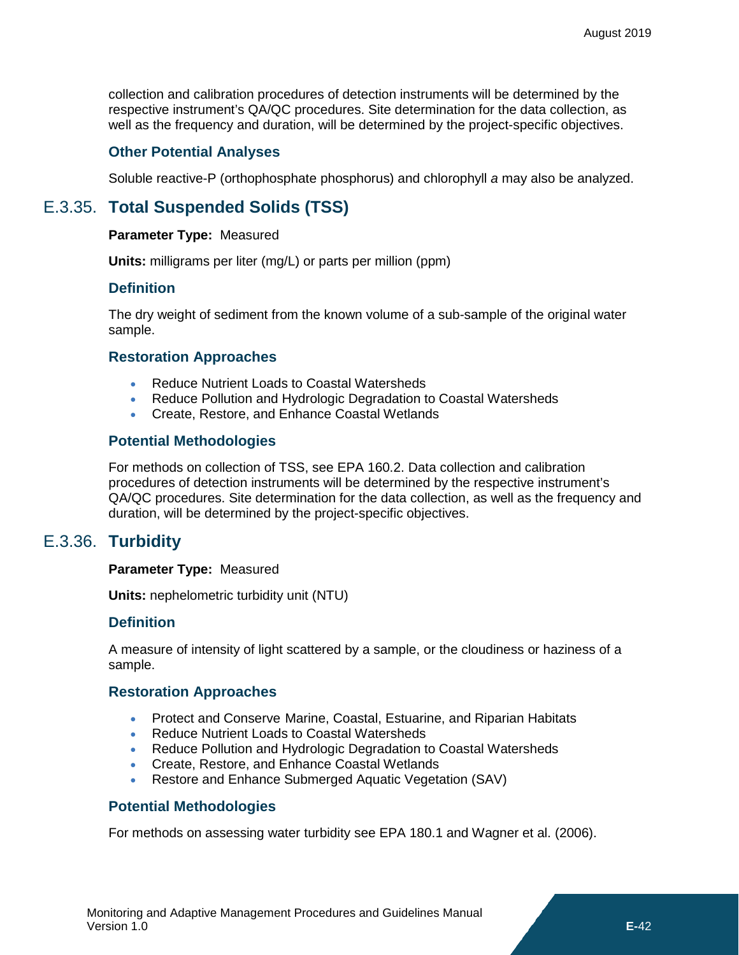collection and calibration procedures of detection instruments will be determined by the respective instrument's QA/QC procedures. Site determination for the data collection, as well as the frequency and duration, will be determined by the project-specific objectives.

### **Other Potential Analyses**

<span id="page-35-0"></span>Soluble reactive-P (orthophosphate phosphorus) and chlorophyll *a* may also be analyzed.

# E.3.35. **Total Suspended Solids (TSS)**

### **Parameter Type:** Measured

**Units:** milligrams per liter (mg/L) or parts per million (ppm)

### **Definition**

The dry weight of sediment from the known volume of a sub-sample of the original water sample.

### **Restoration Approaches**

- Reduce Nutrient Loads to Coastal Watersheds
- Reduce Pollution and Hydrologic Degradation to Coastal Watersheds
- Create, Restore, and Enhance Coastal Wetlands

### **Potential Methodologies**

For methods on collection of TSS, see EPA 160.2. Data collection and calibration procedures of detection instruments will be determined by the respective instrument's QA/QC procedures. Site determination for the data collection, as well as the frequency and duration, will be determined by the project-specific objectives.

# E.3.36. **Turbidity**

#### <span id="page-35-1"></span>**Parameter Type:** Measured

**Units:** nephelometric turbidity unit (NTU)

### **Definition**

A measure of intensity of light scattered by a sample, or the cloudiness or haziness of a sample.

### **Restoration Approaches**

- Protect and Conserve Marine, Coastal, Estuarine, and Riparian Habitats
- Reduce Nutrient Loads to Coastal Watersheds
- Reduce Pollution and Hydrologic Degradation to Coastal Watersheds
- Create, Restore, and Enhance Coastal Wetlands
- Restore and Enhance Submerged Aquatic Vegetation (SAV)

### **Potential Methodologies**

For methods on assessing water turbidity see EPA 180.1 and Wagner et al. (2006).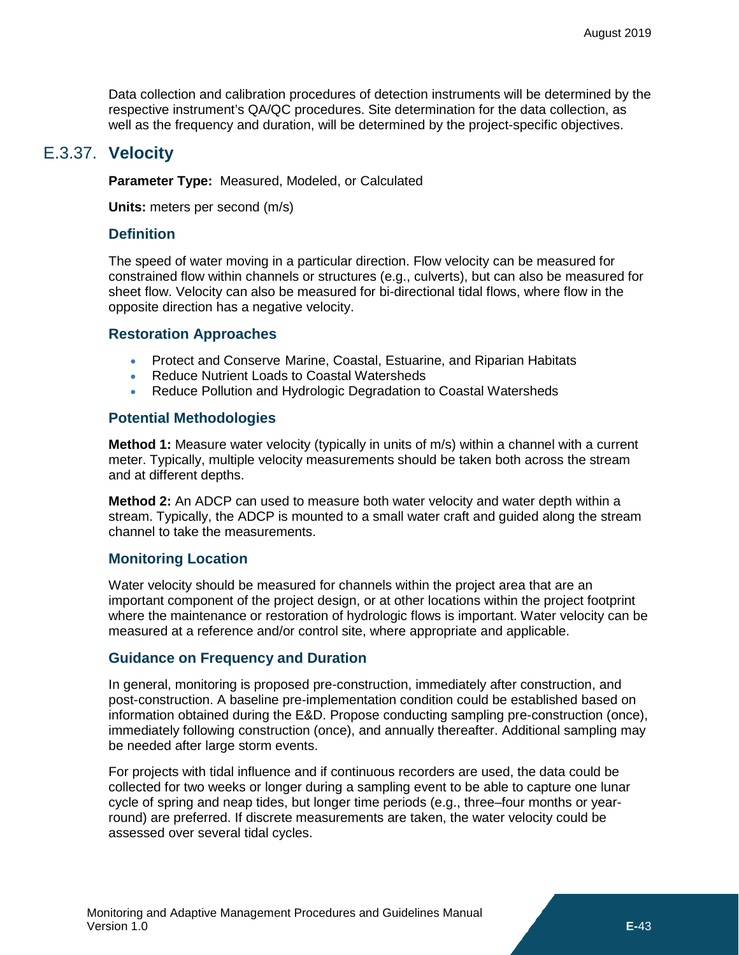Data collection and calibration procedures of detection instruments will be determined by the respective instrument's QA/QC procedures. Site determination for the data collection, as well as the frequency and duration, will be determined by the project-specific objectives.

### E.3.37. **Velocity**

<span id="page-36-0"></span>**Parameter Type:** Measured, Modeled, or Calculated

**Units:** meters per second (m/s)

### **Definition**

The speed of water moving in a particular direction. Flow velocity can be measured for constrained flow within channels or structures (e.g., culverts), but can also be measured for sheet flow. Velocity can also be measured for bi-directional tidal flows, where flow in the opposite direction has a negative velocity.

### **Restoration Approaches**

- Protect and Conserve Marine, Coastal, Estuarine, and Riparian Habitats
- Reduce Nutrient Loads to Coastal Watersheds
- Reduce Pollution and Hydrologic Degradation to Coastal Watersheds

### **Potential Methodologies**

**Method 1:** Measure water velocity (typically in units of m/s) within a channel with a current meter. Typically, multiple velocity measurements should be taken both across the stream and at different depths.

**Method 2:** An ADCP can used to measure both water velocity and water depth within a stream. Typically, the ADCP is mounted to a small water craft and guided along the stream channel to take the measurements.

### **Monitoring Location**

Water velocity should be measured for channels within the project area that are an important component of the project design, or at other locations within the project footprint where the maintenance or restoration of hydrologic flows is important. Water velocity can be measured at a reference and/or control site, where appropriate and applicable.

### **Guidance on Frequency and Duration**

In general, monitoring is proposed pre-construction, immediately after construction, and post-construction. A baseline pre-implementation condition could be established based on information obtained during the E&D. Propose conducting sampling pre-construction (once), immediately following construction (once), and annually thereafter. Additional sampling may be needed after large storm events.

For projects with tidal influence and if continuous recorders are used, the data could be collected for two weeks or longer during a sampling event to be able to capture one lunar cycle of spring and neap tides, but longer time periods (e.g., three–four months or yearround) are preferred. If discrete measurements are taken, the water velocity could be assessed over several tidal cycles.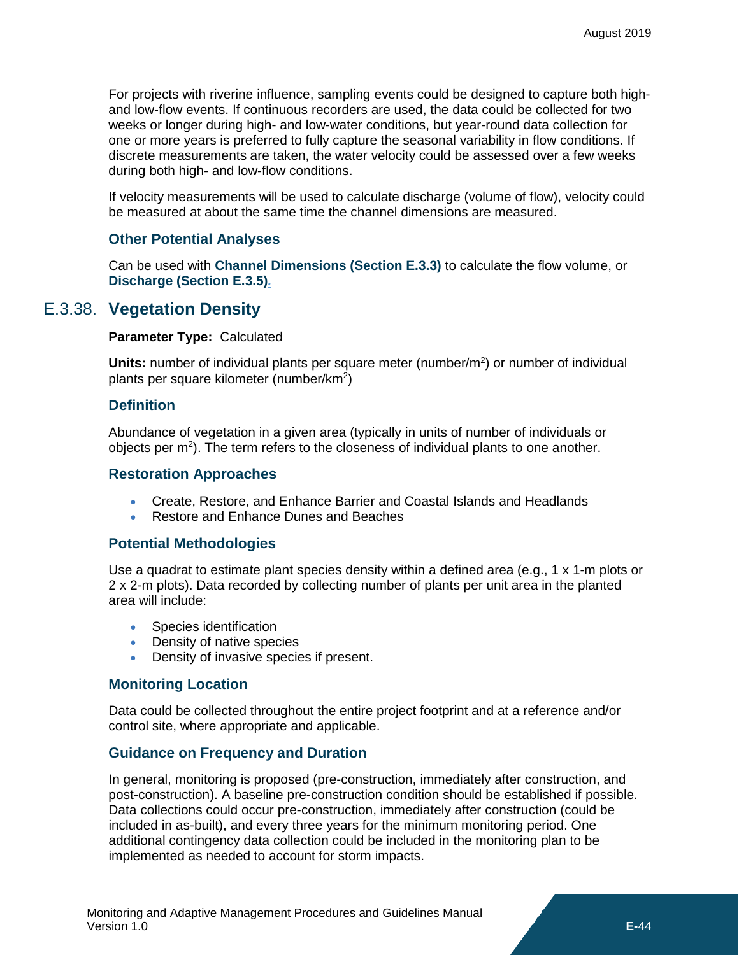For projects with riverine influence, sampling events could be designed to capture both highand low-flow events. If continuous recorders are used, the data could be collected for two weeks or longer during high- and low-water conditions, but year-round data collection for one or more years is preferred to fully capture the seasonal variability in flow conditions. If discrete measurements are taken, the water velocity could be assessed over a few weeks during both high- and low-flow conditions.

If velocity measurements will be used to calculate discharge (volume of flow), velocity could be measured at about the same time the channel dimensions are measured.

### **Other Potential Analyses**

Can be used with **[Channel Dimensions](#page-6-1) (Section [E.3.3\)](#page-6-1)** to calculate the flow volume, or **[Discharge](#page-8-0) (Section [E.3.5\)](#page-8-0)***.*

### E.3.38. **Vegetation Density**

#### <span id="page-37-0"></span>**Parameter Type:** Calculated

Units: number of individual plants per square meter (number/m<sup>2</sup>) or number of individual plants per square kilometer (number/km<sup>2</sup>)

### **Definition**

Abundance of vegetation in a given area (typically in units of number of individuals or objects per  $m^2$ ). The term refers to the closeness of individual plants to one another.

### **Restoration Approaches**

- Create, Restore, and Enhance Barrier and Coastal Islands and Headlands
- Restore and Enhance Dunes and Beaches

### **Potential Methodologies**

Use a quadrat to estimate plant species density within a defined area (e.g., 1 x 1-m plots or 2 x 2-m plots). Data recorded by collecting number of plants per unit area in the planted area will include:

- Species identification
- Density of native species
- Density of invasive species if present.

### **Monitoring Location**

Data could be collected throughout the entire project footprint and at a reference and/or control site, where appropriate and applicable.

### **Guidance on Frequency and Duration**

In general, monitoring is proposed (pre-construction, immediately after construction, and post-construction). A baseline pre-construction condition should be established if possible. Data collections could occur pre-construction, immediately after construction (could be included in as-built), and every three years for the minimum monitoring period. One additional contingency data collection could be included in the monitoring plan to be implemented as needed to account for storm impacts.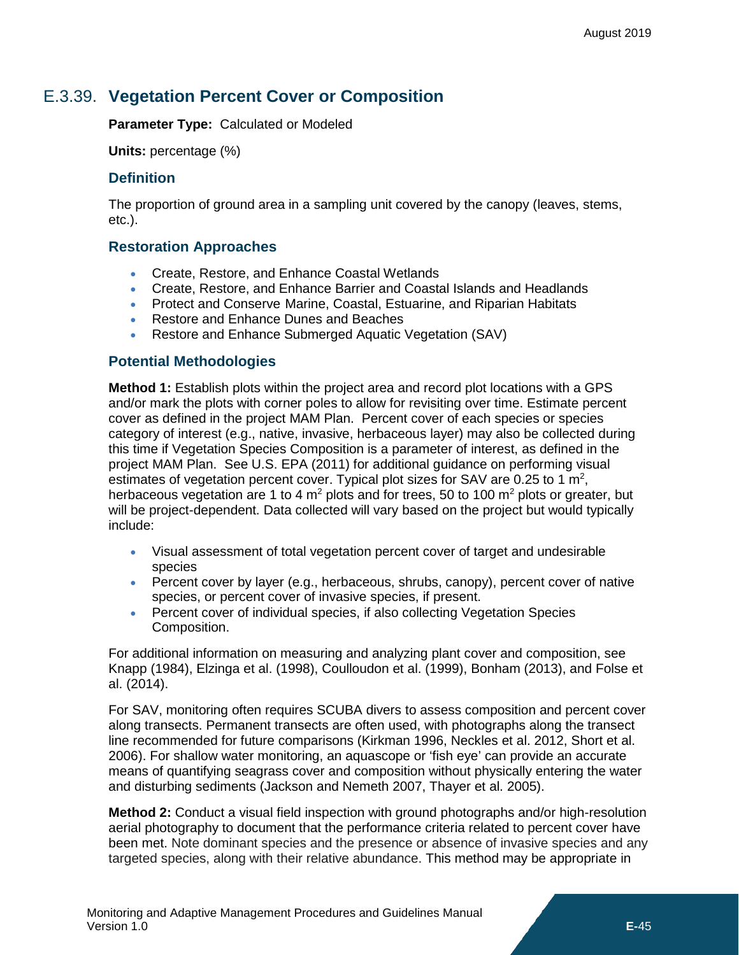# E.3.39. **Vegetation Percent Cover or Composition**

<span id="page-38-0"></span>**Parameter Type:** Calculated or Modeled

**Units:** percentage (%)

### **Definition**

The proportion of ground area in a sampling unit covered by the canopy (leaves, stems, etc.).

### **Restoration Approaches**

- Create, Restore, and Enhance Coastal Wetlands
- Create, Restore, and Enhance Barrier and Coastal Islands and Headlands
- Protect and Conserve Marine, Coastal, Estuarine, and Riparian Habitats
- Restore and Enhance Dunes and Beaches
- Restore and Enhance Submerged Aquatic Vegetation (SAV)

### **Potential Methodologies**

**Method 1:** Establish plots within the project area and record plot locations with a GPS and/or mark the plots with corner poles to allow for revisiting over time. Estimate percent cover as defined in the project MAM Plan. Percent cover of each species or species category of interest (e.g., native, invasive, herbaceous layer) may also be collected during this time if Vegetation Species Composition is a parameter of interest, as defined in the project MAM Plan. See U.S. EPA (2011) for additional guidance on performing visual estimates of vegetation percent cover. Typical plot sizes for SAV are 0.25 to 1  $m^2$ , herbaceous vegetation are 1 to 4  $m^2$  plots and for trees, 50 to 100  $m^2$  plots or greater, but will be project-dependent. Data collected will vary based on the project but would typically include:

- Visual assessment of total vegetation percent cover of target and undesirable species
- Percent cover by layer (e.g., herbaceous, shrubs, canopy), percent cover of native species, or percent cover of invasive species, if present.
- Percent cover of individual species, if also collecting Vegetation Species Composition.

For additional information on measuring and analyzing plant cover and composition, see Knapp (1984), Elzinga et al. (1998), Coulloudon et al. (1999), Bonham (2013), and Folse et al. (2014).

For SAV, monitoring often requires SCUBA divers to assess composition and percent cover along transects. Permanent transects are often used, with photographs along the transect line recommended for future comparisons (Kirkman 1996, Neckles et al. 2012, Short et al. 2006). For shallow water monitoring, an aquascope or 'fish eye' can provide an accurate means of quantifying seagrass cover and composition without physically entering the water and disturbing sediments (Jackson and Nemeth 2007, Thayer et al. 2005).

**Method 2:** Conduct a visual field inspection with ground photographs and/or high-resolution aerial photography to document that the performance criteria related to percent cover have been met. Note dominant species and the presence or absence of invasive species and any targeted species, along with their relative abundance. This method may be appropriate in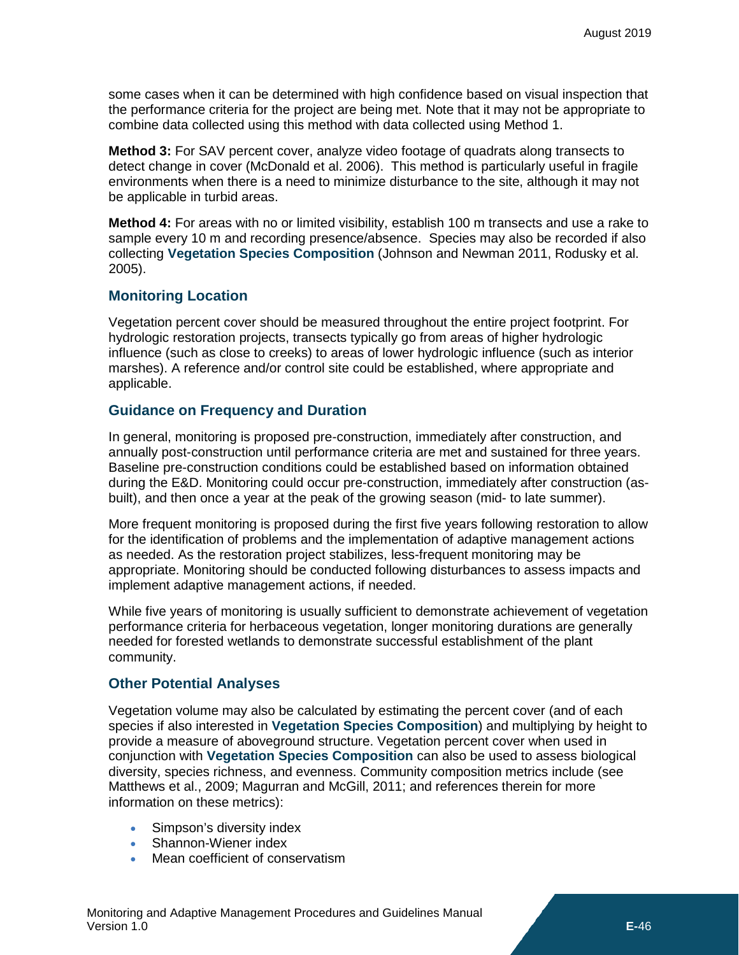some cases when it can be determined with high confidence based on visual inspection that the performance criteria for the project are being met. Note that it may not be appropriate to combine data collected using this method with data collected using Method 1.

**Method 3:** For SAV percent cover, analyze video footage of quadrats along transects to detect change in cover (McDonald et al. 2006). This method is particularly useful in fragile environments when there is a need to minimize disturbance to the site, although it may not be applicable in turbid areas.

**Method 4:** For areas with no or limited visibility, establish 100 m transects and use a rake to sample every 10 m and recording presence/absence. Species may also be recorded if also collecting **[Vegetation Species Composition](#page-40-0)** (Johnson and Newman 2011, Rodusky et al. 2005).

### **Monitoring Location**

Vegetation percent cover should be measured throughout the entire project footprint. For hydrologic restoration projects, transects typically go from areas of higher hydrologic influence (such as close to creeks) to areas of lower hydrologic influence (such as interior marshes). A reference and/or control site could be established, where appropriate and applicable.

### **Guidance on Frequency and Duration**

In general, monitoring is proposed pre-construction, immediately after construction, and annually post-construction until performance criteria are met and sustained for three years. Baseline pre-construction conditions could be established based on information obtained during the E&D. Monitoring could occur pre-construction, immediately after construction (asbuilt), and then once a year at the peak of the growing season (mid- to late summer).

More frequent monitoring is proposed during the first five years following restoration to allow for the identification of problems and the implementation of adaptive management actions as needed. As the restoration project stabilizes, less-frequent monitoring may be appropriate. Monitoring should be conducted following disturbances to assess impacts and implement adaptive management actions, if needed.

While five years of monitoring is usually sufficient to demonstrate achievement of vegetation performance criteria for herbaceous vegetation, longer monitoring durations are generally needed for forested wetlands to demonstrate successful establishment of the plant community.

### **Other Potential Analyses**

Vegetation volume may also be calculated by estimating the percent cover (and of each species if also interested in **[Vegetation Species Composition](#page-40-0)**) and multiplying by height to provide a measure of aboveground structure. Vegetation percent cover when used in conjunction with **[Vegetation Species Composition](#page-40-0)** can also be used to assess biological diversity, species richness, and evenness. Community composition metrics include (see Matthews et al., 2009; Magurran and McGill, 2011; and references therein for more information on these metrics):

- Simpson's diversity index
- Shannon-Wiener index
- Mean coefficient of conservatism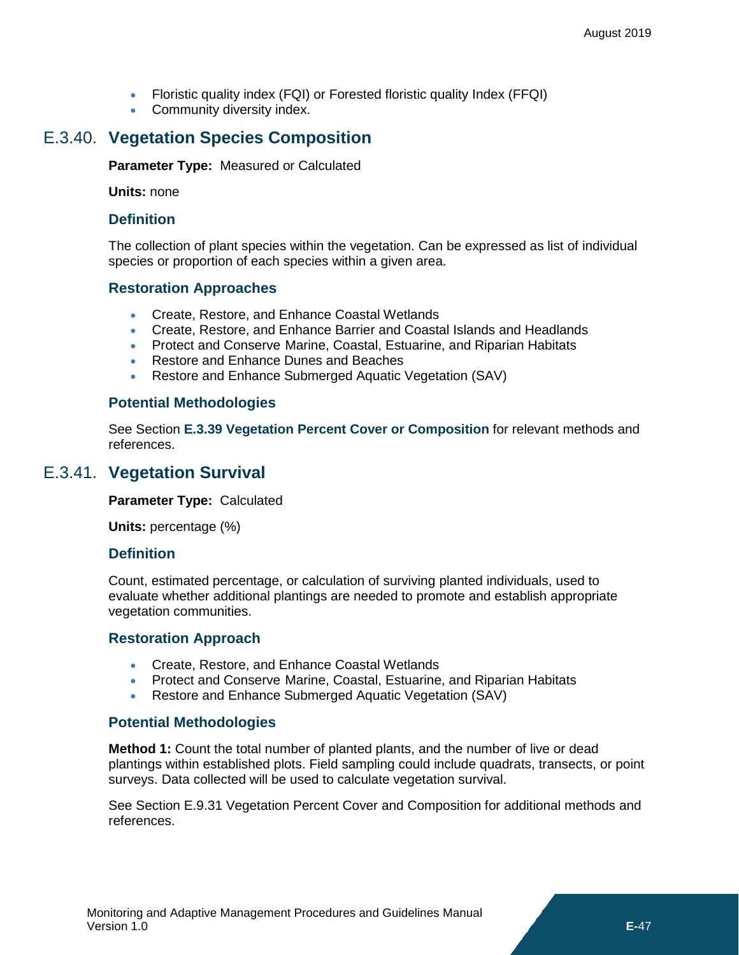- Floristic quality index (FQI) or Forested floristic quality Index (FFQI)
- Community diversity index.

# E.3.40. **Vegetation Species Composition**

<span id="page-40-0"></span>**Parameter Type:** Measured or Calculated

**Units:** none

### **Definition**

The collection of plant species within the vegetation. Can be expressed as list of individual species or proportion of each species within a given area.

# **Restoration Approaches**

- Create, Restore, and Enhance Coastal Wetlands
- Create, Restore, and Enhance Barrier and Coastal Islands and Headlands
- Protect and Conserve Marine, Coastal, Estuarine, and Riparian Habitats
- Restore and Enhance Dunes and Beaches
- Restore and Enhance Submerged Aquatic Vegetation (SAV)

# **Potential Methodologies**

See Section **[E.3.39](#page-38-0) [Vegetation Percent Cover or Composition](#page-38-0)** for relevant methods and references.

# E.3.41. **Vegetation Survival**

<span id="page-40-1"></span>**Parameter Type:** Calculated

**Units:** percentage (%)

### **Definition**

Count, estimated percentage, or calculation of surviving planted individuals, used to evaluate whether additional plantings are needed to promote and establish appropriate vegetation communities.

### **Restoration Approach**

- Create, Restore, and Enhance Coastal Wetlands
- Protect and Conserve Marine, Coastal, Estuarine, and Riparian Habitats
- Restore and Enhance Submerged Aquatic Vegetation (SAV)

# **Potential Methodologies**

**Method 1:** Count the total number of planted plants, and the number of live or dead plantings within established plots. Field sampling could include quadrats, transects, or point surveys. Data collected will be used to calculate vegetation survival.

See Section E.9.31 Vegetation Percent Cover and Composition for additional methods and references.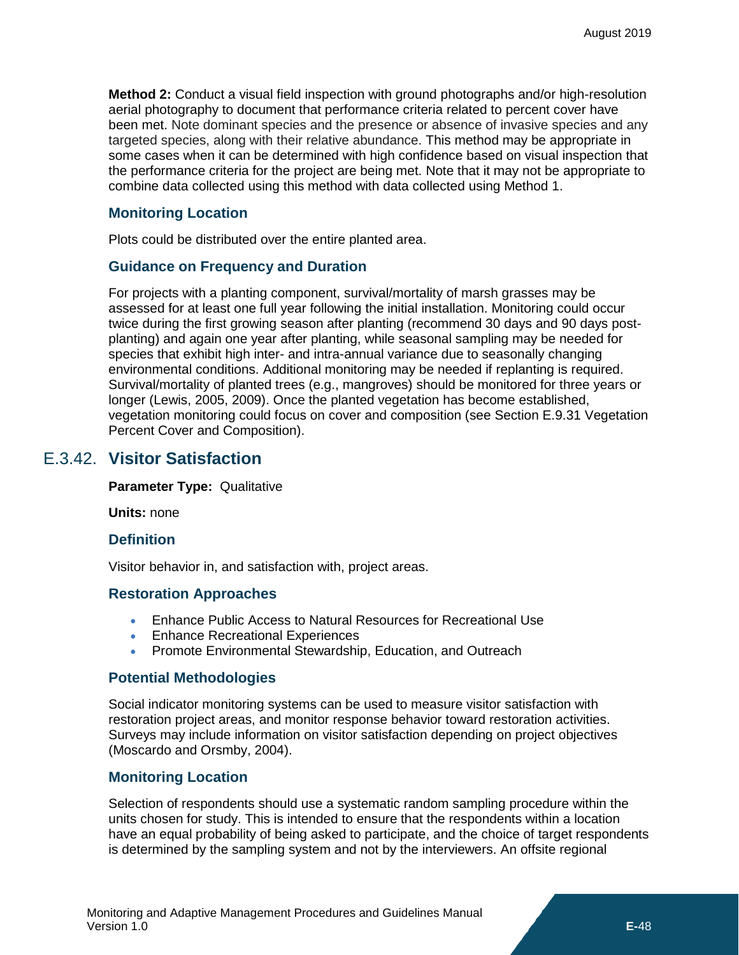**Method 2:** Conduct a visual field inspection with ground photographs and/or high-resolution aerial photography to document that performance criteria related to percent cover have been met. Note dominant species and the presence or absence of invasive species and any targeted species, along with their relative abundance. This method may be appropriate in some cases when it can be determined with high confidence based on visual inspection that the performance criteria for the project are being met. Note that it may not be appropriate to combine data collected using this method with data collected using Method 1.

### **Monitoring Location**

Plots could be distributed over the entire planted area.

### **Guidance on Frequency and Duration**

For projects with a planting component, survival/mortality of marsh grasses may be assessed for at least one full year following the initial installation. Monitoring could occur twice during the first growing season after planting (recommend 30 days and 90 days postplanting) and again one year after planting, while seasonal sampling may be needed for species that exhibit high inter- and intra-annual variance due to seasonally changing environmental conditions. Additional monitoring may be needed if replanting is required. Survival/mortality of planted trees (e.g., mangroves) should be monitored for three years or longer (Lewis, 2005, 2009). Once the planted vegetation has become established, vegetation monitoring could focus on cover and composition (see Section E.9.31 Vegetation Percent Cover and Composition).

### E.3.42. **Visitor Satisfaction**

<span id="page-41-0"></span>**Parameter Type:** Qualitative

**Units:** none

### **Definition**

Visitor behavior in, and satisfaction with, project areas.

### **Restoration Approaches**

- Enhance Public Access to Natural Resources for Recreational Use
- Enhance Recreational Experiences
- Promote Environmental Stewardship, Education, and Outreach

### **Potential Methodologies**

Social indicator monitoring systems can be used to measure visitor satisfaction with restoration project areas, and monitor response behavior toward restoration activities. Surveys may include information on visitor satisfaction depending on project objectives (Moscardo and Orsmby, 2004).

### **Monitoring Location**

Selection of respondents should use a systematic random sampling procedure within the units chosen for study. This is intended to ensure that the respondents within a location have an equal probability of being asked to participate, and the choice of target respondents is determined by the sampling system and not by the interviewers. An offsite regional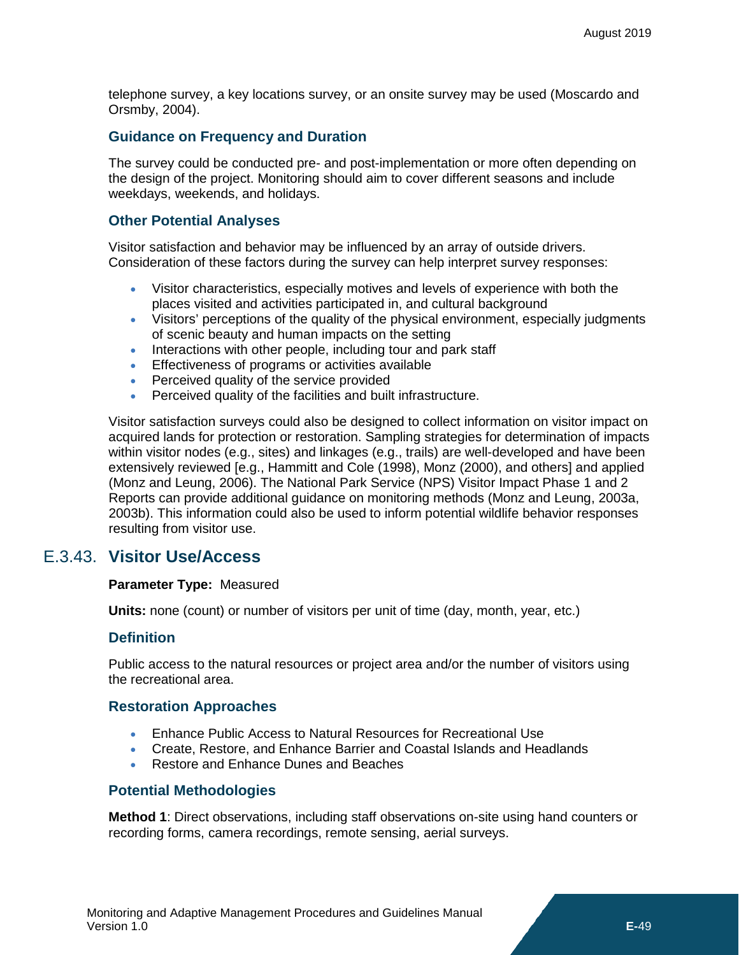telephone survey, a key locations survey, or an onsite survey may be used (Moscardo and Orsmby, 2004).

### **Guidance on Frequency and Duration**

The survey could be conducted pre- and post-implementation or more often depending on the design of the project. Monitoring should aim to cover different seasons and include weekdays, weekends, and holidays.

### **Other Potential Analyses**

Visitor satisfaction and behavior may be influenced by an array of outside drivers. Consideration of these factors during the survey can help interpret survey responses:

- Visitor characteristics, especially motives and levels of experience with both the places visited and activities participated in, and cultural background
- Visitors' perceptions of the quality of the physical environment, especially judgments of scenic beauty and human impacts on the setting
- Interactions with other people, including tour and park staff
- Effectiveness of programs or activities available
- Perceived quality of the service provided
- Perceived quality of the facilities and built infrastructure.

Visitor satisfaction surveys could also be designed to collect information on visitor impact on acquired lands for protection or restoration. Sampling strategies for determination of impacts within visitor nodes (e.g., sites) and linkages (e.g., trails) are well-developed and have been extensively reviewed [e.g., Hammitt and Cole (1998), Monz (2000), and others] and applied (Monz and Leung, 2006). The National Park Service (NPS) Visitor Impact Phase 1 and 2 Reports can provide additional guidance on monitoring methods (Monz and Leung, 2003a, 2003b). This information could also be used to inform potential wildlife behavior responses resulting from visitor use.

### E.3.43. **Visitor Use/Access**

### <span id="page-42-0"></span>**Parameter Type:** Measured

**Units:** none (count) or number of visitors per unit of time (day, month, year, etc.)

### **Definition**

Public access to the natural resources or project area and/or the number of visitors using the recreational area.

### **Restoration Approaches**

- Enhance Public Access to Natural Resources for Recreational Use
- Create, Restore, and Enhance Barrier and Coastal Islands and Headlands
- Restore and Enhance Dunes and Beaches

### **Potential Methodologies**

**Method 1**: Direct observations, including staff observations on-site using hand counters or recording forms, camera recordings, remote sensing, aerial surveys.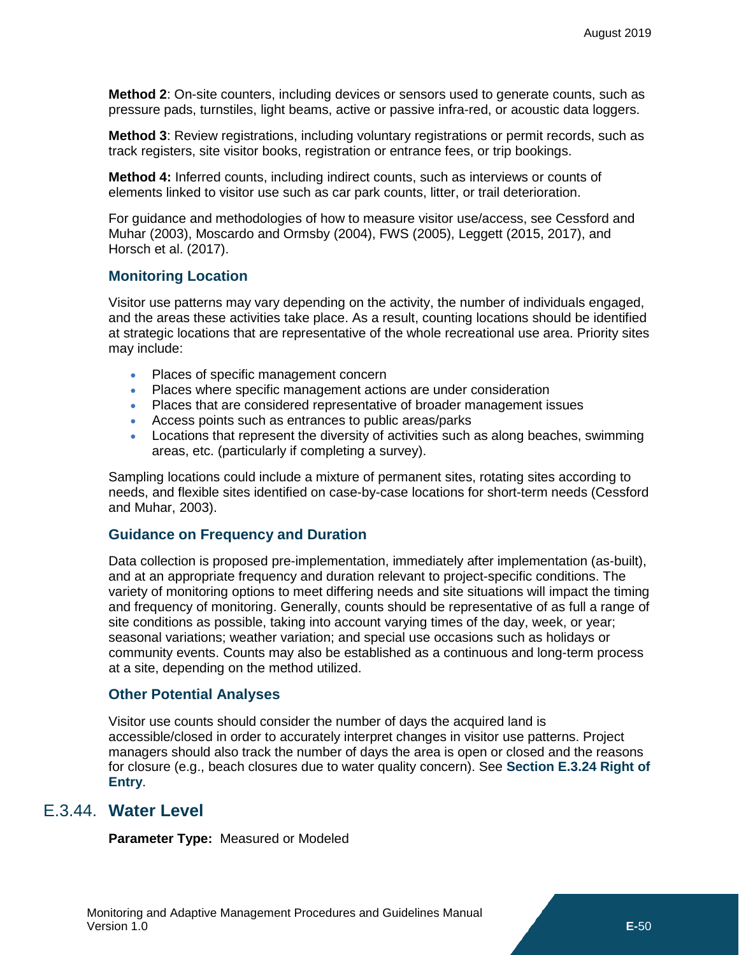**Method 2**: On-site counters, including devices or sensors used to generate counts, such as pressure pads, turnstiles, light beams, active or passive infra-red, or acoustic data loggers.

**Method 3**: Review registrations, including voluntary registrations or permit records, such as track registers, site visitor books, registration or entrance fees, or trip bookings.

**Method 4:** Inferred counts, including indirect counts, such as interviews or counts of elements linked to visitor use such as car park counts, litter, or trail deterioration.

For guidance and methodologies of how to measure visitor use/access, see Cessford and Muhar (2003), Moscardo and Ormsby (2004), FWS (2005), Leggett (2015, 2017), and Horsch et al. (2017).

### **Monitoring Location**

Visitor use patterns may vary depending on the activity, the number of individuals engaged, and the areas these activities take place. As a result, counting locations should be identified at strategic locations that are representative of the whole recreational use area. Priority sites may include:

- Places of specific management concern
- Places where specific management actions are under consideration
- Places that are considered representative of broader management issues
- Access points such as entrances to public areas/parks
- Locations that represent the diversity of activities such as along beaches, swimming areas, etc. (particularly if completing a survey).

Sampling locations could include a mixture of permanent sites, rotating sites according to needs, and flexible sites identified on case-by-case locations for short-term needs (Cessford and Muhar, 2003).

### **Guidance on Frequency and Duration**

Data collection is proposed pre-implementation, immediately after implementation (as-built), and at an appropriate frequency and duration relevant to project-specific conditions. The variety of monitoring options to meet differing needs and site situations will impact the timing and frequency of monitoring. Generally, counts should be representative of as full a range of site conditions as possible, taking into account varying times of the day, week, or year; seasonal variations; weather variation; and special use occasions such as holidays or community events. Counts may also be established as a continuous and long-term process at a site, depending on the method utilized.

### **Other Potential Analyses**

Visitor use counts should consider the number of days the acquired land is accessible/closed in order to accurately interpret changes in visitor use patterns. Project managers should also track the number of days the area is open or closed and the reasons for closure (e.g., beach closures due to water quality concern). See **Section [E.3.24](#page-25-0) [Right of](#page-25-0)  [Entry](#page-25-0)**.

### E.3.44. **Water Level**

<span id="page-43-0"></span>**Parameter Type:** Measured or Modeled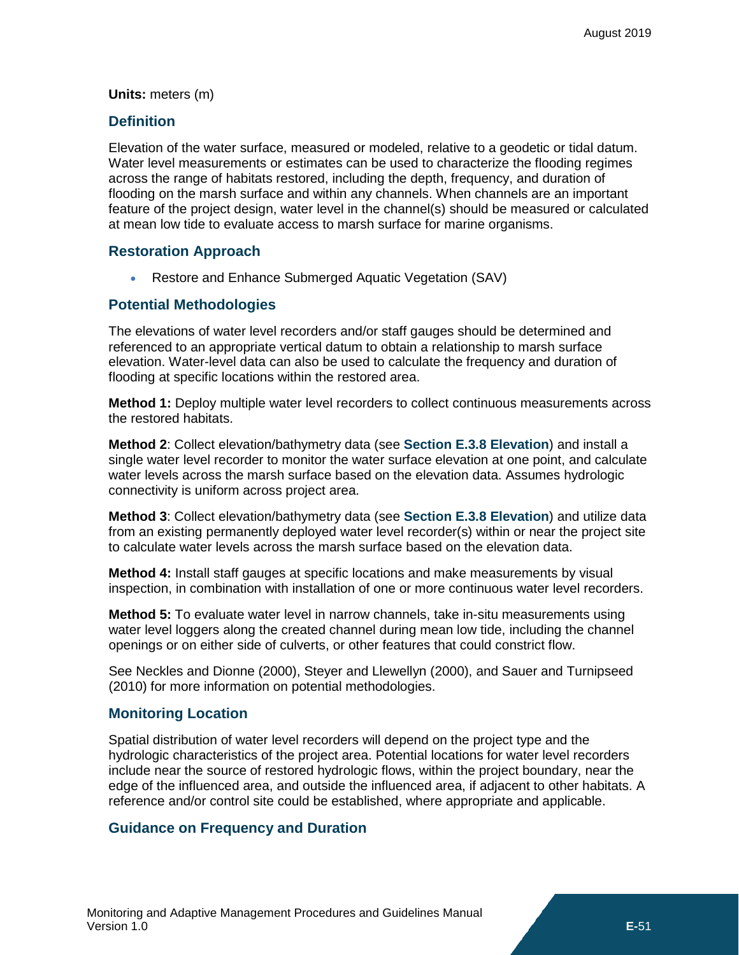#### **Units:** meters (m)

### **Definition**

Elevation of the water surface, measured or modeled, relative to a geodetic or tidal datum. Water level measurements or estimates can be used to characterize the flooding regimes across the range of habitats restored, including the depth, frequency, and duration of flooding on the marsh surface and within any channels. When channels are an important feature of the project design, water level in the channel(s) should be measured or calculated at mean low tide to evaluate access to marsh surface for marine organisms.

### **Restoration Approach**

• Restore and Enhance Submerged Aquatic Vegetation (SAV)

### **Potential Methodologies**

The elevations of water level recorders and/or staff gauges should be determined and referenced to an appropriate vertical datum to obtain a relationship to marsh surface elevation. Water-level data can also be used to calculate the frequency and duration of flooding at specific locations within the restored area.

**Method 1:** Deploy multiple water level recorders to collect continuous measurements across the restored habitats.

**Method 2**: Collect elevation/bathymetry data (see **Section [E.3.8](#page-11-0) [Elevation](#page-11-0)**) and install a single water level recorder to monitor the water surface elevation at one point, and calculate water levels across the marsh surface based on the elevation data. Assumes hydrologic connectivity is uniform across project area.

**Method 3**: Collect elevation/bathymetry data (see **Section [E.3.8](#page-11-0) [Elevation](#page-11-0)**) and utilize data from an existing permanently deployed water level recorder(s) within or near the project site to calculate water levels across the marsh surface based on the elevation data.

**Method 4:** Install staff gauges at specific locations and make measurements by visual inspection, in combination with installation of one or more continuous water level recorders.

**Method 5:** To evaluate water level in narrow channels, take in-situ measurements using water level loggers along the created channel during mean low tide, including the channel openings or on either side of culverts, or other features that could constrict flow.

See Neckles and Dionne (2000), Steyer and Llewellyn (2000), and Sauer and Turnipseed (2010) for more information on potential methodologies.

### **Monitoring Location**

Spatial distribution of water level recorders will depend on the project type and the hydrologic characteristics of the project area. Potential locations for water level recorders include near the source of restored hydrologic flows, within the project boundary, near the edge of the influenced area, and outside the influenced area, if adjacent to other habitats. A reference and/or control site could be established, where appropriate and applicable.

### **Guidance on Frequency and Duration**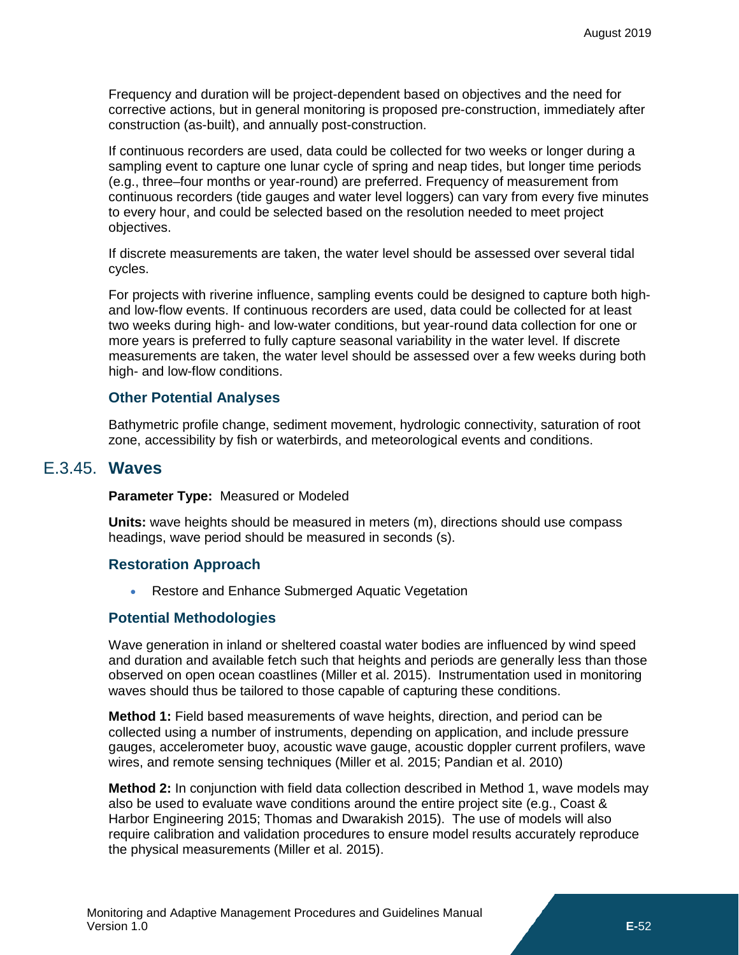Frequency and duration will be project-dependent based on objectives and the need for corrective actions, but in general monitoring is proposed pre-construction, immediately after construction (as-built), and annually post-construction.

If continuous recorders are used, data could be collected for two weeks or longer during a sampling event to capture one lunar cycle of spring and neap tides, but longer time periods (e.g., three–four months or year-round) are preferred. Frequency of measurement from continuous recorders (tide gauges and water level loggers) can vary from every five minutes to every hour, and could be selected based on the resolution needed to meet project objectives.

If discrete measurements are taken, the water level should be assessed over several tidal cycles.

For projects with riverine influence, sampling events could be designed to capture both highand low-flow events. If continuous recorders are used, data could be collected for at least two weeks during high- and low-water conditions, but year-round data collection for one or more years is preferred to fully capture seasonal variability in the water level. If discrete measurements are taken, the water level should be assessed over a few weeks during both high- and low-flow conditions.

### **Other Potential Analyses**

Bathymetric profile change, sediment movement, hydrologic connectivity, saturation of root zone, accessibility by fish or waterbirds, and meteorological events and conditions.

### E.3.45. **Waves**

### <span id="page-45-0"></span>**Parameter Type:** Measured or Modeled

**Units:** wave heights should be measured in meters (m), directions should use compass headings, wave period should be measured in seconds (s).

### **Restoration Approach**

• Restore and Enhance Submerged Aquatic Vegetation

### **Potential Methodologies**

Wave generation in inland or sheltered coastal water bodies are influenced by wind speed and duration and available fetch such that heights and periods are generally less than those observed on open ocean coastlines (Miller et al. 2015). Instrumentation used in monitoring waves should thus be tailored to those capable of capturing these conditions.

**Method 1:** Field based measurements of wave heights, direction, and period can be collected using a number of instruments, depending on application, and include pressure gauges, accelerometer buoy, acoustic wave gauge, acoustic doppler current profilers, wave wires, and remote sensing techniques (Miller et al. 2015; Pandian et al. 2010)

**Method 2:** In conjunction with field data collection described in Method 1, wave models may also be used to evaluate wave conditions around the entire project site (e.g., Coast & Harbor Engineering 2015; Thomas and Dwarakish 2015). The use of models will also require calibration and validation procedures to ensure model results accurately reproduce the physical measurements (Miller et al. 2015).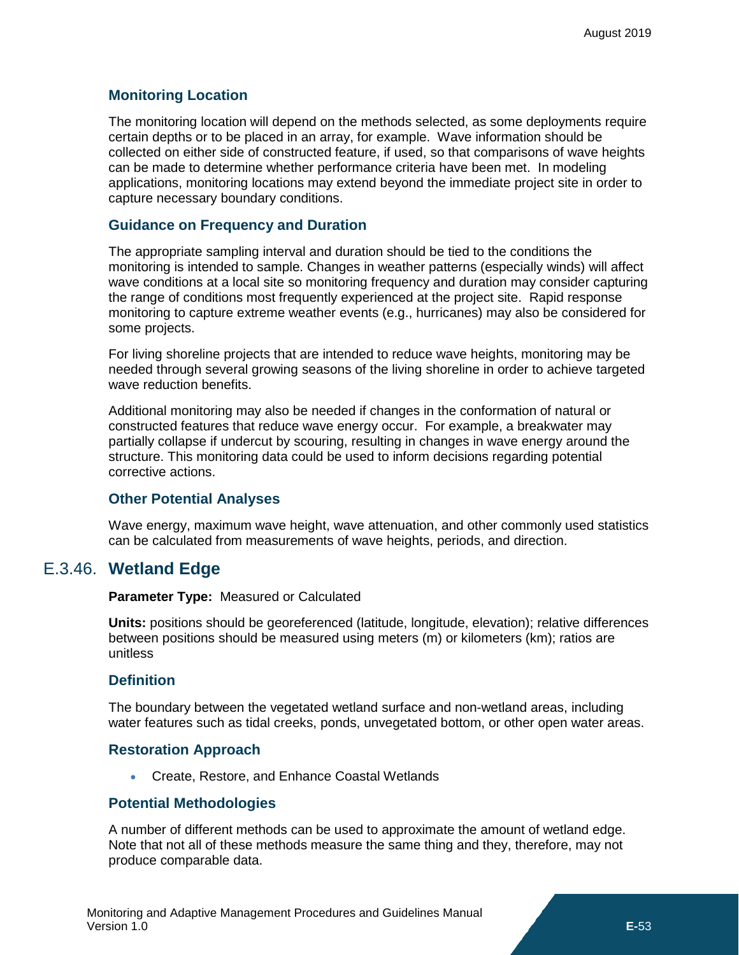### **Monitoring Location**

The monitoring location will depend on the methods selected, as some deployments require certain depths or to be placed in an array, for example. Wave information should be collected on either side of constructed feature, if used, so that comparisons of wave heights can be made to determine whether performance criteria have been met. In modeling applications, monitoring locations may extend beyond the immediate project site in order to capture necessary boundary conditions.

### **Guidance on Frequency and Duration**

The appropriate sampling interval and duration should be tied to the conditions the monitoring is intended to sample. Changes in weather patterns (especially winds) will affect wave conditions at a local site so monitoring frequency and duration may consider capturing the range of conditions most frequently experienced at the project site. Rapid response monitoring to capture extreme weather events (e.g., hurricanes) may also be considered for some projects.

For living shoreline projects that are intended to reduce wave heights, monitoring may be needed through several growing seasons of the living shoreline in order to achieve targeted wave reduction benefits.

Additional monitoring may also be needed if changes in the conformation of natural or constructed features that reduce wave energy occur. For example, a breakwater may partially collapse if undercut by scouring, resulting in changes in wave energy around the structure. This monitoring data could be used to inform decisions regarding potential corrective actions.

### **Other Potential Analyses**

Wave energy, maximum wave height, wave attenuation, and other commonly used statistics can be calculated from measurements of wave heights, periods, and direction.

# E.3.46. **Wetland Edge**

<span id="page-46-0"></span>**Parameter Type:** Measured or Calculated

**Units:** positions should be georeferenced (latitude, longitude, elevation); relative differences between positions should be measured using meters (m) or kilometers (km); ratios are unitless

### **Definition**

The boundary between the vegetated wetland surface and non-wetland areas, including water features such as tidal creeks, ponds, unvegetated bottom, or other open water areas.

### **Restoration Approach**

• Create, Restore, and Enhance Coastal Wetlands

### **Potential Methodologies**

A number of different methods can be used to approximate the amount of wetland edge. Note that not all of these methods measure the same thing and they, therefore, may not produce comparable data.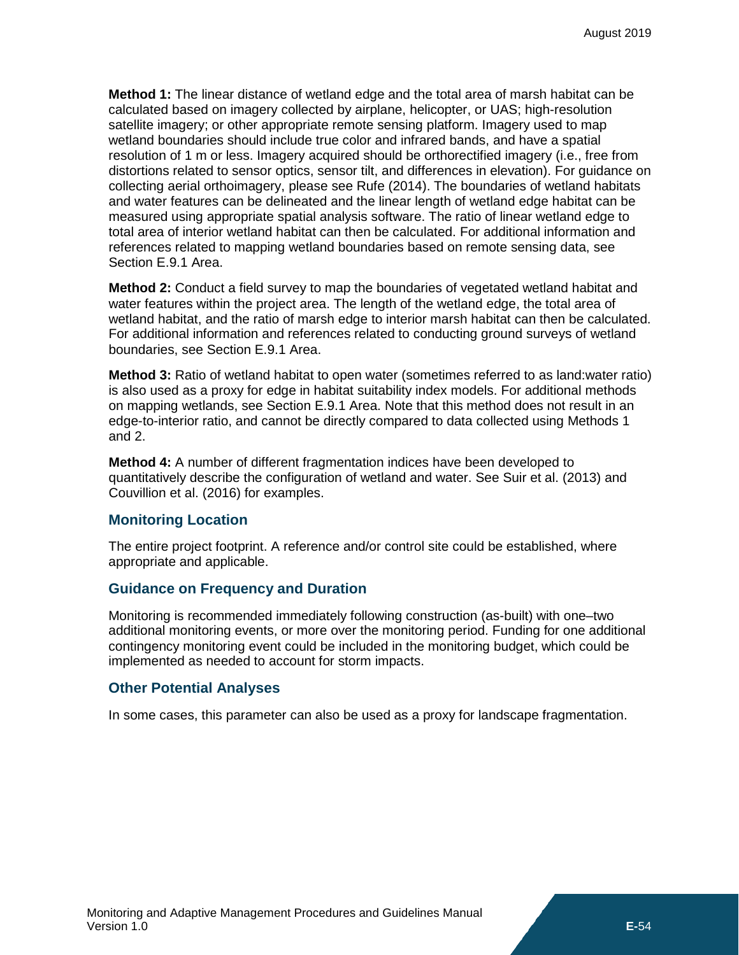**Method 1:** The linear distance of wetland edge and the total area of marsh habitat can be calculated based on imagery collected by airplane, helicopter, or UAS; high-resolution satellite imagery; or other appropriate remote sensing platform. Imagery used to map wetland boundaries should include true color and infrared bands, and have a spatial resolution of 1 m or less. Imagery acquired should be orthorectified imagery (i.e., free from distortions related to sensor optics, sensor tilt, and differences in elevation). For guidance on collecting aerial orthoimagery, please see Rufe (2014). The boundaries of wetland habitats and water features can be delineated and the linear length of wetland edge habitat can be measured using appropriate spatial analysis software. The ratio of linear wetland edge to total area of interior wetland habitat can then be calculated. For additional information and references related to mapping wetland boundaries based on remote sensing data, see Section E.9.1 Area.

**Method 2:** Conduct a field survey to map the boundaries of vegetated wetland habitat and water features within the project area. The length of the wetland edge, the total area of wetland habitat, and the ratio of marsh edge to interior marsh habitat can then be calculated. For additional information and references related to conducting ground surveys of wetland boundaries, see Section E.9.1 Area.

**Method 3:** Ratio of wetland habitat to open water (sometimes referred to as land:water ratio) is also used as a proxy for edge in habitat suitability index models. For additional methods on mapping wetlands, see Section E.9.1 Area. Note that this method does not result in an edge-to-interior ratio, and cannot be directly compared to data collected using Methods 1 and 2.

**Method 4:** A number of different fragmentation indices have been developed to quantitatively describe the configuration of wetland and water. See Suir et al. (2013) and Couvillion et al. (2016) for examples.

### **Monitoring Location**

The entire project footprint. A reference and/or control site could be established, where appropriate and applicable.

### **Guidance on Frequency and Duration**

Monitoring is recommended immediately following construction (as-built) with one–two additional monitoring events, or more over the monitoring period. Funding for one additional contingency monitoring event could be included in the monitoring budget, which could be implemented as needed to account for storm impacts.

### **Other Potential Analyses**

In some cases, this parameter can also be used as a proxy for landscape fragmentation.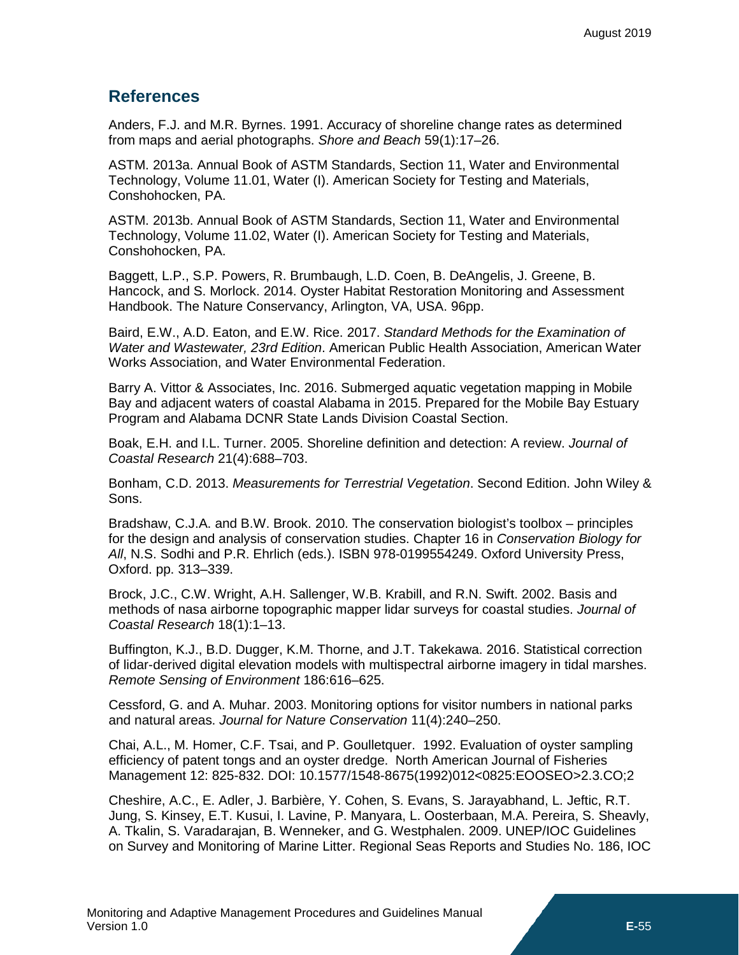### <span id="page-48-0"></span>**References**

Anders, F.J. and M.R. Byrnes. 1991. Accuracy of shoreline change rates as determined from maps and aerial photographs. *Shore and Beach* 59(1):17–26.

ASTM. 2013a. Annual Book of ASTM Standards, Section 11, Water and Environmental Technology, Volume 11.01, Water (I). American Society for Testing and Materials, Conshohocken, PA.

ASTM. 2013b. Annual Book of ASTM Standards, Section 11, Water and Environmental Technology, Volume 11.02, Water (I). American Society for Testing and Materials, Conshohocken, PA.

Baggett, L.P., S.P. Powers, R. Brumbaugh, L.D. Coen, B. DeAngelis, J. Greene, B. Hancock, and S. Morlock. 2014. Oyster Habitat Restoration Monitoring and Assessment Handbook. The Nature Conservancy, Arlington, VA, USA. 96pp.

Baird, E.W., A.D. Eaton, and E.W. Rice. 2017. *Standard Methods for the Examination of Water and Wastewater, 23rd Edition*. American Public Health Association, American Water Works Association, and Water Environmental Federation.

Barry A. Vittor & Associates, Inc. 2016. Submerged aquatic vegetation mapping in Mobile Bay and adjacent waters of coastal Alabama in 2015. Prepared for the Mobile Bay Estuary Program and Alabama DCNR State Lands Division Coastal Section.

Boak, E.H. and I.L. Turner. 2005. Shoreline definition and detection: A review. *Journal of Coastal Research* 21(4):688–703.

Bonham, C.D. 2013. *Measurements for Terrestrial Vegetation*. Second Edition. John Wiley & Sons.

Bradshaw, C.J.A. and B.W. Brook. 2010. The conservation biologist's toolbox – principles for the design and analysis of conservation studies. Chapter 16 in *Conservation Biology for All*, N.S. Sodhi and P.R. Ehrlich (eds.). ISBN 978-0199554249. Oxford University Press, Oxford. pp. 313–339.

Brock, J.C., C.W. Wright, A.H. Sallenger, W.B. Krabill, and R.N. Swift. 2002. Basis and methods of nasa airborne topographic mapper lidar surveys for coastal studies. *Journal of Coastal Research* 18(1):1–13.

Buffington, K.J., B.D. Dugger, K.M. Thorne, and J.T. Takekawa. 2016. Statistical correction of lidar-derived digital elevation models with multispectral airborne imagery in tidal marshes. *Remote Sensing of Environment* 186:616–625.

Cessford, G. and A. Muhar. 2003. Monitoring options for visitor numbers in national parks and natural areas. *Journal for Nature Conservation* 11(4):240–250.

Chai, A.L., M. Homer, C.F. Tsai, and P. Goulletquer. 1992. Evaluation of oyster sampling efficiency of patent tongs and an oyster dredge. North American Journal of Fisheries Management 12: 825-832. DOI: 10.1577/1548-8675(1992)012<0825:EOOSEO>2.3.CO;2

Cheshire, A.C., E. Adler, J. Barbière, Y. Cohen, S. Evans, S. Jarayabhand, L. Jeftic, R.T. Jung, S. Kinsey, E.T. Kusui, I. Lavine, P. Manyara, L. Oosterbaan, M.A. Pereira, S. Sheavly, A. Tkalin, S. Varadarajan, B. Wenneker, and G. Westphalen. 2009. UNEP/IOC Guidelines on Survey and Monitoring of Marine Litter. Regional Seas Reports and Studies No. 186, IOC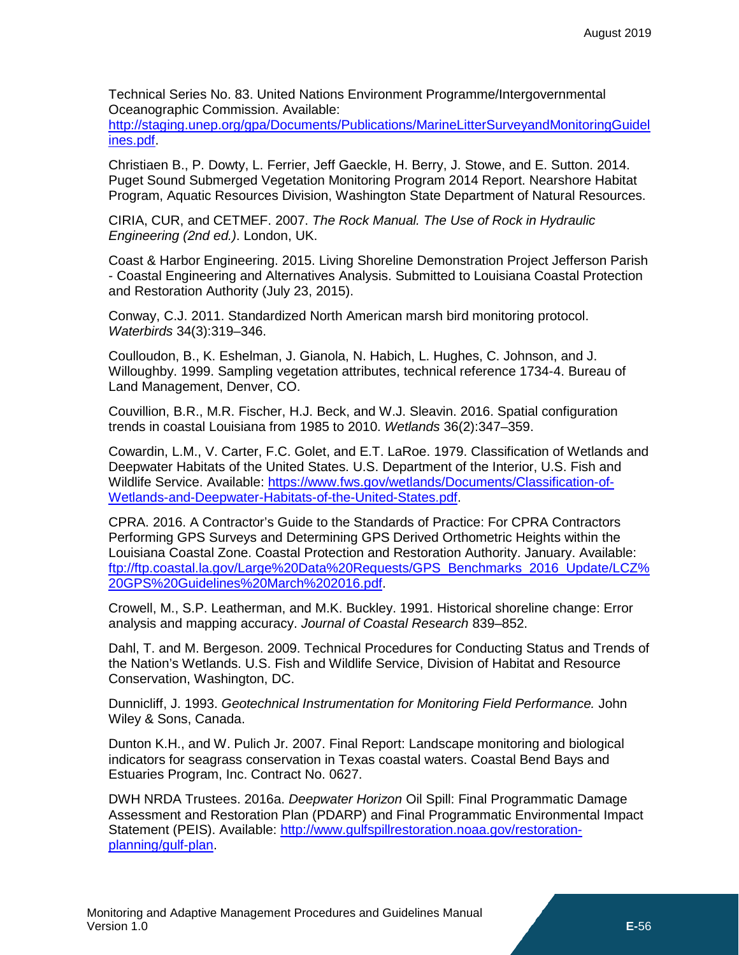Technical Series No. 83. United Nations Environment Programme/Intergovernmental Oceanographic Commission. Available:

[http://staging.unep.org/gpa/Documents/Publications/MarineLitterSurveyandMonitoringGuidel](http://staging.unep.org/gpa/Documents/Publications/MarineLitterSurveyandMonitoringGuidelines.pdf) [ines.pdf.](http://staging.unep.org/gpa/Documents/Publications/MarineLitterSurveyandMonitoringGuidelines.pdf)

Christiaen B., P. Dowty, L. Ferrier, Jeff Gaeckle, H. Berry, J. Stowe, and E. Sutton. 2014. Puget Sound Submerged Vegetation Monitoring Program 2014 Report. Nearshore Habitat Program, Aquatic Resources Division, Washington State Department of Natural Resources.

CIRIA, CUR, and CETMEF. 2007. *The Rock Manual. The Use of Rock in Hydraulic Engineering (2nd ed.)*. London, UK.

Coast & Harbor Engineering. 2015. Living Shoreline Demonstration Project Jefferson Parish - Coastal Engineering and Alternatives Analysis. Submitted to Louisiana Coastal Protection and Restoration Authority (July 23, 2015).

Conway, C.J. 2011. Standardized North American marsh bird monitoring protocol. *Waterbirds* 34(3):319–346.

Coulloudon, B., K. Eshelman, J. Gianola, N. Habich, L. Hughes, C. Johnson, and J. Willoughby. 1999. Sampling vegetation attributes, technical reference 1734-4. Bureau of Land Management, Denver, CO.

Couvillion, B.R., M.R. Fischer, H.J. Beck, and W.J. Sleavin. 2016. Spatial configuration trends in coastal Louisiana from 1985 to 2010. *Wetlands* 36(2):347–359.

Cowardin, L.M., V. Carter, F.C. Golet, and E.T. LaRoe. 1979. Classification of Wetlands and Deepwater Habitats of the United States. U.S. Department of the Interior, U.S. Fish and Wildlife Service. Available: [https://www.fws.gov/wetlands/Documents/Classification-of-](https://www.fws.gov/wetlands/Documents/Classification-of-Wetlands-and-Deepwater-Habitats-of-the-United-States.pdf)[Wetlands-and-Deepwater-Habitats-of-the-United-States.pdf.](https://www.fws.gov/wetlands/Documents/Classification-of-Wetlands-and-Deepwater-Habitats-of-the-United-States.pdf)

CPRA. 2016. A Contractor's Guide to the Standards of Practice: For CPRA Contractors Performing GPS Surveys and Determining GPS Derived Orthometric Heights within the Louisiana Coastal Zone. Coastal Protection and Restoration Authority. January. Available: [ftp://ftp.coastal.la.gov/Large%20Data%20Requests/GPS\\_Benchmarks\\_2016\\_Update/LCZ%](ftp://ftp.coastal.la.gov/Large%20Data%20Requests/GPS_Benchmarks_2016_Update/LCZ%20GPS%20Guidelines%20March%202016.pdf) [20GPS%20Guidelines%20March%202016.pdf.](ftp://ftp.coastal.la.gov/Large%20Data%20Requests/GPS_Benchmarks_2016_Update/LCZ%20GPS%20Guidelines%20March%202016.pdf)

Crowell, M., S.P. Leatherman, and M.K. Buckley. 1991. Historical shoreline change: Error analysis and mapping accuracy. *Journal of Coastal Research* 839–852.

Dahl, T. and M. Bergeson. 2009. Technical Procedures for Conducting Status and Trends of the Nation's Wetlands. U.S. Fish and Wildlife Service, Division of Habitat and Resource Conservation, Washington, DC.

Dunnicliff, J. 1993. *Geotechnical Instrumentation for Monitoring Field Performance.* John Wiley & Sons, Canada.

Dunton K.H., and W. Pulich Jr. 2007. Final Report: Landscape monitoring and biological indicators for seagrass conservation in Texas coastal waters. Coastal Bend Bays and Estuaries Program, Inc. Contract No. 0627.

DWH NRDA Trustees. 2016a. *Deepwater Horizon* Oil Spill: Final Programmatic Damage Assessment and Restoration Plan (PDARP) and Final Programmatic Environmental Impact Statement (PEIS). Available: [http://www.gulfspillrestoration.noaa.gov/restoration](http://www.gulfspillrestoration.noaa.gov/restoration-planning/gulf-plan)[planning/gulf-plan.](http://www.gulfspillrestoration.noaa.gov/restoration-planning/gulf-plan)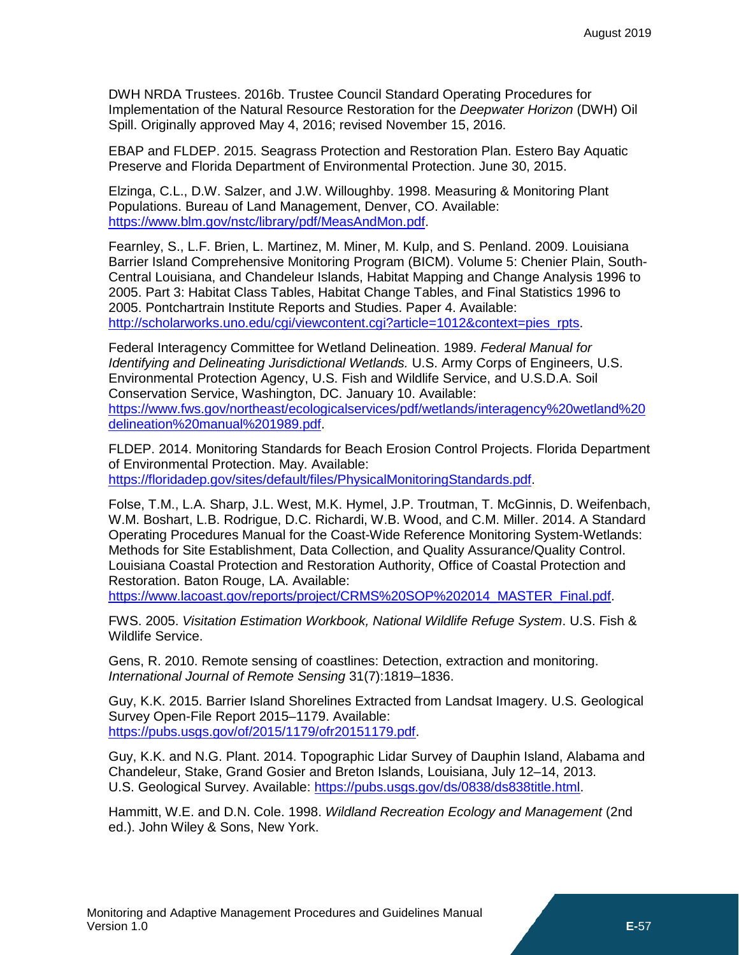DWH NRDA Trustees. 2016b. Trustee Council Standard Operating Procedures for Implementation of the Natural Resource Restoration for the *Deepwater Horizon* (DWH) Oil Spill. Originally approved May 4, 2016; revised November 15, 2016.

EBAP and FLDEP. 2015. Seagrass Protection and Restoration Plan. Estero Bay Aquatic Preserve and Florida Department of Environmental Protection. June 30, 2015.

Elzinga, C.L., D.W. Salzer, and J.W. Willoughby. 1998. Measuring & Monitoring Plant Populations. Bureau of Land Management, Denver, CO. Available: [https://www.blm.gov/nstc/library/pdf/MeasAndMon.pdf.](https://www.blm.gov/nstc/library/pdf/MeasAndMon.pdf)

Fearnley, S., L.F. Brien, L. Martinez, M. Miner, M. Kulp, and S. Penland. 2009. Louisiana Barrier Island Comprehensive Monitoring Program (BICM). Volume 5: Chenier Plain, South-Central Louisiana, and Chandeleur Islands, Habitat Mapping and Change Analysis 1996 to 2005. Part 3: Habitat Class Tables, Habitat Change Tables, and Final Statistics 1996 to 2005. Pontchartrain Institute Reports and Studies. Paper 4. Available: [http://scholarworks.uno.edu/cgi/viewcontent.cgi?article=1012&context=pies\\_rpts.](http://scholarworks.uno.edu/cgi/viewcontent.cgi?article=1012&context=pies_rpts)

Federal Interagency Committee for Wetland Delineation. 1989. *Federal Manual for Identifying and Delineating Jurisdictional Wetlands.* U.S. Army Corps of Engineers, U.S. Environmental Protection Agency, U.S. Fish and Wildlife Service, and U.S.D.A. Soil Conservation Service, Washington, DC. January 10. Available: [https://www.fws.gov/northeast/ecologicalservices/pdf/wetlands/interagency%20wetland%20](https://www.fws.gov/northeast/ecologicalservices/pdf/wetlands/interagency%20wetland%20delineation%20manual%201989.pdf) [delineation%20manual%201989.pdf.](https://www.fws.gov/northeast/ecologicalservices/pdf/wetlands/interagency%20wetland%20delineation%20manual%201989.pdf)

FLDEP. 2014. Monitoring Standards for Beach Erosion Control Projects. Florida Department of Environmental Protection. May. Available: [https://floridadep.gov/sites/default/files/PhysicalMonitoringStandards.pdf.](https://floridadep.gov/sites/default/files/PhysicalMonitoringStandards.pdf)

Folse, T.M., L.A. Sharp, J.L. West, M.K. Hymel, J.P. Troutman, T. McGinnis, D. Weifenbach, W.M. Boshart, L.B. Rodrigue, D.C. Richardi, W.B. Wood, and C.M. Miller. 2014. A Standard Operating Procedures Manual for the Coast-Wide Reference Monitoring System-Wetlands: Methods for Site Establishment, Data Collection, and Quality Assurance/Quality Control. Louisiana Coastal Protection and Restoration Authority, Office of Coastal Protection and Restoration. Baton Rouge, LA. Available:

[https://www.lacoast.gov/reports/project/CRMS%20SOP%202014\\_MASTER\\_Final.pdf.](https://www.lacoast.gov/reports/project/CRMS%20SOP%202014_MASTER_Final.pdf)

FWS. 2005. *Visitation Estimation Workbook, National Wildlife Refuge System*. U.S. Fish & Wildlife Service.

Gens, R. 2010. Remote sensing of coastlines: Detection, extraction and monitoring. *International Journal of Remote Sensing* 31(7):1819–1836.

Guy, K.K. 2015. Barrier Island Shorelines Extracted from Landsat Imagery. U.S. Geological Survey Open-File Report 2015–1179. Available: [https://pubs.usgs.gov/of/2015/1179/ofr20151179.pdf.](https://pubs.usgs.gov/of/2015/1179/ofr20151179.pdf)

Guy, K.K. and N.G. Plant. 2014. Topographic Lidar Survey of Dauphin Island, Alabama and Chandeleur, Stake, Grand Gosier and Breton Islands, Louisiana, July 12–14, 2013. U.S. Geological Survey. Available: [https://pubs.usgs.gov/ds/0838/ds838title.html.](https://pubs.usgs.gov/ds/0838/ds838title.html)

Hammitt, W.E. and D.N. Cole. 1998. *Wildland Recreation Ecology and Management* (2nd ed.). John Wiley & Sons, New York.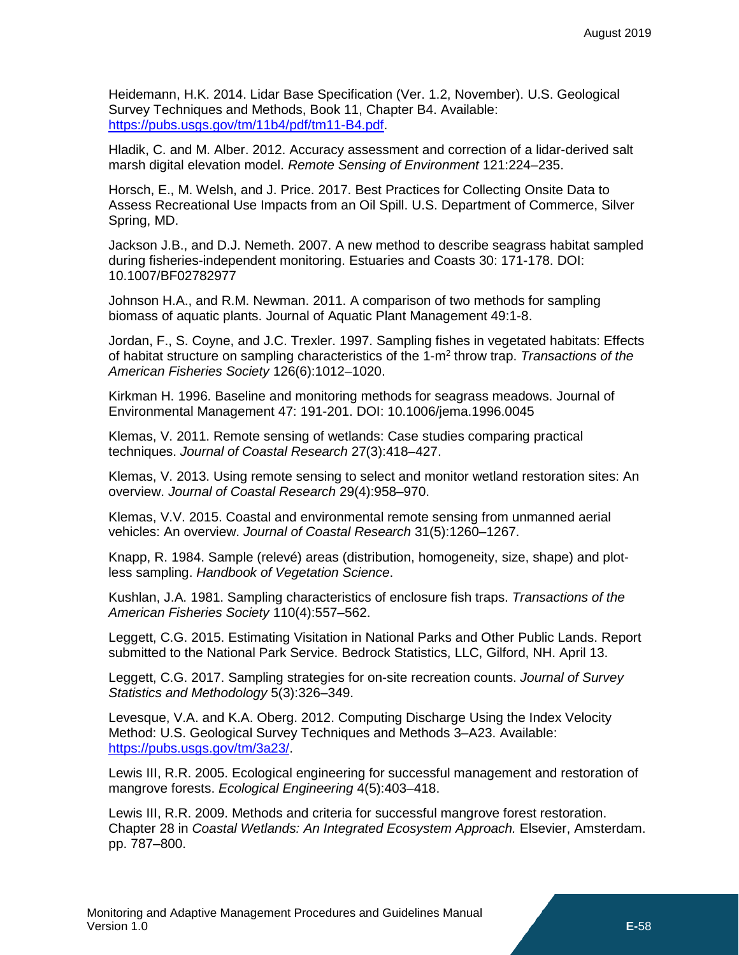Heidemann, H.K. 2014. Lidar Base Specification (Ver. 1.2, November). U.S. Geological Survey Techniques and Methods, Book 11, Chapter B4. Available: [https://pubs.usgs.gov/tm/11b4/pdf/tm11-B4.pdf.](https://pubs.usgs.gov/tm/11b4/pdf/tm11-B4.pdf)

Hladik, C. and M. Alber. 2012. Accuracy assessment and correction of a lidar-derived salt marsh digital elevation model. *Remote Sensing of Environment* 121:224–235.

Horsch, E., M. Welsh, and J. Price. 2017. Best Practices for Collecting Onsite Data to Assess Recreational Use Impacts from an Oil Spill. U.S. Department of Commerce, Silver Spring, MD.

Jackson J.B., and D.J. Nemeth. 2007. A new method to describe seagrass habitat sampled during fisheries-independent monitoring. Estuaries and Coasts 30: 171-178. DOI: 10.1007/BF02782977

Johnson H.A., and R.M. Newman. 2011. A comparison of two methods for sampling biomass of aquatic plants. Journal of Aquatic Plant Management 49:1-8.

Jordan, F., S. Coyne, and J.C. Trexler. 1997. Sampling fishes in vegetated habitats: Effects of habitat structure on sampling characteristics of the 1-m2 throw trap. *Transactions of the American Fisheries Society* 126(6):1012–1020.

Kirkman H. 1996. Baseline and monitoring methods for seagrass meadows. Journal of Environmental Management 47: 191-201. DOI: 10.1006/jema.1996.0045

Klemas, V. 2011. Remote sensing of wetlands: Case studies comparing practical techniques. *Journal of Coastal Research* 27(3):418–427.

Klemas, V. 2013. Using remote sensing to select and monitor wetland restoration sites: An overview. *Journal of Coastal Research* 29(4):958–970.

Klemas, V.V. 2015. Coastal and environmental remote sensing from unmanned aerial vehicles: An overview. *Journal of Coastal Research* 31(5):1260–1267.

Knapp, R. 1984. Sample (relevé) areas (distribution, homogeneity, size, shape) and plotless sampling. *Handbook of Vegetation Science*.

Kushlan, J.A. 1981. Sampling characteristics of enclosure fish traps. *Transactions of the American Fisheries Society* 110(4):557–562.

Leggett, C.G. 2015. Estimating Visitation in National Parks and Other Public Lands. Report submitted to the National Park Service. Bedrock Statistics, LLC, Gilford, NH. April 13.

Leggett, C.G. 2017. Sampling strategies for on-site recreation counts. *Journal of Survey Statistics and Methodology* 5(3):326–349.

Levesque, V.A. and K.A. Oberg. 2012. Computing Discharge Using the Index Velocity Method: U.S. Geological Survey Techniques and Methods 3–A23. Available: [https://pubs.usgs.gov/tm/3a23/.](https://pubs.usgs.gov/tm/3a23/)

Lewis III, R.R. 2005. Ecological engineering for successful management and restoration of mangrove forests. *Ecological Engineering* 4(5):403–418.

Lewis III, R.R. 2009. Methods and criteria for successful mangrove forest restoration. Chapter 28 in *Coastal Wetlands: An Integrated Ecosystem Approach.* Elsevier, Amsterdam. pp. 787–800.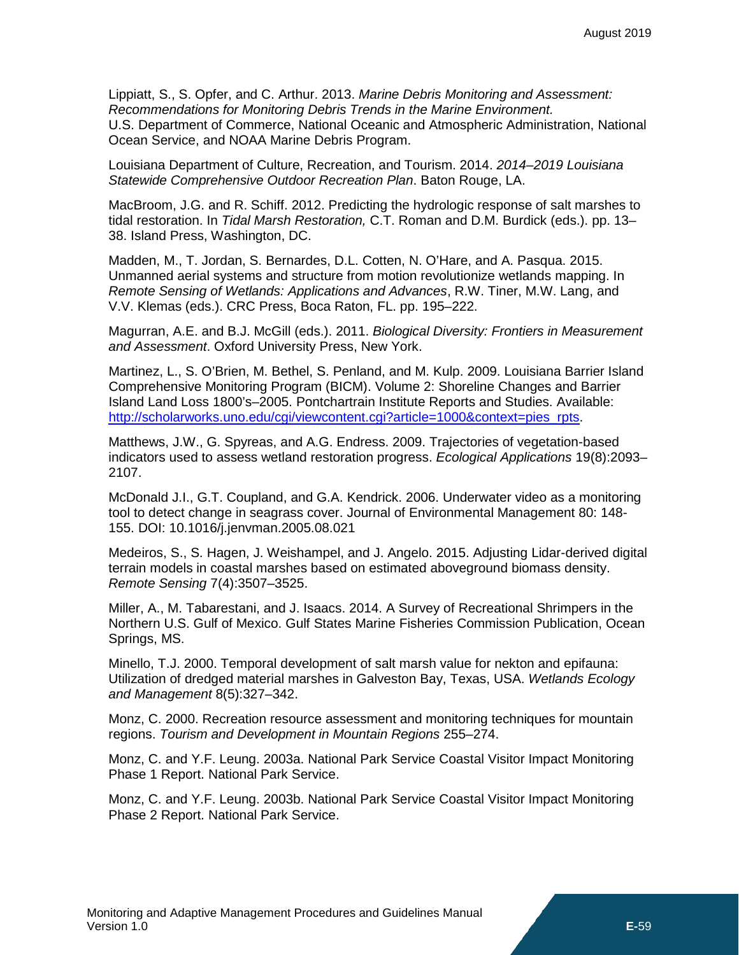Lippiatt, S., S. Opfer, and C. Arthur. 2013. *Marine Debris Monitoring and Assessment: Recommendations for Monitoring Debris Trends in the Marine Environment.* U.S. Department of Commerce, National Oceanic and Atmospheric Administration, National Ocean Service, and NOAA Marine Debris Program.

Louisiana Department of Culture, Recreation, and Tourism. 2014. *2014*–*2019 Louisiana Statewide Comprehensive Outdoor Recreation Plan*. Baton Rouge, LA.

MacBroom, J.G. and R. Schiff. 2012. Predicting the hydrologic response of salt marshes to tidal restoration. In *Tidal Marsh Restoration,* C.T. Roman and D.M. Burdick (eds.). pp. 13– 38. Island Press, Washington, DC.

Madden, M., T. Jordan, S. Bernardes, D.L. Cotten, N. O'Hare, and A. Pasqua. 2015. Unmanned aerial systems and structure from motion revolutionize wetlands mapping. In *Remote Sensing of Wetlands: Applications and Advances*, R.W. Tiner, M.W. Lang, and V.V. Klemas (eds.). CRC Press, Boca Raton, FL. pp. 195–222.

Magurran, A.E. and B.J. McGill (eds.). 2011. *Biological Diversity: Frontiers in Measurement and Assessment*. Oxford University Press, New York.

Martinez, L., S. O'Brien, M. Bethel, S. Penland, and M. Kulp. 2009. Louisiana Barrier Island Comprehensive Monitoring Program (BICM). Volume 2: Shoreline Changes and Barrier Island Land Loss 1800's–2005. Pontchartrain Institute Reports and Studies. Available: [http://scholarworks.uno.edu/cgi/viewcontent.cgi?article=1000&context=pies\\_rpts.](http://scholarworks.uno.edu/cgi/viewcontent.cgi?article=1000&context=pies_rpts)

Matthews, J.W., G. Spyreas, and A.G. Endress. 2009. Trajectories of vegetation-based indicators used to assess wetland restoration progress. *Ecological Applications* 19(8):2093– 2107.

McDonald J.I., G.T. Coupland, and G.A. Kendrick. 2006. Underwater video as a monitoring tool to detect change in seagrass cover. Journal of Environmental Management 80: 148- 155. DOI: 10.1016/j.jenvman.2005.08.021

Medeiros, S., S. Hagen, J. Weishampel, and J. Angelo. 2015. Adjusting Lidar-derived digital terrain models in coastal marshes based on estimated aboveground biomass density. *Remote Sensing* 7(4):3507–3525.

Miller, A., M. Tabarestani, and J. Isaacs. 2014. A Survey of Recreational Shrimpers in the Northern U.S. Gulf of Mexico. Gulf States Marine Fisheries Commission Publication, Ocean Springs, MS.

Minello, T.J. 2000. Temporal development of salt marsh value for nekton and epifauna: Utilization of dredged material marshes in Galveston Bay, Texas, USA. *Wetlands Ecology and Management* 8(5):327–342.

Monz, C. 2000. Recreation resource assessment and monitoring techniques for mountain regions. *Tourism and Development in Mountain Regions* 255–274.

Monz, C. and Y.F. Leung. 2003a. National Park Service Coastal Visitor Impact Monitoring Phase 1 Report. National Park Service.

Monz, C. and Y.F. Leung. 2003b. National Park Service Coastal Visitor Impact Monitoring Phase 2 Report. National Park Service.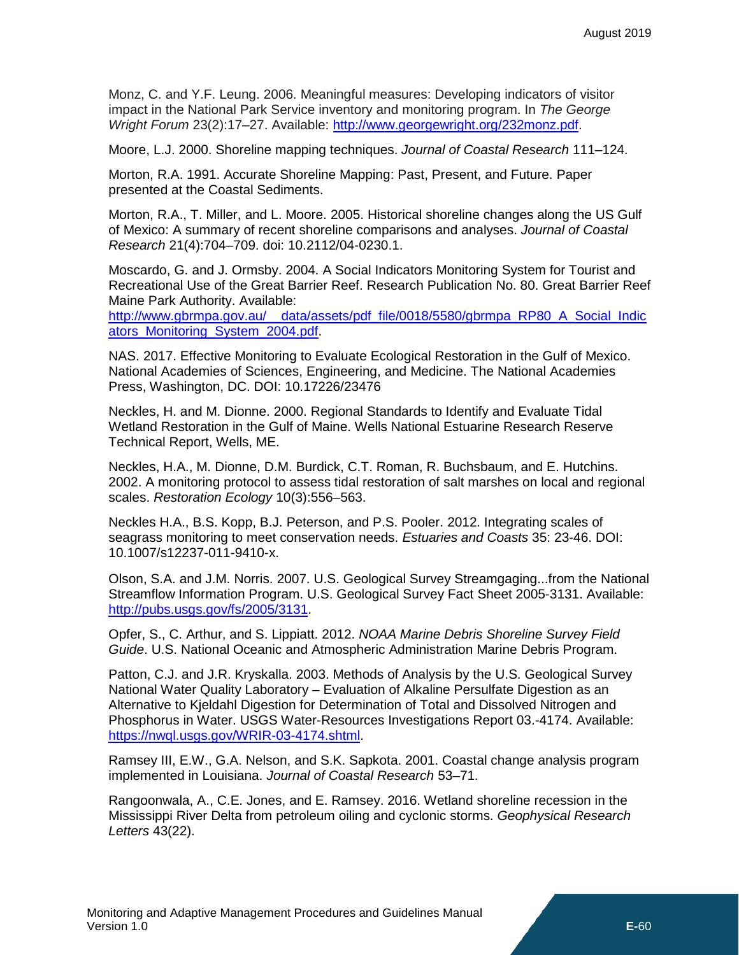Monz, C. and Y.F. Leung. 2006. Meaningful measures: Developing indicators of visitor impact in the National Park Service inventory and monitoring program. In *The George Wright Forum* 23(2):17–27. Available: [http://www.georgewright.org/232monz.pdf.](http://www.georgewright.org/232monz.pdf)

Moore, L.J. 2000. Shoreline mapping techniques. *Journal of Coastal Research* 111–124.

Morton, R.A. 1991. Accurate Shoreline Mapping: Past, Present, and Future. Paper presented at the Coastal Sediments.

Morton, R.A., T. Miller, and L. Moore. 2005. Historical shoreline changes along the US Gulf of Mexico: A summary of recent shoreline comparisons and analyses. *Journal of Coastal Research* 21(4):704–709. doi: 10.2112/04-0230.1.

Moscardo, G. and J. Ormsby. 2004. A Social Indicators Monitoring System for Tourist and Recreational Use of the Great Barrier Reef. Research Publication No. 80. Great Barrier Reef Maine Park Authority. Available:

[http://www.gbrmpa.gov.au/\\_\\_data/assets/pdf\\_file/0018/5580/gbrmpa\\_RP80\\_A\\_Social\\_Indic](http://www.gbrmpa.gov.au/__data/assets/pdf_file/0018/5580/gbrmpa_RP80_A_Social_Indicators_Monitoring_System_2004.pdf) [ators\\_Monitoring\\_System\\_2004.pdf.](http://www.gbrmpa.gov.au/__data/assets/pdf_file/0018/5580/gbrmpa_RP80_A_Social_Indicators_Monitoring_System_2004.pdf)

NAS. 2017. Effective Monitoring to Evaluate Ecological Restoration in the Gulf of Mexico. National Academies of Sciences, Engineering, and Medicine. The National Academies Press, Washington, DC. DOI: 10.17226/23476

Neckles, H. and M. Dionne. 2000. Regional Standards to Identify and Evaluate Tidal Wetland Restoration in the Gulf of Maine. Wells National Estuarine Research Reserve Technical Report, Wells, ME.

Neckles, H.A., M. Dionne, D.M. Burdick, C.T. Roman, R. Buchsbaum, and E. Hutchins. 2002. A monitoring protocol to assess tidal restoration of salt marshes on local and regional scales. *Restoration Ecology* 10(3):556–563.

Neckles H.A., B.S. Kopp, B.J. Peterson, and P.S. Pooler. 2012. Integrating scales of seagrass monitoring to meet conservation needs. *Estuaries and Coasts* 35: 23-46. DOI: 10.1007/s12237-011-9410-x.

Olson, S.A. and J.M. Norris. 2007. U.S. Geological Survey Streamgaging...from the National Streamflow Information Program. U.S. Geological Survey Fact Sheet 2005-3131. Available: [http://pubs.usgs.gov/fs/2005/3131.](http://pubs.usgs.gov/fs/2005/3131)

Opfer, S., C. Arthur, and S. Lippiatt. 2012. *NOAA Marine Debris Shoreline Survey Field Guide*. U.S. National Oceanic and Atmospheric Administration Marine Debris Program.

Patton, C.J. and J.R. Kryskalla. 2003. Methods of Analysis by the U.S. Geological Survey National Water Quality Laboratory – Evaluation of Alkaline Persulfate Digestion as an Alternative to Kjeldahl Digestion for Determination of Total and Dissolved Nitrogen and Phosphorus in Water. USGS Water-Resources Investigations Report 03.-4174. Available: [https://nwql.usgs.gov/WRIR-03-4174.shtml.](https://nwql.usgs.gov/WRIR-03-4174.shtml)

Ramsey III, E.W., G.A. Nelson, and S.K. Sapkota. 2001. Coastal change analysis program implemented in Louisiana. *Journal of Coastal Research* 53–71.

Rangoonwala, A., C.E. Jones, and E. Ramsey. 2016. Wetland shoreline recession in the Mississippi River Delta from petroleum oiling and cyclonic storms. *Geophysical Research Letters* 43(22).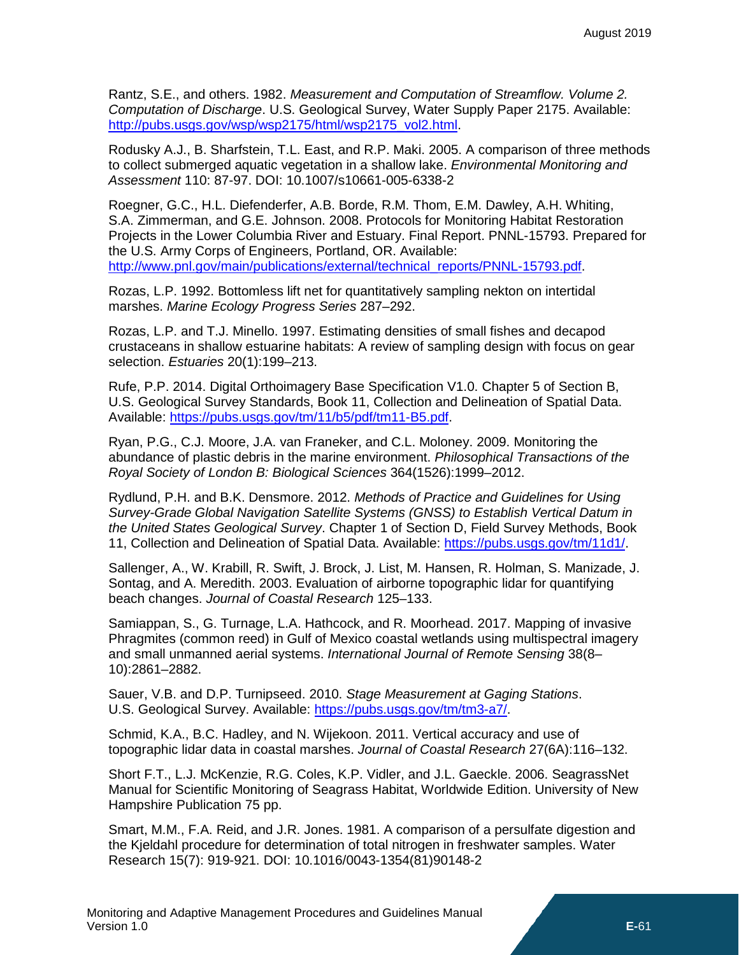Rantz, S.E., and others. 1982. *Measurement and Computation of Streamflow. Volume 2. Computation of Discharge*. U.S. Geological Survey, Water Supply Paper 2175. Available: [http://pubs.usgs.gov/wsp/wsp2175/html/wsp2175\\_vol2.html.](http://pubs.usgs.gov/wsp/wsp2175/html/wsp2175_vol2.html)

Rodusky A.J., B. Sharfstein, T.L. East, and R.P. Maki. 2005. A comparison of three methods to collect submerged aquatic vegetation in a shallow lake. *Environmental Monitoring and Assessment* 110: 87-97. DOI: 10.1007/s10661-005-6338-2

Roegner, G.C., H.L. Diefenderfer, A.B. Borde, R.M. Thom, E.M. Dawley, A.H. Whiting, S.A. Zimmerman, and G.E. Johnson. 2008. Protocols for Monitoring Habitat Restoration Projects in the Lower Columbia River and Estuary. Final Report. PNNL-15793. Prepared for the U.S. Army Corps of Engineers, Portland, OR. Available: [http://www.pnl.gov/main/publications/external/technical\\_reports/PNNL-15793.pdf.](http://www.pnl.gov/main/publications/external/technical_reports/PNNL-15793.pdf)

Rozas, L.P. 1992. Bottomless lift net for quantitatively sampling nekton on intertidal marshes. *Marine Ecology Progress Series* 287–292.

Rozas, L.P. and T.J. Minello. 1997. Estimating densities of small fishes and decapod crustaceans in shallow estuarine habitats: A review of sampling design with focus on gear selection. *Estuaries* 20(1):199–213.

Rufe, P.P. 2014. Digital Orthoimagery Base Specification V1.0. Chapter 5 of Section B, U.S. Geological Survey Standards, Book 11, Collection and Delineation of Spatial Data. Available: [https://pubs.usgs.gov/tm/11/b5/pdf/tm11-B5.pdf.](https://pubs.usgs.gov/tm/11/b5/pdf/tm11-B5.pdf)

Ryan, P.G., C.J. Moore, J.A. van Franeker, and C.L. Moloney. 2009. Monitoring the abundance of plastic debris in the marine environment. *Philosophical Transactions of the Royal Society of London B: Biological Sciences* 364(1526):1999–2012.

Rydlund, P.H. and B.K. Densmore. 2012. *Methods of Practice and Guidelines for Using Survey-Grade Global Navigation Satellite Systems (GNSS) to Establish Vertical Datum in the United States Geological Survey*. Chapter 1 of Section D, Field Survey Methods, Book 11, Collection and Delineation of Spatial Data. Available: [https://pubs.usgs.gov/tm/11d1/.](https://pubs.usgs.gov/tm/11d1/)

Sallenger, A., W. Krabill, R. Swift, J. Brock, J. List, M. Hansen, R. Holman, S. Manizade, J. Sontag, and A. Meredith. 2003. Evaluation of airborne topographic lidar for quantifying beach changes. *Journal of Coastal Research* 125–133.

Samiappan, S., G. Turnage, L.A. Hathcock, and R. Moorhead. 2017. Mapping of invasive Phragmites (common reed) in Gulf of Mexico coastal wetlands using multispectral imagery and small unmanned aerial systems. *International Journal of Remote Sensing* 38(8– 10):2861–2882.

Sauer, V.B. and D.P. Turnipseed. 2010. *Stage Measurement at Gaging Stations*. U.S. Geological Survey. Available: [https://pubs.usgs.gov/tm/tm3-a7/.](https://pubs.usgs.gov/tm/tm3-a7/)

Schmid, K.A., B.C. Hadley, and N. Wijekoon. 2011. Vertical accuracy and use of topographic lidar data in coastal marshes. *Journal of Coastal Research* 27(6A):116–132.

Short F.T., L.J. McKenzie, R.G. Coles, K.P. Vidler, and J.L. Gaeckle. 2006. SeagrassNet Manual for Scientific Monitoring of Seagrass Habitat, Worldwide Edition. University of New Hampshire Publication 75 pp.

Smart, M.M., F.A. Reid, and J.R. Jones. 1981. A comparison of a persulfate digestion and the Kjeldahl procedure for determination of total nitrogen in freshwater samples. Water Research 15(7): 919-921. DOI: 10.1016/0043-1354(81)90148-2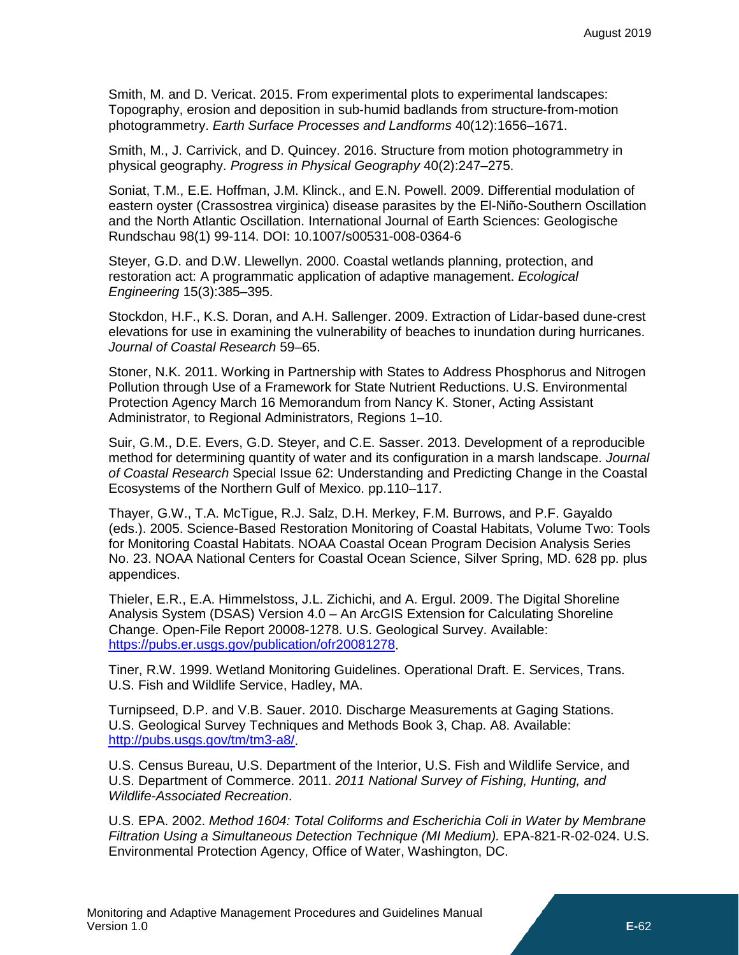Smith, M. and D. Vericat. 2015. From experimental plots to experimental landscapes: Topography, erosion and deposition in sub‐humid badlands from structure‐from‐motion photogrammetry. *Earth Surface Processes and Landforms* 40(12):1656–1671.

Smith, M., J. Carrivick, and D. Quincey. 2016. Structure from motion photogrammetry in physical geography. *Progress in Physical Geography* 40(2):247–275.

Soniat, T.M., E.E. Hoffman, J.M. Klinck., and E.N. Powell. 2009. Differential modulation of eastern oyster (Crassostrea virginica) disease parasites by the El-Niño-Southern Oscillation and the North Atlantic Oscillation. International Journal of Earth Sciences: Geologische Rundschau 98(1) 99-114. DOI: 10.1007/s00531-008-0364-6

Steyer, G.D. and D.W. Llewellyn. 2000. Coastal wetlands planning, protection, and restoration act: A programmatic application of adaptive management. *Ecological Engineering* 15(3):385–395.

Stockdon, H.F., K.S. Doran, and A.H. Sallenger. 2009. Extraction of Lidar-based dune-crest elevations for use in examining the vulnerability of beaches to inundation during hurricanes. *Journal of Coastal Research* 59–65.

Stoner, N.K. 2011. Working in Partnership with States to Address Phosphorus and Nitrogen Pollution through Use of a Framework for State Nutrient Reductions. U.S. Environmental Protection Agency March 16 Memorandum from Nancy K. Stoner, Acting Assistant Administrator, to Regional Administrators, Regions 1–10.

Suir, G.M., D.E. Evers, G.D. Steyer, and C.E. Sasser. 2013. Development of a reproducible method for determining quantity of water and its configuration in a marsh landscape. *Journal of Coastal Research* Special Issue 62: Understanding and Predicting Change in the Coastal Ecosystems of the Northern Gulf of Mexico. pp.110–117.

Thayer, G.W., T.A. McTigue, R.J. Salz, D.H. Merkey, F.M. Burrows, and P.F. Gayaldo (eds.). 2005. Science-Based Restoration Monitoring of Coastal Habitats, Volume Two: Tools for Monitoring Coastal Habitats. NOAA Coastal Ocean Program Decision Analysis Series No. 23. NOAA National Centers for Coastal Ocean Science, Silver Spring, MD. 628 pp. plus appendices.

Thieler, E.R., E.A. Himmelstoss, J.L. Zichichi, and A. Ergul. 2009. The Digital Shoreline Analysis System (DSAS) Version 4.0 – An ArcGIS Extension for Calculating Shoreline Change. Open-File Report 20008-1278. U.S. Geological Survey. Available: [https://pubs.er.usgs.gov/publication/ofr20081278.](https://pubs.er.usgs.gov/publication/ofr20081278)

Tiner, R.W. 1999. Wetland Monitoring Guidelines. Operational Draft. E. Services, Trans. U.S. Fish and Wildlife Service, Hadley, MA.

Turnipseed, D.P. and V.B. Sauer. 2010. Discharge Measurements at Gaging Stations. U.S. Geological Survey Techniques and Methods Book 3, Chap. A8. Available: [http://pubs.usgs.gov/tm/tm3-a8/.](http://pubs.usgs.gov/tm/tm3-a8/)

U.S. Census Bureau, U.S. Department of the Interior, U.S. Fish and Wildlife Service, and U.S. Department of Commerce. 2011. *2011 National Survey of Fishing, Hunting, and Wildlife-Associated Recreation*.

U.S. EPA. 2002. *Method 1604: Total Coliforms and Escherichia Coli in Water by Membrane Filtration Using a Simultaneous Detection Technique (MI Medium).* EPA-821-R-02-024. U.S. Environmental Protection Agency, Office of Water, Washington, DC.